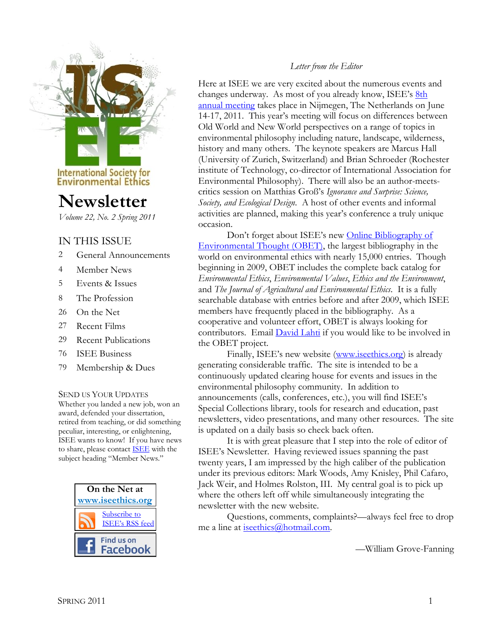

**International Society for Environmental Ethics** 

# **Newsletter**

*Volume 22, No. 2 Spring 2011*

### IN THIS ISSUE

- 2 General Announcements
- 4 Member News
- 5 Events & Issues
- 8 The Profession
- 26 On the Net
- 27 Recent Films
- 29 Recent Publications
- 76 ISEE Business
- 79 Membership & Dues

#### SEND US YOUR UPDATES

Whether you landed a new job, won an award, defended your dissertation, retired from teaching, or did something peculiar, interesting, or enlightening, ISEE wants to know! If you have news to share, please contact [ISEE](mailto:iseethics@hotmail.com) with the subject heading "Member News."



#### *Letter from the Editor*

Here at ISEE we are very excited about the numerous events and changes underway. As most of you already know, ISEE's 8th [annual meeting](http://iseethics.org/2011/03/05/408/) takes place in Nijmegen, The Netherlands on June 14-17, 2011. This year's meeting will focus on differences between Old World and New World perspectives on a range of topics in environmental philosophy including nature, landscape, wilderness, history and many others. The keynote speakers are Marcus Hall (University of Zurich, Switzerland) and Brian Schroeder (Rochester institute of Technology, co-director of International Association for Environmental Philosophy). There will also be an author-meetscritics session on Matthias Groß's Ignorance and Surprise: Science, *Society, and Ecological Design*. A host of other events and informal activities are planned, making this year's conference a truly unique occasion.

Don't forget about ISEE's new Online Bibliography of [Environmental Thought \(OBET\),](http://obet.webexone.com/default.asp?link=) the largest bibliography in the world on environmental ethics with nearly 15,000 entries. Though beginning in 2009, OBET includes the complete back catalog for *Environmental Ethics*, *Environmental Values*, *Ethics and the Environment*, and *The Journal of Agricultural and Environmental Ethics*. It is a fully searchable database with entries before and after 2009, which ISEE members have frequently placed in the bibliography. As a cooperative and volunteer effort, OBET is always looking for contributors. Email **David Lahti** if you would like to be involved in the OBET project.

Finally, ISEE's new website ([www.iseethics.org\)](http://www.iseethics.org/) is already generating considerable traffic. The site is intended to be a continuously updated clearing house for events and issues in the environmental philosophy community. In addition to announcements (calls, conferences, etc.), you will find ISEE's Special Collections library, tools for research and education, past newsletters, video presentations, and many other resources. The site is updated on a daily basis so check back often.

It is with great pleasure that I step into the role of editor of ISEE's Newsletter. Having reviewed issues spanning the past twenty years, I am impressed by the high caliber of the publication under its previous editors: Mark Woods, Amy Knisley, Phil Cafaro, Jack Weir, and Holmes Rolston, III. My central goal is to pick up where the others left off while simultaneously integrating the newsletter with the new website.

Questions, comments, complaints?—always feel free to drop me a line at [iseethics@hotmail.com.](mailto:iseethics@hotmail.com)

—William Grove-Fanning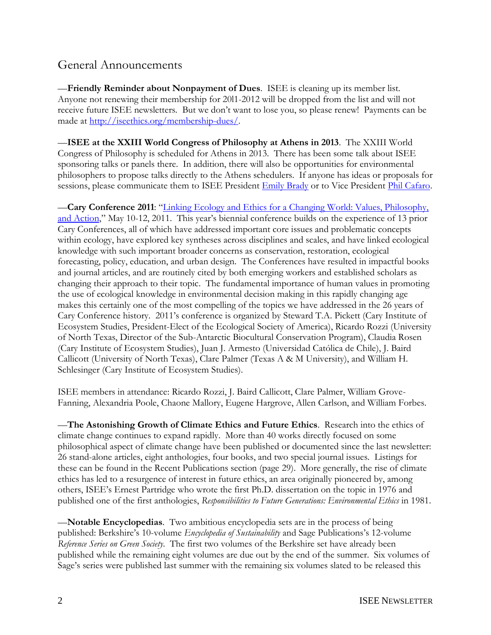# General Announcements

—**Friendly Reminder about Nonpayment of Dues**. ISEE is cleaning up its member list. Anyone not renewing their membership for 20l1-2012 will be dropped from the list and will not receive future ISEE newsletters. But we don't want to lose you, so please renew! Payments can be made at [http://iseethics.org/membership-dues/.](http://iseethics.org/membership-dues/)

—**ISEE at the XXIII World Congress of Philosophy at Athens in 2013**. The XXIII World Congress of Philosophy is scheduled for Athens in 2013. There has been some talk about ISEE sponsoring talks or panels there. In addition, there will also be opportunities for environmental philosophers to propose talks directly to the Athens schedulers. If anyone has ideas or proposals for sessions, please communicate them to ISEE President [Emily Brady](mailto:emily.brady@ed.ac.uk) or to Vice President [Phil Cafaro.](mailto:philip.cafaro@colostate.edu)

—**Cary Conference** 2011: "Linking Ecology and Ethics for a Changing World: Values, Philosophy, [and Action,](http://www.ecostudies.org/cary14/index.html)" May 10-12, 2011. This year's biennial conference builds on the experience of 13 prior Cary Conferences, all of which have addressed important core issues and problematic concepts within ecology, have explored key syntheses across disciplines and scales, and have linked ecological knowledge with such important broader concerns as conservation, restoration, ecological forecasting, policy, education, and urban design. The Conferences have resulted in impactful books and journal articles, and are routinely cited by both emerging workers and established scholars as changing their approach to their topic. The fundamental importance of human values in promoting the use of ecological knowledge in environmental decision making in this rapidly changing age makes this certainly one of the most compelling of the topics we have addressed in the 26 years of Cary Conference history. 2011's conference is organized by Steward T.A. Pickett (Cary Institute of Ecosystem Studies, President-Elect of the Ecological Society of America), Ricardo Rozzi (University of North Texas, Director of the Sub-Antarctic Biocultural Conservation Program), Claudia Rosen (Cary Institute of Ecosystem Studies), Juan J. Armesto (Universidad Católica de Chile), J. Baird Callicott (University of North Texas), Clare Palmer (Texas A & M University), and William H. Schlesinger (Cary Institute of Ecosystem Studies).

ISEE members in attendance: Ricardo Rozzi, J. Baird Callicott, Clare Palmer, William Grove-Fanning, Alexandria Poole, Chaone Mallory, Eugene Hargrove, Allen Carlson, and William Forbes.

—**The Astonishing Growth of Climate Ethics and Future Ethics**. Research into the ethics of climate change continues to expand rapidly. More than 40 works directly focused on some philosophical aspect of climate change have been published or documented since the last newsletter: 26 stand-alone articles, eight anthologies, four books, and two special journal issues. Listings for these can be found in the Recent Publications section (page 29). More generally, the rise of climate ethics has led to a resurgence of interest in future ethics, an area originally pioneered by, among others, ISEE's Ernest Partridge who wrote the first Ph.D. dissertation on the topic in 1976 and published one of the first anthologies, *Responsibilities to Future Generations: Environmental Ethics* in 1981.

—**Notable Encyclopedias**. Two ambitious encyclopedia sets are in the process of being published: Berkshire's 10-volume *Encyclopedia of Sustainability* and Sage Publications's 12-volume *Reference Series on Green Society*. The first two volumes of the Berkshire set have already been published while the remaining eight volumes are due out by the end of the summer. Six volumes of Sage's series were published last summer with the remaining six volumes slated to be released this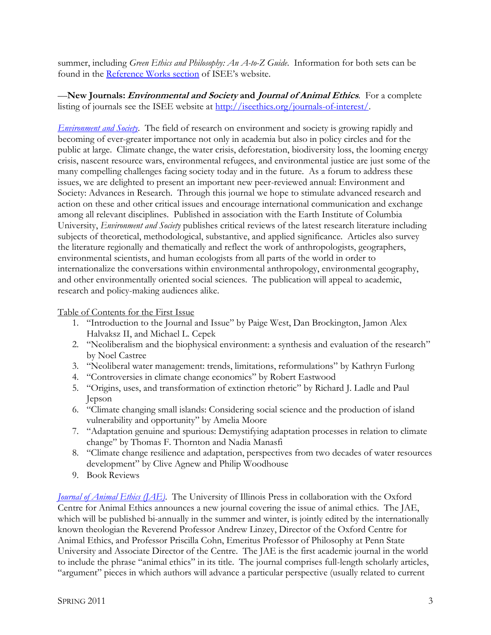summer, including *Green Ethics and Philosophy: An A-to-Z Guide*. Information for both sets can be found in the [Reference Works section](http://iseethics.org/general-reference/) of ISEE's website.

—**New Journals: Environmental and Society and Journal of Animal Ethics**. For a complete listing of journals see the ISEE website at [http://iseethics.org/journals-of-interest/.](http://iseethics.org/journals-of-interest/)

*[Environment and Society](http://journals.berghahnbooks.com/air-es/)*. The field of research on environment and society is growing rapidly and becoming of ever-greater importance not only in academia but also in policy circles and for the public at large. Climate change, the water crisis, deforestation, biodiversity loss, the looming energy crisis, nascent resource wars, environmental refugees, and environmental justice are just some of the many compelling challenges facing society today and in the future. As a forum to address these issues, we are delighted to present an important new peer-reviewed annual: Environment and Society: Advances in Research. Through this journal we hope to stimulate advanced research and action on these and other critical issues and encourage international communication and exchange among all relevant disciplines. Published in association with the Earth Institute of Columbia University, *Environment and Society* publishes critical reviews of the latest research literature including subjects of theoretical, methodological, substantive, and applied significance. Articles also survey the literature regionally and thematically and reflect the work of anthropologists, geographers, environmental scientists, and human ecologists from all parts of the world in order to internationalize the conversations within environmental anthropology, environmental geography, and other environmentally oriented social sciences. The publication will appeal to academic, research and policy-making audiences alike.

Table of Contents for the First Issue

- 1. "Introduction to the Journal and Issue" by Paige West, Dan Brockington, Jamon Alex Halvaksz II, and Michael L. Cepek
- 2. "Neoliberalism and the biophysical environment: a synthesis and evaluation of the research" by Noel Castree
- 3. "Neoliberal water management: trends, limitations, reformulations" by Kathryn Furlong
- 4. "Controversies in climate change economics" by Robert Eastwood
- 5. "Origins, uses, and transformation of extinction rhetoric" by Richard J. Ladle and Paul Jepson
- 6. ―Climate changing small islands: Considering social science and the production of island vulnerability and opportunity" by Amelia Moore
- 7. "Adaptation genuine and spurious: Demystifying adaptation processes in relation to climate change" by Thomas F. Thornton and Nadia Manasfi
- 8. "Climate change resilience and adaptation, perspectives from two decades of water resources development" by Clive Agnew and Philip Woodhouse
- 9. Book Reviews

*[Journal of Animal Ethics \(JAE\)](http://www.press.uillinois.edu/journals/jane.html)*. The University of Illinois Press in collaboration with the Oxford Centre for Animal Ethics announces a new journal covering the issue of animal ethics. The JAE, which will be published bi-annually in the summer and winter, is jointly edited by the internationally known theologian the Reverend Professor Andrew Linzey, Director of the Oxford Centre for Animal Ethics, and Professor Priscilla Cohn, Emeritus Professor of Philosophy at Penn State University and Associate Director of the Centre. The JAE is the first academic journal in the world to include the phrase "animal ethics" in its title. The journal comprises full-length scholarly articles, "argument" pieces in which authors will advance a particular perspective (usually related to current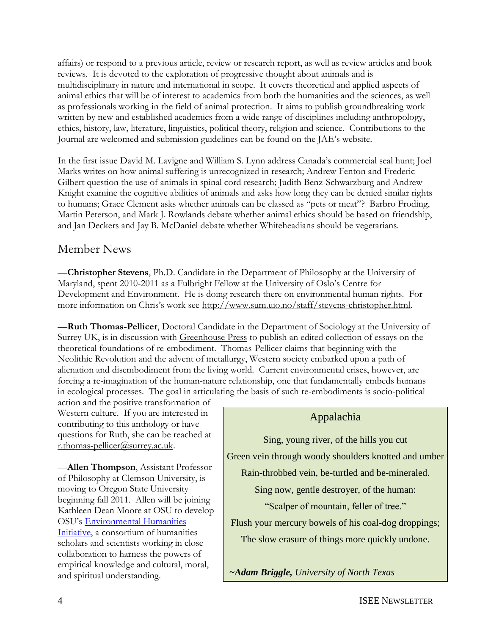affairs) or respond to a previous article, review or research report, as well as review articles and book reviews. It is devoted to the exploration of progressive thought about animals and is multidisciplinary in nature and international in scope. It covers theoretical and applied aspects of animal ethics that will be of interest to academics from both the humanities and the sciences, as well as professionals working in the field of animal protection. It aims to publish groundbreaking work written by new and established academics from a wide range of disciplines including anthropology, ethics, history, law, literature, linguistics, political theory, religion and science. Contributions to the Journal are welcomed and submission guidelines can be found on the JAE's website.

In the first issue David M. Lavigne and William S. Lynn address Canada's commercial seal hunt; Joel Marks writes on how animal suffering is unrecognized in research; Andrew Fenton and Frederic Gilbert question the use of animals in spinal cord research; Judith Benz-Schwarzburg and Andrew Knight examine the cognitive abilities of animals and asks how long they can be denied similar rights to humans; Grace Clement asks whether animals can be classed as "pets or meat"? Barbro Froding, Martin Peterson, and Mark J. Rowlands debate whether animal ethics should be based on friendship, and Jan Deckers and Jay B. McDaniel debate whether Whiteheadians should be vegetarians.

# Member News

—**Christopher Stevens**, Ph.D. Candidate in the Department of Philosophy at the University of Maryland, spent 2010-2011 as a Fulbright Fellow at the University of Oslo's Centre for Development and Environment. He is doing research there on environmental human rights. For more information on Chris's work see [http://www.sum.uio.no/staff/stevens-christopher.html.](http://www.sum.uio.no/staff/stevens-christopher.html)

—**Ruth Thomas-Pellicer**, Doctoral Candidate in the Department of Sociology at the University of Surrey UK, is in discussion with [Greenhouse Press](http://www.wix.com/liam_leonard/greenhouse-press) to publish an edited collection of essays on the theoretical foundations of re-embodiment. Thomas-Pellicer claims that beginning with the Neolithic Revolution and the advent of metallurgy, Western society embarked upon a path of alienation and disembodiment from the living world. Current environmental crises, however, are forcing a re-imagination of the human-nature relationship, one that fundamentally embeds humans in ecological processes. The goal in articulating the basis of such re-embodiments is socio-political

action and the positive transformation of Western culture. If you are interested in contributing to this anthology or have questions for Ruth, she can be reached at [r.thomas-pellicer@surrey.ac.uk.](mailto:r.thomas-pellicer@surrey.ac.uk)

—**Allen Thompson**, Assistant Professor of Philosophy at Clemson University, is moving to Oregon State University beginning fall 2011. Allen will be joining Kathleen Dean Moore at OSU to develop OSU's [Environmental Humanities](http://oregonstate.edu/cla/environmentalhumanities/home)  [Initiative,](http://oregonstate.edu/cla/environmentalhumanities/home) a consortium of humanities scholars and scientists working in close collaboration to harness the powers of empirical knowledge and cultural, moral, and spiritual understanding.

# Appalachia

Sing, young river, of the hills you cut Green vein through woody shoulders knotted and umber Rain-throbbed vein, be-turtled and be-mineraled. Sing now, gentle destroyer, of the human: "Scalper of mountain, feller of tree." Flush your mercury bowels of his coal-dog droppings; The slow erasure of things more quickly undone.

*~Adam Briggle, University of North Texas*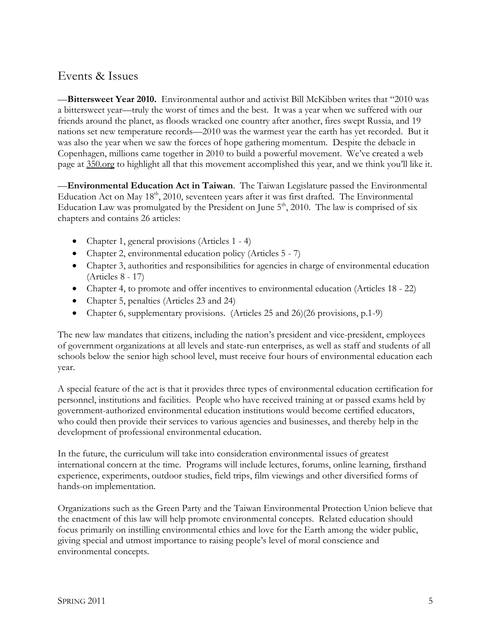# Events & Issues

**—Bittersweet Year 2010.** Environmental author and activist Bill McKibben writes that "2010 was a bittersweet year—truly the worst of times and the best. It was a year when we suffered with our friends around the planet, as floods wracked one country after another, fires swept Russia, and 19 nations set new temperature records—2010 was the warmest year the earth has yet recorded. But it was also the year when we saw the forces of hope gathering momentum. Despite the debacle in Copenhagen, millions came together in 2010 to build a powerful movement. We've created a web page at [350.org](http://www.350.org/2010/index.html) to highlight all that this movement accomplished this year, and we think you'll like it.

—**Environmental Education Act in Taiwan**. The Taiwan Legislature passed the Environmental Education Act on May  $18<sup>th</sup>$ , 2010, seventeen years after it was first drafted. The Environmental Education Law was promulgated by the President on June  $5<sup>th</sup>$ , 2010. The law is comprised of six chapters and contains 26 articles:

- Chapter 1, general provisions (Articles 1 4)
- Chapter 2, environmental education policy (Articles 5 7)
- Chapter 3, authorities and responsibilities for agencies in charge of environmental education (Articles 8 - 17)
- Chapter 4, to promote and offer incentives to environmental education (Articles 18 22)
- Chapter 5, penalties (Articles 23 and 24)
- Chapter 6, supplementary provisions. (Articles 25 and 26)(26 provisions, p.1-9)

The new law mandates that citizens, including the nation's president and vice-president, employees of government organizations at all levels and state-run enterprises, as well as staff and students of all schools below the senior high school level, must receive four hours of environmental education each year.

A special feature of the act is that it provides three types of environmental education certification for personnel, institutions and facilities. People who have received training at or passed exams held by government-authorized environmental education institutions would become certified educators, who could then provide their services to various agencies and businesses, and thereby help in the development of professional environmental education.

In the future, the curriculum will take into consideration environmental issues of greatest international concern at the time. Programs will include lectures, forums, online learning, firsthand experience, experiments, outdoor studies, field trips, film viewings and other diversified forms of hands-on implementation.

Organizations such as the Green Party and the Taiwan Environmental Protection Union believe that the enactment of this law will help promote environmental concepts. Related education should focus primarily on instilling environmental ethics and love for the Earth among the wider public, giving special and utmost importance to raising people's level of moral conscience and environmental concepts.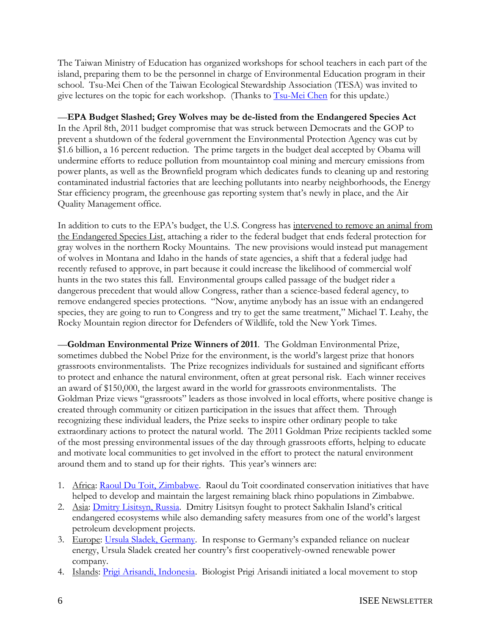The Taiwan Ministry of Education has organized workshops for school teachers in each part of the island, preparing them to be the personnel in charge of Environmental Education program in their school. Tsu-Mei Chen of the Taiwan Ecological Stewardship Association (TESA) was invited to give lectures on the topic for each workshop. (Thanks to [Tsu-Mei Chen](mailto:taixneco@seed.net.tw) for this update.)

### —**EPA Budget Slashed; Grey Wolves may be de-listed from the Endangered Species Act**

In the April 8th, 2011 budget compromise that was struck between Democrats and the GOP to prevent a shutdown of the federal government the Environmental Protection Agency was cut by \$1.6 billion, a 16 percent reduction. The prime targets in the budget deal accepted by Obama will undermine efforts to reduce pollution from mountaintop coal mining and mercury emissions from power plants, as well as the Brownfield program which dedicates funds to cleaning up and restoring contaminated industrial factories that are leeching pollutants into nearby neighborhoods, the Energy Star efficiency program, the greenhouse gas reporting system that's newly in place, and the Air Quality Management office.

In addition to cuts to the EPA's budget, the U.S. Congress has [intervened to remove an animal from](http://www.nytimes.com/2011/04/13/us/politics/13wolves.html?ref=politics)  [the Endangered Species List,](http://www.nytimes.com/2011/04/13/us/politics/13wolves.html?ref=politics) attaching a rider to the federal budget that ends federal protection for gray wolves in the northern Rocky Mountains. The new provisions would instead put management of wolves in Montana and Idaho in the hands of state agencies, a shift that a federal judge had recently refused to approve, in part because it could increase the likelihood of commercial wolf hunts in the two states this fall. Environmental groups called passage of the budget rider a dangerous precedent that would allow Congress, rather than a science-based federal agency, to remove endangered species protections. "Now, anytime anybody has an issue with an endangered species, they are going to run to Congress and try to get the same treatment," Michael T. Leahy, the Rocky Mountain region director for Defenders of Wildlife, told the New York Times.

—**Goldman Environmental Prize Winners of 2011**. The Goldman Environmental Prize, sometimes dubbed the Nobel Prize for the environment, is the world's largest prize that honors grassroots environmentalists. The Prize recognizes individuals for sustained and significant efforts to protect and enhance the natural environment, often at great personal risk. Each winner receives an award of \$150,000, the largest award in the world for grassroots environmentalists. The Goldman Prize views "grassroots" leaders as those involved in local efforts, where positive change is created through community or citizen participation in the issues that affect them. Through recognizing these individual leaders, the Prize seeks to inspire other ordinary people to take extraordinary actions to protect the natural world. The 2011 Goldman Prize recipients tackled some of the most pressing environmental issues of the day through grassroots efforts, helping to educate and motivate local communities to get involved in the effort to protect the natural environment around them and to stand up for their rights. This year's winners are:

- 1. Africa: [Raoul Du Toit, Zimbabwe.](http://goldmanprize.org/2011/africa) Raoul du Toit coordinated conservation initiatives that have helped to develop and maintain the largest remaining black rhino populations in Zimbabwe.
- 2. Asia: [Dmitry Lisitsyn, Russia.](http://goldmanprize.org/2011/asia) Dmitry Lisitsyn fought to protect Sakhalin Island's critical endangered ecosystems while also demanding safety measures from one of the world's largest petroleum development projects.
- 3. Europe: [Ursula Sladek, Germany.](http://goldmanprize.org/2011/europe) In response to Germany's expanded reliance on nuclear energy, Ursula Sladek created her country's first cooperatively-owned renewable power company.
- 4. Islands: [Prigi Arisandi, Indonesia.](http://goldmanprize.org/2011/islands) Biologist Prigi Arisandi initiated a local movement to stop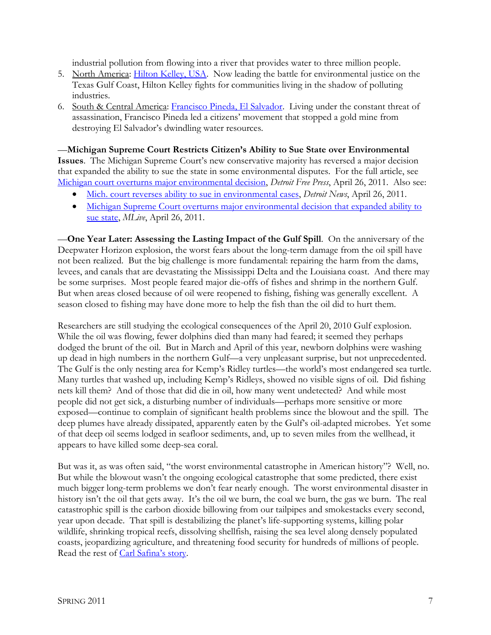industrial pollution from flowing into a river that provides water to three million people.

- 5. North America: [Hilton Kelley, USA.](http://goldmanprize.org/2011/northamerica) Now leading the battle for environmental justice on the Texas Gulf Coast, Hilton Kelley fights for communities living in the shadow of polluting industries.
- 6. South & Central America: [Francisco Pineda, El Salvador.](http://goldmanprize.org/2011/southcentralamerica) Living under the constant threat of assassination, Francisco Pineda led a citizens' movement that stopped a gold mine from destroying El Salvador's dwindling water resources.

—**Michigan Supreme Court Restricts Citizen's Ability to Sue State over Environmental Issues**. The Michigan Supreme Court's new conservative majority has reversed a major decision that expanded the ability to sue the state in some environmental disputes. For the full article, see [Michigan court overturns major environmental decision,](http://www.freep.com/article/20110426/NEWS06/110426019/1008/news06/Michigan-court-overturns-major-environmental-decision) *Detroit Free Press*, April 26, 2011. Also see:

- [Mich. court reverses ability to sue in environmental cases,](http://www.detnews.com/article/20110426/LIFESTYLE14/104260394/1361/Mich.-court-reverses-ability-to-sue-in-environmental-cases) *Detroit News*, April 26, 2011.
- Michigan Supreme Court overturns major environmental decision that expanded ability to [sue state,](http://www.mlive.com/politics/index.ssf/2011/04/michigan_supreme_court_overtur.html) *MLive*, April 26, 2011.

—**One Year Later: Assessing the Lasting Impact of the Gulf Spill**. On the anniversary of the Deepwater Horizon explosion, the worst fears about the long-term damage from the oil spill have not been realized. But the big challenge is more fundamental: repairing the harm from the dams, levees, and canals that are devastating the Mississippi Delta and the Louisiana coast. And there may be some surprises. Most people feared major die-offs of fishes and shrimp in the northern Gulf. But when areas closed because of oil were reopened to fishing, fishing was generally excellent. A season closed to fishing may have done more to help the fish than the oil did to hurt them.

Researchers are still studying the ecological consequences of the April 20, 2010 Gulf explosion. While the oil was flowing, fewer dolphins died than many had feared; it seemed they perhaps dodged the brunt of the oil. But in March and April of this year, newborn dolphins were washing up dead in high numbers in the northern Gulf—a very unpleasant surprise, but not unprecedented. The Gulf is the only nesting area for Kemp's Ridley turtles—the world's most endangered sea turtle. Many turtles that washed up, including Kemp's Ridleys, showed no visible signs of oil. Did fishing nets kill them? And of those that did die in oil, how many went undetected? And while most people did not get sick, a disturbing number of individuals—perhaps more sensitive or more exposed—continue to complain of significant health problems since the blowout and the spill. The deep plumes have already dissipated, apparently eaten by the Gulf's oil-adapted microbes. Yet some of that deep oil seems lodged in seafloor sediments, and, up to seven miles from the wellhead, it appears to have killed some deep-sea coral.

But was it, as was often said, "the worst environmental catastrophe in American history"? Well, no. But while the blowout wasn't the ongoing ecological catastrophe that some predicted, there exist much bigger long-term problems we don't fear nearly enough. The worst environmental disaster in history isn't the oil that gets away. It's the oil we burn, the coal we burn, the gas we burn. The real catastrophic spill is the carbon dioxide billowing from our tailpipes and smokestacks every second, year upon decade. That spill is destabilizing the planet's life-supporting systems, killing polar wildlife, shrinking tropical reefs, dissolving shellfish, raising the sea level along densely populated coasts, jeopardizing agriculture, and threatening food security for hundreds of millions of people. Read the rest of [Carl Safina](http://e360.yale.edu/content/feature.msp?id=2394)'s story.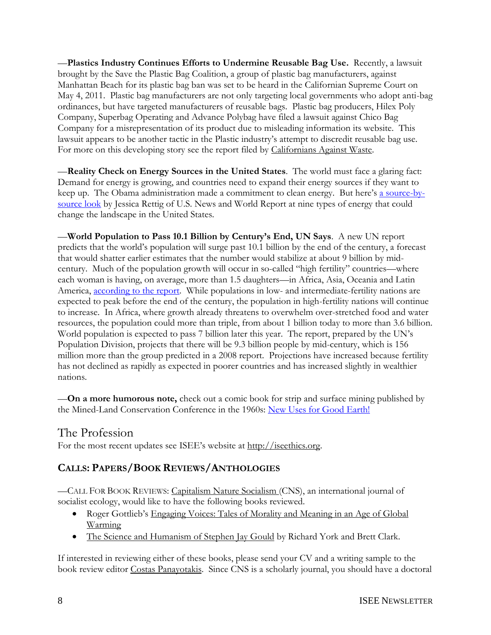—**Plastics Industry Continues Efforts to Undermine Reusable Bag Use.** Recently, a lawsuit brought by the Save the Plastic Bag Coalition, a group of plastic bag manufacturers, against Manhattan Beach for its plastic bag ban was set to be heard in the Californian Supreme Court on May 4, 2011. Plastic bag manufacturers are not only targeting local governments who adopt anti-bag ordinances, but have targeted manufacturers of reusable bags. Plastic bag producers, Hilex Poly Company, Superbag Operating and Advance Polybag have filed a lawsuit against Chico Bag Company for a misrepresentation of its product due to misleading information its website. This lawsuit appears to be another tactic in the Plastic industry's attempt to discredit reusable bag use. For more on this developing story see the report filed by [Californians Against Waste.](http://www.cawrecycles.org/whats_new/recycling_news/apr11_chicobaglawsuit)

—**Reality Check on Energy Sources in the United States**. The world must face a glaring fact: Demand for energy is growing, and countries need to expand their energy sources if they want to keep up. The Obama administration made a commitment to clean energy. But here's [a source-by](http://www.usnews.com/news/energy/slideshows/energy-reality-check)[source look](http://www.usnews.com/news/energy/slideshows/energy-reality-check) by Jessica Rettig of U.S. News and World Report at nine types of energy that could change the landscape in the United States.

—**World Population to Pass 10.1 Billion by Century's End, UN Says**. A new UN report predicts that the world's population will surge past 10.1 billion by the end of the century, a forecast that would shatter earlier estimates that the number would stabilize at about 9 billion by midcentury. Much of the population growth will occur in so-called "high fertility" countries—where each woman is having, on average, more than 1.5 daughters—in Africa, Asia, Oceania and Latin America, [according to the report.](http://esa.un.org/unpd/wpp/index.htm) While populations in low- and intermediate-fertility nations are expected to peak before the end of the century, the population in high-fertility nations will continue to increase. In Africa, where growth already threatens to overwhelm over-stretched food and water resources, the population could more than triple, from about 1 billion today to more than 3.6 billion. World population is expected to pass 7 billion later this year. The report, prepared by the UN's Population Division, projects that there will be 9.3 billion people by mid-century, which is 156 million more than the group predicted in a 2008 report. Projections have increased because fertility has not declined as rapidly as expected in poorer countries and has increased slightly in wealthier nations.

—**On a more humorous note,** check out a comic book for strip and surface mining published by the Mined-Land Conservation Conference in the 1960s: [New Uses for Good Earth!](http://iseethics.files.wordpress.com/2011/05/new-uses-for-good-earth-1960s-comic-book.pdf)

# The Profession

For the most recent updates see ISEE's website at [http://iseethics.org.](http://iseethics.org/)

# **CALLS: PAPERS/BOOK REVIEWS/ANTHOLOGIES**

—CALL FOR BOOK REVIEWS: [Capitalism Nature Socialism \(](http://www.cnsjournal.org/)CNS), an international journal of socialist ecology, would like to have the following books reviewed.

- Roger Gottlieb's [Engaging Voices: Tales of Morality and Meaning in an Age of Global](http://www.baylorpress.com/Book/249/Engaging_Voices.html)  [Warming](http://www.baylorpress.com/Book/249/Engaging_Voices.html)
- [The Science and Humanism of Stephen Jay Gould](http://www.monthlyreview.org/books/stephenjaygould.php) by Richard York and Brett Clark.

If interested in reviewing either of these books, please send your CV and a writing sample to the book review editor [Costas Panayotakis.](mailto:cpanayotakis@yahoo.com) Since CNS is a scholarly journal, you should have a doctoral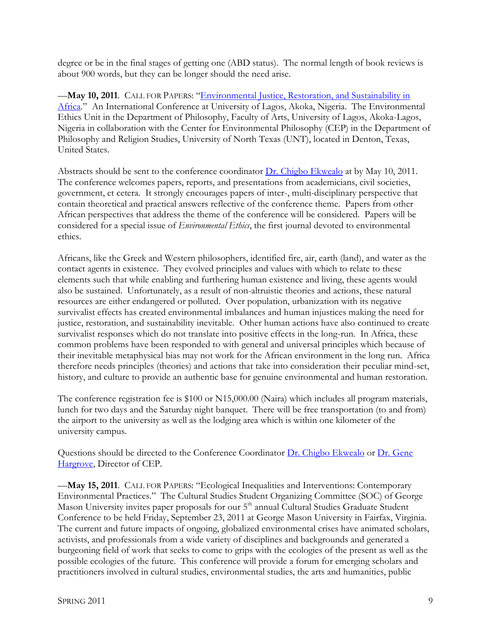degree or be in the final stages of getting one (ABD status). The normal length of book reviews is about 900 words, but they can be longer should the need arise.

**—May 10, 2011**. CALL FOR PAPERS: "Environmental Justice, Restoration, and Sustainability in [Africa.](http://www.cep.unt.edu/africa/2010-conference.htm)" An International Conference at University of Lagos, Akoka, Nigeria. The Environmental Ethics Unit in the Department of Philosophy, Faculty of Arts, University of Lagos, Akoka-Lagos, Nigeria in collaboration with the Center for Environmental Philosophy (CEP) in the Department of Philosophy and Religion Studies, University of North Texas (UNT), located in Denton, Texas, United States.

Abstracts should be sent to the conference coordinator [Dr. Chigbo Ekwealo](mailto:cekwealo@unilag.edu.ng) at by May 10, 2011. The conference welcomes papers, reports, and presentations from academicians, civil societies, government, et cetera. It strongly encourages papers of inter-, multi-disciplinary perspective that contain theoretical and practical answers reflective of the conference theme. Papers from other African perspectives that address the theme of the conference will be considered. Papers will be considered for a special issue of *Environmental Ethics*, the first journal devoted to environmental ethics.

Africans, like the Greek and Western philosophers, identified fire, air, earth (land), and water as the contact agents in existence. They evolved principles and values with which to relate to these elements such that while enabling and furthering human existence and living, these agents would also be sustained. Unfortunately, as a result of non-altruistic theories and actions, these natural resources are either endangered or polluted. Over population, urbanization with its negative survivalist effects has created environmental imbalances and human injustices making the need for justice, restoration, and sustainability inevitable. Other human actions have also continued to create survivalist responses which do not translate into positive effects in the long-run. In Africa, these common problems have been responded to with general and universal principles which because of their inevitable metaphysical bias may not work for the African environment in the long run. Africa therefore needs principles (theories) and actions that take into consideration their peculiar mind-set, history, and culture to provide an authentic base for genuine environmental and human restoration.

The conference registration fee is \$100 or N15,000.00 (Naira) which includes all program materials, lunch for two days and the Saturday night banquet. There will be free transportation (to and from) the airport to the university as well as the lodging area which is within one kilometer of the university campus.

Questions should be directed to the Conference Coordinator [Dr. Chigbo Ekwealo](mailto:cekwealo@unilag.edu.ng) or Dr. Gene [Hargrove,](mailto:hargrove@unt.edu) Director of CEP.

—May 15, 2011. CALL FOR PAPERS: "Ecological Inequalities and Interventions: Contemporary Environmental Practices." The Cultural Studies Student Organizing Committee (SOC) of George Mason University invites paper proposals for our 5<sup>th</sup> annual Cultural Studies Graduate Student Conference to be held Friday, September 23, 2011 at George Mason University in Fairfax, Virginia. The current and future impacts of ongoing, globalized environmental crises have animated scholars, activists, and professionals from a wide variety of disciplines and backgrounds and generated a burgeoning field of work that seeks to come to grips with the ecologies of the present as well as the possible ecologies of the future. This conference will provide a forum for emerging scholars and practitioners involved in cultural studies, environmental studies, the arts and humanities, public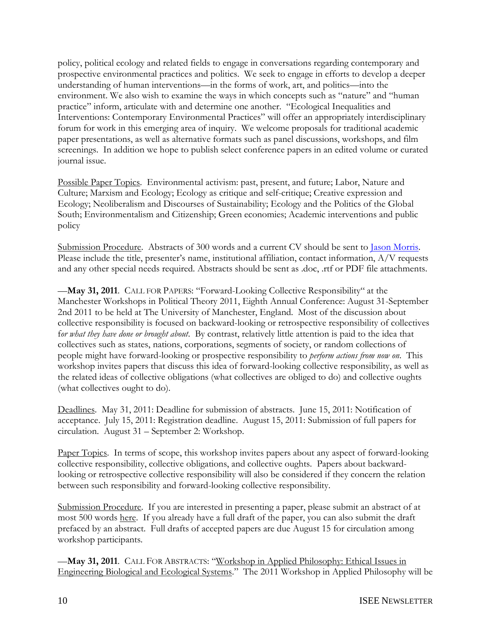policy, political ecology and related fields to engage in conversations regarding contemporary and prospective environmental practices and politics. We seek to engage in efforts to develop a deeper understanding of human interventions—in the forms of work, art, and politics—into the environment. We also wish to examine the ways in which concepts such as "nature" and "human practice" inform, articulate with and determine one another. "Ecological Inequalities and Interventions: Contemporary Environmental Practices" will offer an appropriately interdisciplinary forum for work in this emerging area of inquiry. We welcome proposals for traditional academic paper presentations, as well as alternative formats such as panel discussions, workshops, and film screenings. In addition we hope to publish select conference papers in an edited volume or curated journal issue.

Possible Paper Topics. Environmental activism: past, present, and future; Labor, Nature and Culture; Marxism and Ecology; Ecology as critique and self-critique; Creative expression and Ecology; Neoliberalism and Discourses of Sustainability; Ecology and the Politics of the Global South; Environmentalism and Citizenship; Green economies; Academic interventions and public policy

Submission Procedure. Abstracts of 300 words and a current CV should be sent to [Jason Morris.](mailto:jmorrisf@masonlive.gmu.edu) Please include the title, presenter's name, institutional affiliation, contact information, A/V requests and any other special needs required. Abstracts should be sent as .doc, .rtf or PDF file attachments.

—May 31, 2011. CALL FOR PAPERS: "[Forward-Looking Collective Responsibility](http://www.prospectiveresponsibility2011.felixpinkert.com/)" at the Manchester Workshops in Political Theory 2011, Eighth Annual Conference: August 31-September 2nd 2011 to be held at The University of Manchester, England. Most of the discussion about collective responsibility is focused on backward-looking or retrospective responsibility of collectives f*or what they have done or brought about*. By contrast, relatively little attention is paid to the idea that collectives such as states, nations, corporations, segments of society, or random collections of people might have forward-looking or prospective responsibility to *perform actions from now on*. This workshop invites papers that discuss this idea of forward-looking collective responsibility, as well as the related ideas of collective obligations (what collectives are obliged to do) and collective oughts (what collectives ought to do).

Deadlines. May 31, 2011: Deadline for submission of abstracts. June 15, 2011: Notification of acceptance. July 15, 2011: Registration deadline. August 15, 2011: Submission of full papers for circulation. August 31 – September 2: Workshop.

Paper Topics. In terms of scope, this workshop invites papers about any aspect of forward-looking collective responsibility, collective obligations, and collective oughts. Papers about backwardlooking or retrospective collective responsibility will also be considered if they concern the relation between such responsibility and forward-looking collective responsibility.

Submission Procedure. If you are interested in presenting a paper, please submit an abstract of at most 500 words [here.](http://www.prospectiveresponsibility2011.felixpinkert.com/?page_id=14) If you already have a full draft of the paper, you can also submit the draft prefaced by an abstract. Full drafts of accepted papers are due August 15 for circulation among workshop participants.

—May 31, 2011. CALL FOR ABSTRACTS: "Workshop in Applied Philosophy: Ethical Issues in [Engineering Biological and Ecological Systems.](http://www.northeastern.edu/ethics/)" The 2011 Workshop in Applied Philosophy will be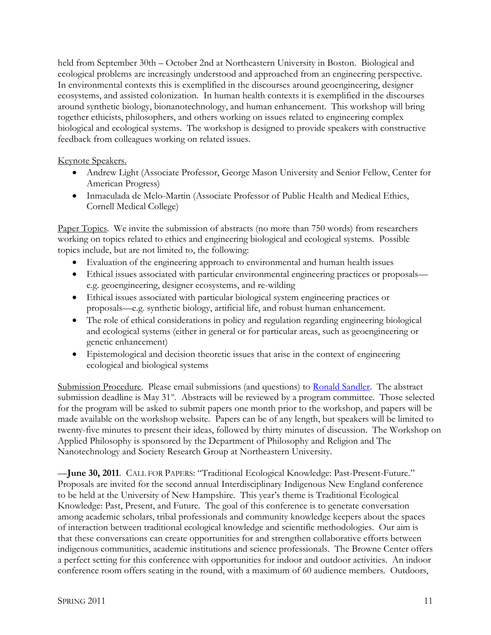held from September 30th – October 2nd at Northeastern University in Boston. Biological and ecological problems are increasingly understood and approached from an engineering perspective. In environmental contexts this is exemplified in the discourses around geoengineering, designer ecosystems, and assisted colonization. In human health contexts it is exemplified in the discourses around synthetic biology, bionanotechnology, and human enhancement. This workshop will bring together ethicists, philosophers, and others working on issues related to engineering complex biological and ecological systems. The workshop is designed to provide speakers with constructive feedback from colleagues working on related issues.

Keynote Speakers.

- Andrew Light (Associate Professor, George Mason University and Senior Fellow, Center for American Progress)
- Inmaculada de Melo-Martin (Associate Professor of Public Health and Medical Ethics, Cornell Medical College)

Paper Topics. We invite the submission of abstracts (no more than 750 words) from researchers working on topics related to ethics and engineering biological and ecological systems. Possible topics include, but are not limited to, the following:

- Evaluation of the engineering approach to environmental and human health issues
- Ethical issues associated with particular environmental engineering practices or proposals e.g. geoengineering, designer ecosystems, and re-wilding
- Ethical issues associated with particular biological system engineering practices or proposals—e.g. synthetic biology, artificial life, and robust human enhancement.
- The role of ethical considerations in policy and regulation regarding engineering biological and ecological systems (either in general or for particular areas, such as geoengineering or genetic enhancement)
- Epistemological and decision theoretic issues that arise in the context of engineering ecological and biological systems

Submission Procedure. Please email submissions (and questions) to [Ronald Sandler.](mailto:r.sandler@neu.edu) The abstract submission deadline is May 31<sup>st</sup>. Abstracts will be reviewed by a program committee. Those selected for the program will be asked to submit papers one month prior to the workshop, and papers will be made available on the workshop website. Papers can be of any length, but speakers will be limited to twenty-five minutes to present their ideas, followed by thirty minutes of discussion. The Workshop on Applied Philosophy is sponsored by the Department of Philosophy and Religion and The Nanotechnology and Society Research Group at Northeastern University.

-June 30, 2011. CALL FOR PAPERS: "Traditional Ecological Knowledge: Past-Present-Future." Proposals are invited for the second annual Interdisciplinary Indigenous New England conference to be held at the University of New Hampshire. This year's theme is Traditional Ecological Knowledge: Past, Present, and Future. The goal of this conference is to generate conversation among academic scholars, tribal professionals and community knowledge keepers about the spaces of interaction between traditional ecological knowledge and scientific methodologies. Our aim is that these conversations can create opportunities for and strengthen collaborative efforts between indigenous communities, academic institutions and science professionals. The Browne Center offers a perfect setting for this conference with opportunities for indoor and outdoor activities. An indoor conference room offers seating in the round, with a maximum of 60 audience members. Outdoors,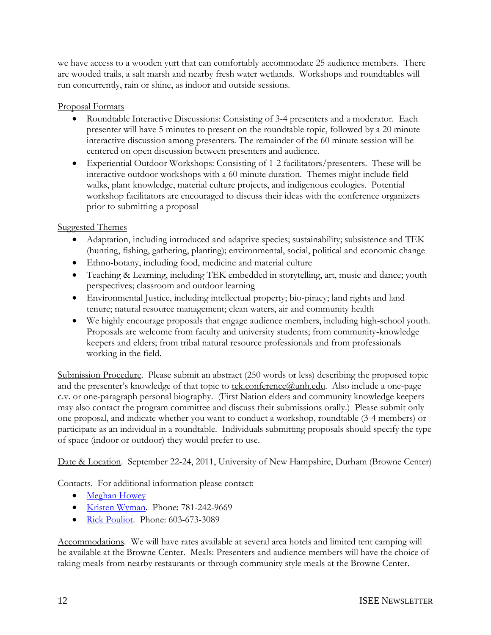we have access to a wooden yurt that can comfortably accommodate 25 audience members. There are wooded trails, a salt marsh and nearby fresh water wetlands. Workshops and roundtables will run concurrently, rain or shine, as indoor and outside sessions.

### Proposal Formats

- Roundtable Interactive Discussions: Consisting of 3-4 presenters and a moderator. Each presenter will have 5 minutes to present on the roundtable topic, followed by a 20 minute interactive discussion among presenters. The remainder of the 60 minute session will be centered on open discussion between presenters and audience.
- Experiential Outdoor Workshops: Consisting of 1-2 facilitators/presenters. These will be interactive outdoor workshops with a 60 minute duration. Themes might include field walks, plant knowledge, material culture projects, and indigenous ecologies. Potential workshop facilitators are encouraged to discuss their ideas with the conference organizers prior to submitting a proposal

### Suggested Themes

- Adaptation, including introduced and adaptive species; sustainability; subsistence and TEK (hunting, fishing, gathering, planting); environmental, social, political and economic change
- Ethno-botany, including food, medicine and material culture
- Teaching & Learning, including TEK embedded in storytelling, art, music and dance; youth perspectives; classroom and outdoor learning
- Environmental Justice, including intellectual property; bio-piracy; land rights and land tenure; natural resource management; clean waters, air and community health
- We highly encourage proposals that engage audience members, including high-school youth. Proposals are welcome from faculty and university students; from community-knowledge keepers and elders; from tribal natural resource professionals and from professionals working in the field.

Submission Procedure. Please submit an abstract (250 words or less) describing the proposed topic and the presenter's knowledge of that topic to [tek.conference@unh.edu.](mailto:tek.conference@unh.edu) Also include a one-page c.v. or one-paragraph personal biography. (First Nation elders and community knowledge keepers may also contact the program committee and discuss their submissions orally.) Please submit only one proposal, and indicate whether you want to conduct a workshop, roundtable (3-4 members) or participate as an individual in a roundtable. Individuals submitting proposals should specify the type of space (indoor or outdoor) they would prefer to use.

Date & Location. September 22-24, 2011, University of New Hampshire, Durham (Browne Center)

Contacts. For additional information please contact:

- [Meghan Howey](mailto:meghan.howey@unh.edu)
- [Kristen Wyman.](mailto:kwyman@gedakina.org) Phone: 781-242-9669
- [Rick Pouliot.](mailto:rickpouliot@gedakina.org) Phone: 603-673-3089

Accommodations. We will have rates available at several area hotels and limited tent camping will be available at the Browne Center. Meals: Presenters and audience members will have the choice of taking meals from nearby restaurants or through community style meals at the Browne Center.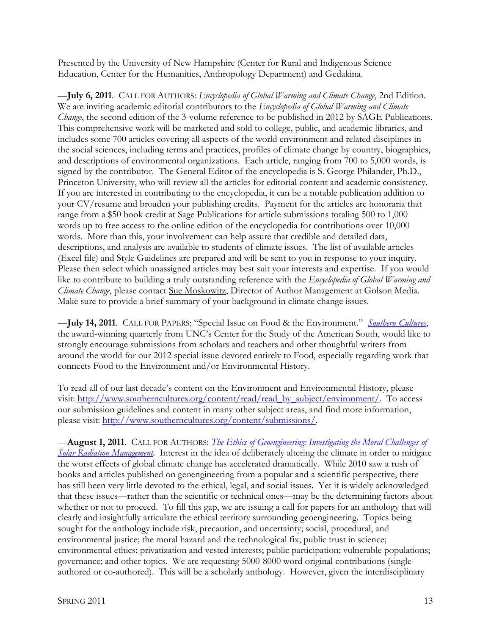Presented by the University of New Hampshire (Center for Rural and Indigenous Science Education, Center for the Humanities, Anthropology Department) and Gedakina.

—**July 6, 2011**. CALL FOR AUTHORS: *Encyclopedia of Global Warming and Climate Change*, 2nd Edition. We are inviting academic editorial contributors to the *Encyclopedia of Global Warming and Climate Change*, the second edition of the 3-volume reference to be published in 2012 by SAGE Publications. This comprehensive work will be marketed and sold to college, public, and academic libraries, and includes some 700 articles covering all aspects of the world environment and related disciplines in the social sciences, including terms and practices, profiles of climate change by country, biographies, and descriptions of environmental organizations. Each article, ranging from 700 to 5,000 words, is signed by the contributor. The General Editor of the encyclopedia is S. George Philander, Ph.D., Princeton University, who will review all the articles for editorial content and academic consistency. If you are interested in contributing to the encyclopedia, it can be a notable publication addition to your CV/resume and broaden your publishing credits. Payment for the articles are honoraria that range from a \$50 book credit at Sage Publications for article submissions totaling 500 to 1,000 words up to free access to the online edition of the encyclopedia for contributions over 10,000 words. More than this, your involvement can help assure that credible and detailed data, descriptions, and analysis are available to students of climate issues. The list of available articles (Excel file) and Style Guidelines are prepared and will be sent to you in response to your inquiry. Please then select which unassigned articles may best suit your interests and expertise. If you would like to contribute to building a truly outstanding reference with the *Encyclopedia of Global Warming and Climate Change*, please contact [Sue Moskowitz,](mailto:gw2@golsonmedia.com) Director of Author Management at Golson Media. Make sure to provide a brief summary of your background in climate change issues.

—**July 14, 2011**. CALL FOR PAPERS: "Special Issue on Food & the Environment." [Southern Cultures](http://www.southerncultures.org/), the award-winning quarterly from UNC's Center for the Study of the American South, would like to strongly encourage submissions from scholars and teachers and other thoughtful writers from around the world for our 2012 special issue devoted entirely to Food, especially regarding work that connects Food to the Environment and/or Environmental History.

To read all of our last decade's content on the Environment and Environmental History, please visit: [http://www.southerncultures.org/content/read/read\\_by\\_subject/environment/.](http://www.southerncultures.org/content/read/read_by_subject/environment/) To access our submission guidelines and content in many other subject areas, and find more information, please visit: [http://www.southerncultures.org/content/submissions/.](http://www.southerncultures.org/content/submissions/)

—**August 1, 2011**. CALL FOR AUTHORS: *[The Ethics of Geoengineering: Investigating the Moral Challenges of](http://www.umt.edu/ethics/EthicsGeoengineering/Anthology.aspx)  [Solar Radiation Management](http://www.umt.edu/ethics/EthicsGeoengineering/Anthology.aspx)*. Interest in the idea of deliberately altering the climate in order to mitigate the worst effects of global climate change has accelerated dramatically. While 2010 saw a rush of books and articles published on geoengineering from a popular and a scientific perspective, there has still been very little devoted to the ethical, legal, and social issues. Yet it is widely acknowledged that these issues—rather than the scientific or technical ones—may be the determining factors about whether or not to proceed. To fill this gap, we are issuing a call for papers for an anthology that will clearly and insightfully articulate the ethical territory surrounding geoengineering. Topics being sought for the anthology include risk, precaution, and uncertainty; social, procedural, and environmental justice; the moral hazard and the technological fix; public trust in science; environmental ethics; privatization and vested interests; public participation; vulnerable populations; governance; and other topics. We are requesting 5000-8000 word original contributions (singleauthored or co-authored). This will be a scholarly anthology. However, given the interdisciplinary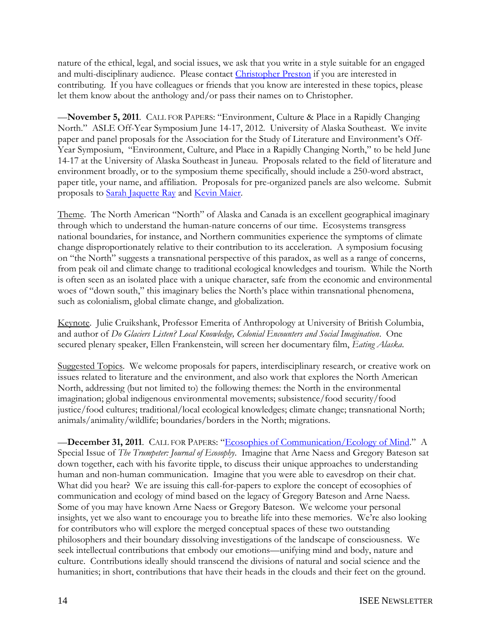nature of the ethical, legal, and social issues, we ask that you write in a style suitable for an engaged and multi-disciplinary audience. Please contact [Christopher Preston](mailto:christopher.preston@umontana.edu) if you are interested in contributing. If you have colleagues or friends that you know are interested in these topics, please let them know about the anthology and/or pass their names on to Christopher.

—**November 5, 2011**. CALL FOR PAPERS: "Environment, Culture & Place in a Rapidly Changing North." ASLE Off-Year Symposium June 14-17, 2012. University of Alaska Southeast. We invite paper and panel proposals for the Association for the Study of Literature and Environment's Off-Year Symposium, "Environment, Culture, and Place in a Rapidly Changing North," to be held June 14-17 at the University of Alaska Southeast in Juneau. Proposals related to the field of literature and environment broadly, or to the symposium theme specifically, should include a 250-word abstract, paper title, your name, and affiliation. Proposals for pre-organized panels are also welcome. Submit proposals to [Sarah Jaquette Ray](mailto:sjray@uas.alaska.edu) and [Kevin Maier.](mailto:kevin.maier@uas.alaska.edu)

Theme. The North American "North" of Alaska and Canada is an excellent geographical imaginary through which to understand the human-nature concerns of our time. Ecosystems transgress national boundaries, for instance, and Northern communities experience the symptoms of climate change disproportionately relative to their contribution to its acceleration. A symposium focusing on "the North" suggests a transnational perspective of this paradox, as well as a range of concerns, from peak oil and climate change to traditional ecological knowledges and tourism. While the North is often seen as an isolated place with a unique character, safe from the economic and environmental woes of "down south," this imaginary belies the North's place within transnational phenomena, such as colonialism, global climate change, and globalization.

Keynote. Julie Cruikshank, Professor Emerita of Anthropology at University of British Columbia, and author of *Do Glaciers Listen? Local Knowledge, Colonial Encounters and Social Imagination*. One secured plenary speaker, Ellen Frankenstein, will screen her documentary film, *Eating Alaska*.

Suggested Topics. We welcome proposals for papers, interdisciplinary research, or creative work on issues related to literature and the environment, and also work that explores the North American North, addressing (but not limited to) the following themes: the North in the environmental imagination; global indigenous environmental movements; subsistence/food security/food justice/food cultures; traditional/local ecological knowledges; climate change; transnational North; animals/animality/wildlife; boundaries/borders in the North; migrations.

—**December 31, 2011**. CALL FOR PAPERS: "[Ecosophies of Communication/Ecology of Mind.](http://trumpeter.athabascau.ca/index.php/trumpet/announcement/view/6)" A Special Issue of *The Trumpeter: Journal of Ecosophy*. Imagine that Arne Naess and Gregory Bateson sat down together, each with his favorite tipple, to discuss their unique approaches to understanding human and non-human communication. Imagine that you were able to eavesdrop on their chat. What did you hear? We are issuing this call-for-papers to explore the concept of ecosophies of communication and ecology of mind based on the legacy of Gregory Bateson and Arne Naess. Some of you may have known Arne Naess or Gregory Bateson. We welcome your personal insights, yet we also want to encourage you to breathe life into these memories. We're also looking for contributors who will explore the merged conceptual spaces of these two outstanding philosophers and their boundary dissolving investigations of the landscape of consciousness. We seek intellectual contributions that embody our emotions—unifying mind and body, nature and culture. Contributions ideally should transcend the divisions of natural and social science and the humanities; in short, contributions that have their heads in the clouds and their feet on the ground.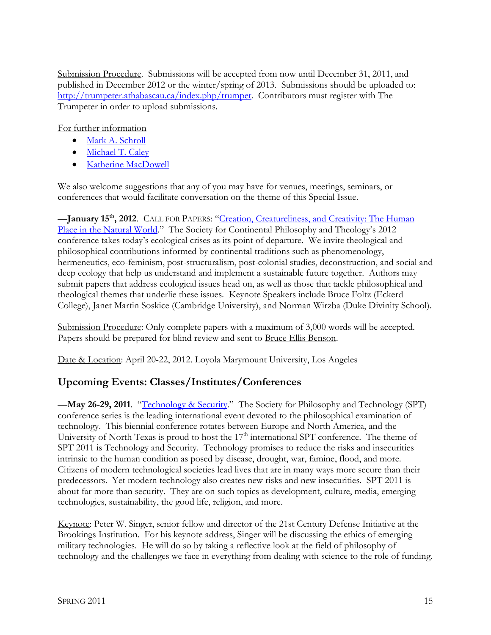Submission Procedure. Submissions will be accepted from now until December 31, 2011, and published in December 2012 or the winter/spring of 2013. Submissions should be uploaded to: [http://trumpeter.athabascau.ca/index.php/trumpet.](http://trumpeter.athabascau.ca/index.php/trumpet) Contributors must register with The Trumpeter in order to upload submissions.

For further information

- [Mark A. Schroll](mailto:rockphd4@yahoo.com)
- [Michael T. Caley](mailto:TrumpeterAE@shaw.ca)
- [Katherine MacDowell](mailto:tkmacdowell@verizon.net)

We also welcome suggestions that any of you may have for venues, meetings, seminars, or conferences that would facilitate conversation on the theme of this Special Issue.

 $-$ **January 15<sup>th</sup>, 2012**. CALL FOR PAPERS: "[Creation, Creatureliness, and Creativity:](http://www.scptonline.org/) The Human [Place in the Natural World.](http://www.scptonline.org/)" The Society for Continental Philosophy and Theology's 2012 conference takes today's ecological crises as its point of departure. We invite theological and philosophical contributions informed by continental traditions such as phenomenology, hermeneutics, eco-feminism, post-structuralism, post-colonial studies, deconstruction, and social and deep ecology that help us understand and implement a sustainable future together. Authors may submit papers that address ecological issues head on, as well as those that tackle philosophical and theological themes that underlie these issues. Keynote Speakers include Bruce Foltz (Eckerd College), Janet Martin Soskice (Cambridge University), and Norman Wirzba (Duke Divinity School).

Submission Procedure: Only complete papers with a maximum of 3,000 words will be accepted. Papers should be prepared for blind review and sent to [Bruce Ellis Benson.](mailto:bruce.ellis.benson@wheaton.edu)

Date & Location: April 20-22, 2012. Loyola Marymount University, Los Angeles

# **Upcoming Events: Classes/Institutes/Conferences**

—**May 26-29, 2011**. "[Technology & Security.](https://spt2011.unt.edu/frontpage)" The Society for Philosophy and Technology (SPT) conference series is the leading international event devoted to the philosophical examination of technology. This biennial conference rotates between Europe and North America, and the University of North Texas is proud to host the  $17<sup>th</sup>$  international SPT conference. The theme of SPT 2011 is Technology and Security. Technology promises to reduce the risks and insecurities intrinsic to the human condition as posed by disease, drought, war, famine, flood, and more. Citizens of modern technological societies lead lives that are in many ways more secure than their predecessors. Yet modern technology also creates new risks and new insecurities. SPT 2011 is about far more than security. They are on such topics as development, culture, media, emerging technologies, sustainability, the good life, religion, and more.

Keynote: Peter W. Singer, senior fellow and director of the 21st Century Defense Initiative at the Brookings Institution. For his keynote address, Singer will be discussing the ethics of emerging military technologies. He will do so by taking a reflective look at the field of philosophy of technology and the challenges we face in everything from dealing with science to the role of funding.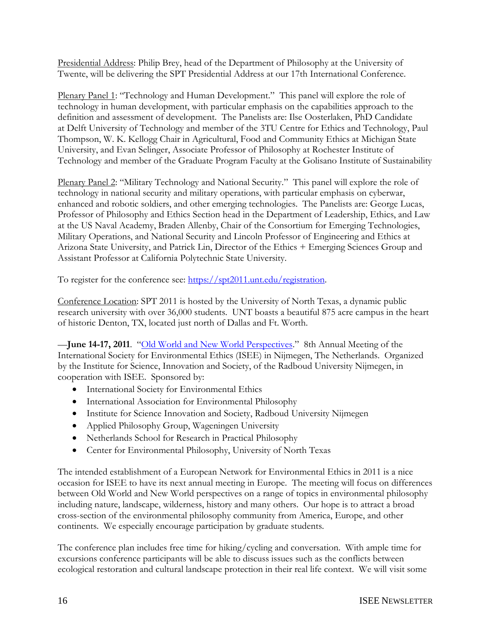Presidential Address: Philip Brey, head of the Department of Philosophy at the University of Twente, will be delivering the SPT Presidential Address at our 17th International Conference.

Plenary Panel 1: "Technology and Human Development." This panel will explore the role of technology in human development, with particular emphasis on the capabilities approach to the definition and assessment of development. The Panelists are: Ilse Oosterlaken, PhD Candidate at Delft University of Technology and member of the 3TU Centre for Ethics and Technology, Paul Thompson, W. K. Kellogg Chair in Agricultural, Food and Community Ethics at Michigan State University, and Evan Selinger, Associate Professor of Philosophy at Rochester Institute of Technology and member of the Graduate Program Faculty at the Golisano Institute of Sustainability

Plenary Panel 2: "Military Technology and National Security." This panel will explore the role of technology in national security and military operations, with particular emphasis on cyberwar, enhanced and robotic soldiers, and other emerging technologies. The Panelists are: George Lucas, Professor of Philosophy and Ethics Section head in the Department of Leadership, Ethics, and Law at the US Naval Academy, Braden Allenby, Chair of the Consortium for Emerging Technologies, Military Operations, and National Security and Lincoln Professor of Engineering and Ethics at Arizona State University, and Patrick Lin, Director of the Ethics + Emerging Sciences Group and Assistant Professor at California Polytechnic State University.

To register for the conference see: [https://spt2011.unt.edu/registration.](https://spt2011.unt.edu/registration)

Conference Location: SPT 2011 is hosted by the University of North Texas, a dynamic public research university with over 36,000 students. UNT boasts a beautiful 875 acre campus in the heart of historic Denton, TX, located just north of Dallas and Ft. Worth.

-June 14-17, 2011. "[Old World and New World Perspectives.](http://conference.science.ru.nl/isis_isee/ISEE2011)" 8th Annual Meeting of the International Society for Environmental Ethics (ISEE) in Nijmegen, The Netherlands. Organized by the Institute for Science, Innovation and Society, of the Radboud University Nijmegen, in cooperation with ISEE. Sponsored by:

- International Society for Environmental Ethics
- International Association for Environmental Philosophy
- Institute for Science Innovation and Society, Radboud University Nijmegen
- Applied Philosophy Group, Wageningen University
- Netherlands School for Research in Practical Philosophy
- Center for Environmental Philosophy, University of North Texas

The intended establishment of a European Network for Environmental Ethics in 2011 is a nice occasion for ISEE to have its next annual meeting in Europe. The meeting will focus on differences between Old World and New World perspectives on a range of topics in environmental philosophy including nature, landscape, wilderness, history and many others. Our hope is to attract a broad cross-section of the environmental philosophy community from America, Europe, and other continents. We especially encourage participation by graduate students.

The conference plan includes free time for hiking/cycling and conversation. With ample time for excursions conference participants will be able to discuss issues such as the conflicts between ecological restoration and cultural landscape protection in their real life context. We will visit some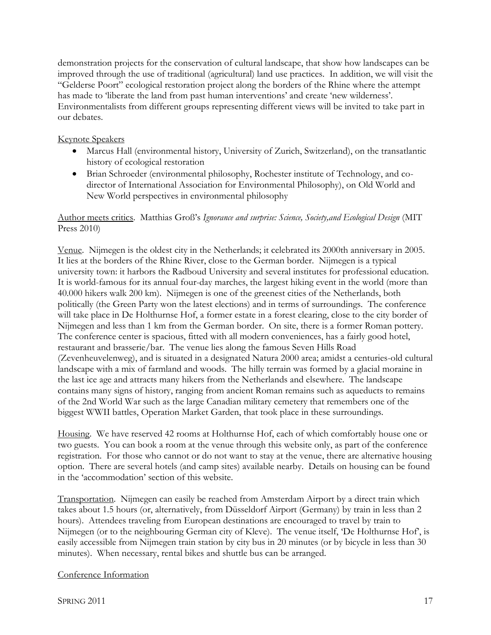demonstration projects for the conservation of cultural landscape, that show how landscapes can be improved through the use of traditional (agricultural) land use practices. In addition, we will visit the ―Gelderse Poort‖ ecological restoration project along the borders of the Rhine where the attempt has made to 'liberate the land from past human interventions' and create 'new wilderness'. Environmentalists from different groups representing different views will be invited to take part in our debates.

### Keynote Speakers

- Marcus Hall (environmental history, University of Zurich, Switzerland), on the transatlantic history of ecological restoration
- Brian Schroeder (environmental philosophy, Rochester institute of Technology, and codirector of International Association for Environmental Philosophy), on Old World and New World perspectives in environmental philosophy

### Author meets critics. Matthias Groß's *Ignorance and surprise: Science, Society,and Ecological Design* (MIT Press 2010)

Venue. Nijmegen is the oldest city in the Netherlands; it celebrated its 2000th anniversary in 2005. It lies at the borders of the Rhine River, close to the German border. Nijmegen is a typical university town: it harbors the Radboud University and several institutes for professional education. It is world-famous for its annual four-day marches, the largest hiking event in the world (more than 40.000 hikers walk 200 km). Nijmegen is one of the greenest cities of the Netherlands, both politically (the Green Party won the latest elections) and in terms of surroundings. The conference will take place in De Holthurnse Hof, a former estate in a forest clearing, close to the city border of Nijmegen and less than 1 km from the German border. On site, there is a former Roman pottery. The conference center is spacious, fitted with all modern conveniences, has a fairly good hotel, restaurant and brasserie/bar. The venue lies along the famous Seven Hills Road (Zevenheuvelenweg), and is situated in a designated Natura 2000 area; amidst a centuries-old cultural landscape with a mix of farmland and woods. The hilly terrain was formed by a glacial moraine in the last ice age and attracts many hikers from the Netherlands and elsewhere. The landscape contains many signs of history, ranging from ancient Roman remains such as aqueducts to remains of the 2nd World War such as the large Canadian military cemetery that remembers one of the biggest WWII battles, Operation Market Garden, that took place in these surroundings.

Housing. We have reserved 42 rooms at Holthurnse Hof, each of which comfortably house one or two guests. You can book a room at the venue through this website only, as part of the conference registration. For those who cannot or do not want to stay at the venue, there are alternative housing option. There are several hotels (and camp sites) available nearby. Details on housing can be found in the ‗accommodation' section of this website.

Transportation. Nijmegen can easily be reached from Amsterdam Airport by a direct train which takes about 1.5 hours (or, alternatively, from Düsseldorf Airport (Germany) by train in less than 2 hours). Attendees traveling from European destinations are encouraged to travel by train to Nijmegen (or to the neighbouring German city of Kleve). The venue itself, 'De Holthurnse Hof', is easily accessible from Nijmegen train station by city bus in 20 minutes (or by bicycle in less than 30 minutes). When necessary, rental bikes and shuttle bus can be arranged.

#### Conference Information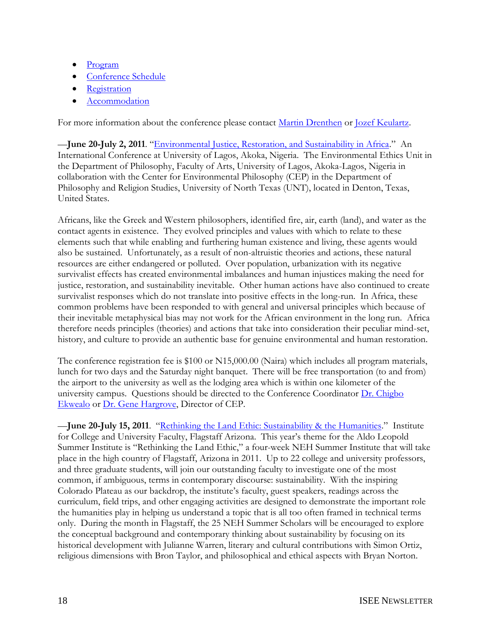- [Program](http://conference.science.ru.nl/isis_isee/ISEE2011/schedConf/program)
- [Conference Schedule](http://conference.science.ru.nl/isis_isee/ISEE2011/schedConf/schedule)
- [Registration](http://conference.science.ru.nl/isis_isee/ISEE2011/schedConf/registration)
- [Accommodation](http://conference.science.ru.nl/isis_isee/ISEE2011/schedConf/accommodation)

For more information about the conference please contact [Martin Drenthen](mailto:m.drenthen@science.ru.nl) or [Jozef Keulartz.](mailto:Jozef.Keulartz@wur.nl)

—**June 20-July 2, 2011**. "[Environmental Justice, Restoration, and Sustainability in Africa.](http://www.cep.unt.edu/africa/2010-conference.htm)" An International Conference at University of Lagos, Akoka, Nigeria. The Environmental Ethics Unit in the Department of Philosophy, Faculty of Arts, University of Lagos, Akoka-Lagos, Nigeria in collaboration with the Center for Environmental Philosophy (CEP) in the Department of Philosophy and Religion Studies, University of North Texas (UNT), located in Denton, Texas, United States.

Africans, like the Greek and Western philosophers, identified fire, air, earth (land), and water as the contact agents in existence. They evolved principles and values with which to relate to these elements such that while enabling and furthering human existence and living, these agents would also be sustained. Unfortunately, as a result of non-altruistic theories and actions, these natural resources are either endangered or polluted. Over population, urbanization with its negative survivalist effects has created environmental imbalances and human injustices making the need for justice, restoration, and sustainability inevitable. Other human actions have also continued to create survivalist responses which do not translate into positive effects in the long-run. In Africa, these common problems have been responded to with general and universal principles which because of their inevitable metaphysical bias may not work for the African environment in the long run. Africa therefore needs principles (theories) and actions that take into consideration their peculiar mind-set, history, and culture to provide an authentic base for genuine environmental and human restoration.

The conference registration fee is \$100 or N15,000.00 (Naira) which includes all program materials, lunch for two days and the Saturday night banquet. There will be free transportation (to and from) the airport to the university as well as the lodging area which is within one kilometer of the university campus. Questions should be directed to the Conference Coordinator Dr. Chigbo [Ekwealo](mailto:cekwealo@unilag.edu.ng) or [Dr. Gene Hargrove,](mailto:hargrove@unt.edu) Director of CEP.

—**June 20-July 15, 2011**. "[Rethinking the Land Ethic: Sustainability & the Humanities.](http://leopold.asu.edu/sustainability/welcome)" Institute for College and University Faculty, Flagstaff Arizona. This year's theme for the Aldo Leopold Summer Institute is "Rethinking the Land Ethic," a four-week NEH Summer Institute that will take place in the high country of Flagstaff, Arizona in 2011. Up to 22 college and university professors, and three graduate students, will join our outstanding faculty to investigate one of the most common, if ambiguous, terms in contemporary discourse: sustainability. With the inspiring Colorado Plateau as our backdrop, the institute's faculty, guest speakers, readings across the curriculum, field trips, and other engaging activities are designed to demonstrate the important role the humanities play in helping us understand a topic that is all too often framed in technical terms only. During the month in Flagstaff, the 25 NEH Summer Scholars will be encouraged to explore the conceptual background and contemporary thinking about sustainability by focusing on its historical development with Julianne Warren, literary and cultural contributions with Simon Ortiz, religious dimensions with Bron Taylor, and philosophical and ethical aspects with Bryan Norton.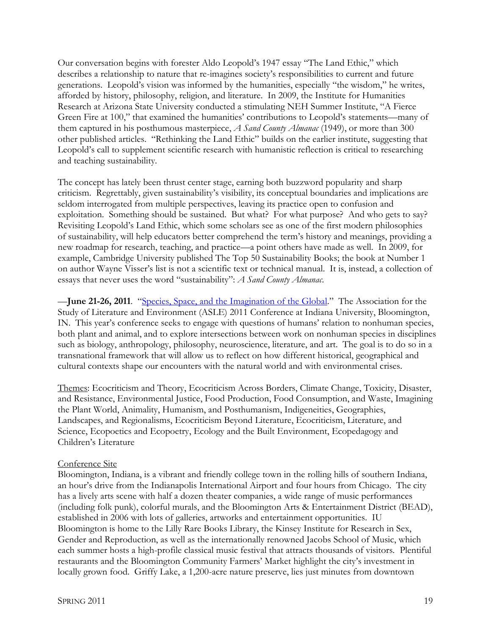Our conversation begins with forester Aldo Leopold's 1947 essay "The Land Ethic," which describes a relationship to nature that re-imagines society's responsibilities to current and future generations. Leopold's vision was informed by the humanities, especially "the wisdom," he writes, afforded by history, philosophy, religion, and literature. In 2009, the Institute for Humanities Research at Arizona State University conducted a stimulating NEH Summer Institute, "A Fierce Green Fire at 100," that examined the humanities' contributions to Leopold's statements—many of them captured in his posthumous masterpiece, *A Sand County Almanac* (1949), or more than 300 other published articles. "Rethinking the Land Ethic" builds on the earlier institute, suggesting that Leopold's call to supplement scientific research with humanistic reflection is critical to researching and teaching sustainability.

The concept has lately been thrust center stage, earning both buzzword popularity and sharp criticism. Regrettably, given sustainability's visibility, its conceptual boundaries and implications are seldom interrogated from multiple perspectives, leaving its practice open to confusion and exploitation. Something should be sustained. But what? For what purpose? And who gets to say? Revisiting Leopold's Land Ethic, which some scholars see as one of the first modern philosophies of sustainability, will help educators better comprehend the term's history and meanings, providing a new roadmap for research, teaching, and practice—a point others have made as well. In 2009, for example, Cambridge University published The Top 50 Sustainability Books; the book at Number 1 on author Wayne Visser's list is not a scientific text or technical manual. It is, instead, a collection of essays that never uses the word "sustainability": *A Sand County Almanac*.

—**June 21-26, 2011**. "[Species, Space, and the Imagination of the Global.](http://www.indiana.edu/~asle2011/program.shtml)" The Association for the Study of Literature and Environment (ASLE) 2011 Conference at Indiana University, Bloomington, IN. This year's conference seeks to engage with questions of humans' relation to nonhuman species, both plant and animal, and to explore intersections between work on nonhuman species in disciplines such as biology, anthropology, philosophy, neuroscience, literature, and art. The goal is to do so in a transnational framework that will allow us to reflect on how different historical, geographical and cultural contexts shape our encounters with the natural world and with environmental crises.

Themes: Ecocriticism and Theory, Ecocriticism Across Borders, Climate Change, Toxicity, Disaster, and Resistance, Environmental Justice, Food Production, Food Consumption, and Waste, Imagining the Plant World, Animality, Humanism, and Posthumanism, Indigeneities, Geographies, Landscapes, and Regionalisms, Ecocriticism Beyond Literature, Ecocriticism, Literature, and Science, Ecopoetics and Ecopoetry, Ecology and the Built Environment, Ecopedagogy and Children's Literature

#### Conference Site

Bloomington, Indiana, is a vibrant and friendly college town in the rolling hills of southern Indiana, an hour's drive from the Indianapolis International Airport and four hours from Chicago. The city has a lively arts scene with half a dozen theater companies, a wide range of music performances (including folk punk), colorful murals, and the Bloomington Arts & Entertainment District (BEAD), established in 2006 with lots of galleries, artworks and entertainment opportunities. IU Bloomington is home to the Lilly Rare Books Library, the Kinsey Institute for Research in Sex, Gender and Reproduction, as well as the internationally renowned Jacobs School of Music, which each summer hosts a high-profile classical music festival that attracts thousands of visitors. Plentiful restaurants and the Bloomington Community Farmers' Market highlight the city's investment in locally grown food. Griffy Lake, a 1,200-acre nature preserve, lies just minutes from downtown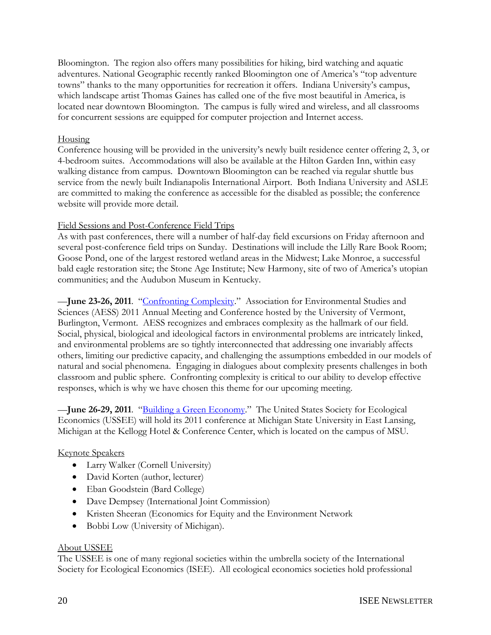Bloomington. The region also offers many possibilities for hiking, bird watching and aquatic adventures. National Geographic recently ranked Bloomington one of America's "top adventure towns" thanks to the many opportunities for recreation it offers. Indiana University's campus, which landscape artist Thomas Gaines has called one of the five most beautiful in America, is located near downtown Bloomington. The campus is fully wired and wireless, and all classrooms for concurrent sessions are equipped for computer projection and Internet access.

### Housing

Conference housing will be provided in the university's newly built residence center offering 2, 3, or 4-bedroom suites. Accommodations will also be available at the Hilton Garden Inn, within easy walking distance from campus. Downtown Bloomington can be reached via regular shuttle bus service from the newly built Indianapolis International Airport. Both Indiana University and ASLE are committed to making the conference as accessible for the disabled as possible; the conference website will provide more detail.

### Field Sessions and Post-Conference Field Trips

As with past conferences, there will a number of half-day field excursions on Friday afternoon and several post-conference field trips on Sunday. Destinations will include the Lilly Rare Book Room; Goose Pond, one of the largest restored wetland areas in the Midwest; Lake Monroe, a successful bald eagle restoration site; the Stone Age Institute; New Harmony, site of two of America's utopian communities; and the Audubon Museum in Kentucky.

—**June 23-26, 2011**. "[Confronting Complexity.](http://www.aess.info/content.aspx?page_id=22&club_id=939971&module_id=81727)" Association for Environmental Studies and Sciences (AESS) 2011 Annual Meeting and Conference hosted by the University of Vermont, Burlington, Vermont. AESS recognizes and embraces complexity as the hallmark of our field. Social, physical, biological and ideological factors in environmental problems are intricately linked, and environmental problems are so tightly interconnected that addressing one invariably affects others, limiting our predictive capacity, and challenging the assumptions embedded in our models of natural and social phenomena. Engaging in dialogues about complexity presents challenges in both classroom and public sphere. Confronting complexity is critical to our ability to develop effective responses, which is why we have chosen this theme for our upcoming meeting.

-Iune 26-29, 2011. "[Building a Green Economy.](http://www.carrs.msu.edu/ussee/index.php)" The United States Society for Ecological Economics (USSEE) will hold its 2011 conference at Michigan State University in East Lansing, Michigan at the Kellogg Hotel & Conference Center, which is located on the campus of MSU.

#### Keynote Speakers

- Larry Walker (Cornell University)
- David Korten (author, lecturer)
- Eban Goodstein (Bard College)
- Dave Dempsey (International Joint Commission)
- Kristen Sheeran (Economics for Equity and the Environment Network
- Bobbi Low (University of Michigan).

#### About USSEE

The USSEE is one of many regional societies within the umbrella society of the International Society for Ecological Economics (ISEE). All ecological economics societies hold professional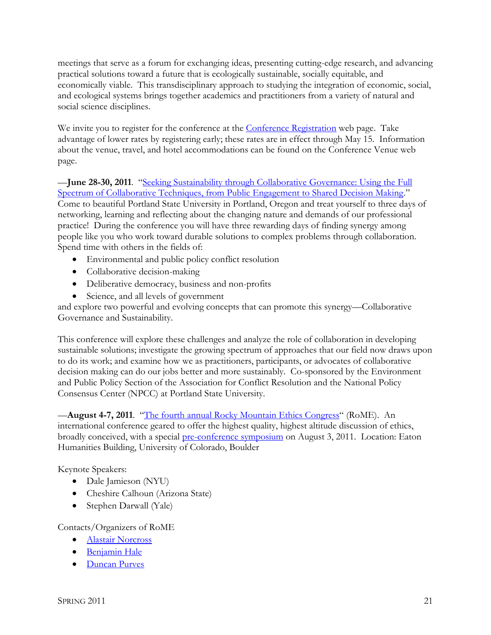meetings that serve as a forum for exchanging ideas, presenting cutting-edge research, and advancing practical solutions toward a future that is ecologically sustainable, socially equitable, and economically viable. This transdisciplinary approach to studying the integration of economic, social, and ecological systems brings together academics and practitioners from a variety of natural and social science disciplines.

We invite you to register for the conference at the [Conference Registration](http://www.carrs.msu.edu/ussee/registration.php) web page. Take advantage of lower rates by registering early; these rates are in effect through May 15. Information about the venue, travel, and hotel accommodations can be found on the Conference Venue web page.

—**June 28-30, 2011**. "Seeking Sustainability through Collaborative Governance: Using the Full [Spectrum of Collaborative Techniques, from Public Engagement to Shared Decision Making.](http://www.acrepp.org/files/EPP%20Conference%202011%20Brochure.pdf)" Come to beautiful Portland State University in Portland, Oregon and treat yourself to three days of networking, learning and reflecting about the changing nature and demands of our professional practice! During the conference you will have three rewarding days of finding synergy among people like you who work toward durable solutions to complex problems through collaboration. Spend time with others in the fields of:

- Environmental and public policy conflict resolution
- Collaborative decision-making
- Deliberative democracy, business and non-profits
- Science, and all levels of government

and explore two powerful and evolving concepts that can promote this synergy—Collaborative Governance and Sustainability.

This conference will explore these challenges and analyze the role of collaboration in developing sustainable solutions; investigate the growing spectrum of approaches that our field now draws upon to do its work; and examine how we as practitioners, participants, or advocates of collaborative decision making can do our jobs better and more sustainably. Co-sponsored by the Environment and Public Policy Section of the Association for Conflict Resolution and the National Policy Consensus Center (NPCC) at Portland State University.

-August 4-7, 2011. "[The fourth annual Rocky Mountain Ethics Congress](http://www.colorado.edu/philosophy/center/rome.shtml)" (RoME). An international conference geared to offer the highest quality, highest altitude discussion of ethics, broadly conceived, with a special [pre-conference symposium](http://www.colorado.edu/philosophy/center/rome.shtml#Thomson) on August 3, 2011. Location: Eaton Humanities Building, University of Colorado, Boulder

Keynote Speakers:

- Dale Jamieson (NYU)
- Cheshire Calhoun (Arizona State)
- $\bullet$  Stephen Darwall (Yale)

Contacts/Organizers of RoME

- [Alastair Norcross](mailto:alastair.norcross@colorado.edu)
- **•** [Benjamin Hale](mailto:bhale@colorado.edu)
- [Duncan Purves](mailto:duncan.purves@colorado.edu)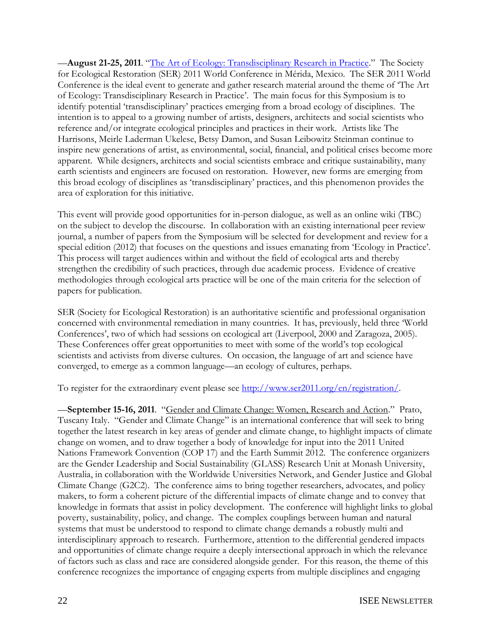—**August 21-25, 2011**. "[The Art of Ecology: Transdisciplinary Research in Practice.](http://www.ser2011.org/en/)" The Society for Ecological Restoration (SER) 2011 World Conference in Mérida, Mexico. The SER 2011 World Conference is the ideal event to generate and gather research material around the theme of 'The Art of Ecology: Transdisciplinary Research in Practice'. The main focus for this Symposium is to identify potential 'transdisciplinary' practices emerging from a broad ecology of disciplines. The intention is to appeal to a growing number of artists, designers, architects and social scientists who reference and/or integrate ecological principles and practices in their work. Artists like The Harrisons, Meirle Laderman Ukelese, Betsy Damon, and Susan Leibowitz Steinman continue to inspire new generations of artist, as environmental, social, financial, and political crises become more apparent. While designers, architects and social scientists embrace and critique sustainability, many earth scientists and engineers are focused on restoration. However, new forms are emerging from this broad ecology of disciplines as 'transdisciplinary' practices, and this phenomenon provides the area of exploration for this initiative.

This event will provide good opportunities for in-person dialogue, as well as an online wiki (TBC) on the subject to develop the discourse. In collaboration with an existing international peer review journal, a number of papers from the Symposium will be selected for development and review for a special edition (2012) that focuses on the questions and issues emanating from 'Ecology in Practice'. This process will target audiences within and without the field of ecological arts and thereby strengthen the credibility of such practices, through due academic process. Evidence of creative methodologies through ecological arts practice will be one of the main criteria for the selection of papers for publication.

SER (Society for Ecological Restoration) is an authoritative scientific and professional organisation concerned with environmental remediation in many countries. It has, previously, held three 'World' Conferences', two of which had sessions on ecological art (Liverpool, 2000 and Zaragoza, 2005). These Conferences offer great opportunities to meet with some of the world's top ecological scientists and activists from diverse cultures. On occasion, the language of art and science have converged, to emerge as a common language—an ecology of cultures, perhaps.

To register for the extraordinary event please see [http://www.ser2011.org/en/registration/.](http://www.ser2011.org/en/registration/)

**—September 15-16, 2011.** "[Gender and Climate Change: Women, Research and Action.](http://www.med.monash.edu/glass/conference-2011)" Prato, Tuscany Italy. "Gender and Climate Change" is an international conference that will seek to bring together the latest research in key areas of gender and climate change, to highlight impacts of climate change on women, and to draw together a body of knowledge for input into the 2011 United Nations Framework Convention (COP 17) and the Earth Summit 2012. The conference organizers are the Gender Leadership and Social Sustainability (GLASS) Research Unit at Monash University, Australia, in collaboration with the Worldwide Universities Network, and Gender Justice and Global Climate Change (G2C2). The conference aims to bring together researchers, advocates, and policy makers, to form a coherent picture of the differential impacts of climate change and to convey that knowledge in formats that assist in policy development. The conference will highlight links to global poverty, sustainability, policy, and change. The complex couplings between human and natural systems that must be understood to respond to climate change demands a robustly multi and interdisciplinary approach to research. Furthermore, attention to the differential gendered impacts and opportunities of climate change require a deeply intersectional approach in which the relevance of factors such as class and race are considered alongside gender. For this reason, the theme of this conference recognizes the importance of engaging experts from multiple disciplines and engaging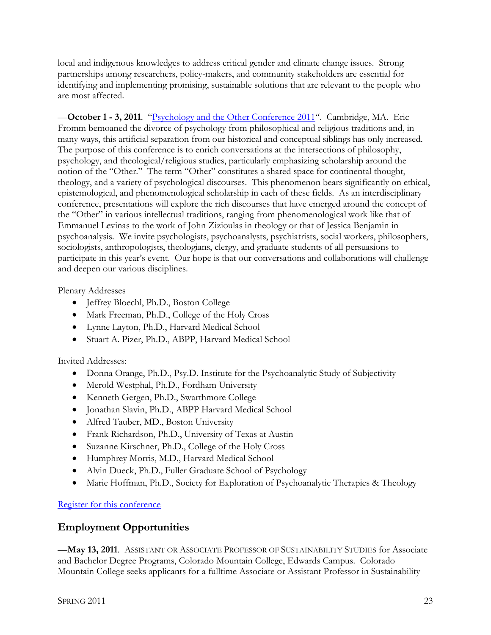local and indigenous knowledges to address critical gender and climate change issues. Strong partnerships among researchers, policy-makers, and community stakeholders are essential for identifying and implementing promising, sustainable solutions that are relevant to the people who are most affected.

**—October 1 - 3, 2011**. "[Psychology and the Other Conference 2011](http://www.psychologyandtheother.com/)". Cambridge, MA. Eric Fromm bemoaned the divorce of psychology from philosophical and religious traditions and, in many ways, this artificial separation from our historical and conceptual siblings has only increased. The purpose of this conference is to enrich conversations at the intersections of philosophy, psychology, and theological/religious studies, particularly emphasizing scholarship around the notion of the "Other." The term "Other" constitutes a shared space for continental thought, theology, and a variety of psychological discourses. This phenomenon bears significantly on ethical, epistemological, and phenomenological scholarship in each of these fields. As an interdisciplinary conference, presentations will explore the rich discourses that have emerged around the concept of the "Other" in various intellectual traditions, ranging from phenomenological work like that of Emmanuel Levinas to the work of John Zizioulas in theology or that of Jessica Benjamin in psychoanalysis. We invite psychologists, psychoanalysts, psychiatrists, social workers, philosophers, sociologists, anthropologists, theologians, clergy, and graduate students of all persuasions to participate in this year's event. Our hope is that our conversations and collaborations will challenge and deepen our various disciplines.

### Plenary Addresses

- Jeffrey Bloechl, Ph.D., Boston College
- Mark Freeman, Ph.D., College of the Holy Cross
- Lynne Layton, Ph.D., Harvard Medical School
- Stuart A. Pizer, Ph.D., ABPP, Harvard Medical School

## Invited Addresses:

- Donna Orange, Ph.D., Psy.D. Institute for the Psychoanalytic Study of Subjectivity
- Merold Westphal, Ph.D., Fordham University
- Kenneth Gergen, Ph.D., Swarthmore College
- Jonathan Slavin, Ph.D., ABPP Harvard Medical School
- Alfred Tauber, MD., Boston University
- Frank Richardson, Ph.D., University of Texas at Austin
- Suzanne Kirschner, Ph.D., College of the Holy Cross
- Humphrey Morris, M.D., Harvard Medical School
- Alvin Dueck, Ph.D., Fuller Graduate School of Psychology
- Marie Hoffman, Ph.D., Society for Exploration of Psychoanalytic Therapies & Theology

## [Register for this conference](https://events.r20.constantcontact.com/register/eventReg?llr=5r7cpeeab&oeidk=a07e35hf6ph81e74e84)

# **Employment Opportunities**

—**May 13, 2011**. ASSISTANT OR ASSOCIATE PROFESSOR OF SUSTAINABILITY STUDIES for Associate and Bachelor Degree Programs, Colorado Mountain College, Edwards Campus. Colorado Mountain College seeks applicants for a fulltime Associate or Assistant Professor in Sustainability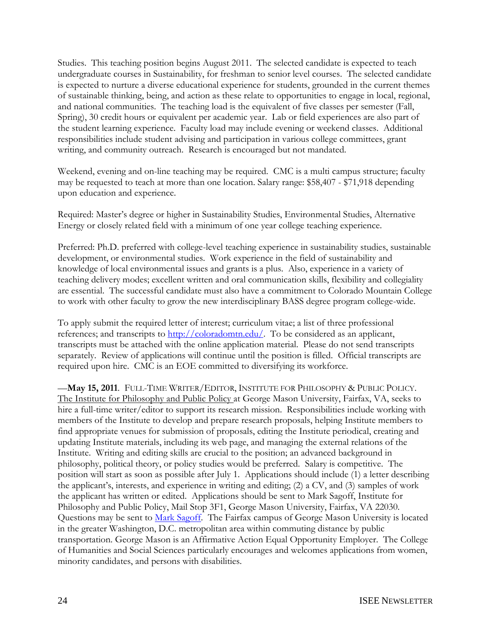Studies. This teaching position begins August 2011. The selected candidate is expected to teach undergraduate courses in Sustainability, for freshman to senior level courses. The selected candidate is expected to nurture a diverse educational experience for students, grounded in the current themes of sustainable thinking, being, and action as these relate to opportunities to engage in local, regional, and national communities. The teaching load is the equivalent of five classes per semester (Fall, Spring), 30 credit hours or equivalent per academic year. Lab or field experiences are also part of the student learning experience. Faculty load may include evening or weekend classes. Additional responsibilities include student advising and participation in various college committees, grant writing, and community outreach. Research is encouraged but not mandated.

Weekend, evening and on-line teaching may be required. CMC is a multi campus structure; faculty may be requested to teach at more than one location. Salary range: \$58,407 - \$71,918 depending upon education and experience.

Required: Master's degree or higher in Sustainability Studies, Environmental Studies, Alternative Energy or closely related field with a minimum of one year college teaching experience.

Preferred: Ph.D. preferred with college-level teaching experience in sustainability studies, sustainable development, or environmental studies. Work experience in the field of sustainability and knowledge of local environmental issues and grants is a plus. Also, experience in a variety of teaching delivery modes; excellent written and oral communication skills, flexibility and collegiality are essential. The successful candidate must also have a commitment to Colorado Mountain College to work with other faculty to grow the new interdisciplinary BASS degree program college-wide.

To apply submit the required letter of interest; curriculum vitae; a list of three professional references; and transcripts to [http://coloradomtn.edu/.](http://coloradomtn.edu/) To be considered as an applicant, transcripts must be attached with the online application material. Please do not send transcripts separately. Review of applications will continue until the position is filled. Official transcripts are required upon hire. CMC is an EOE committed to diversifying its workforce.

—**May 15, 2011**. FULL-TIME WRITER/EDITOR, INSTITUTE FOR PHILOSOPHY & PUBLIC POLICY. [The Institute for Philosophy and Public Policy a](http://policy.gmu.edu/Home/ResearchPublications/ResearchCenters/InstituteforPhilosophyandPublicPolicy/tabid/464/Default.aspx)t George Mason University, Fairfax, VA, seeks to hire a full-time writer/editor to support its research mission. Responsibilities include working with members of the Institute to develop and prepare research proposals, helping Institute members to find appropriate venues for submission of proposals, editing the Institute periodical, creating and updating Institute materials, including its web page, and managing the external relations of the Institute. Writing and editing skills are crucial to the position; an advanced background in philosophy, political theory, or policy studies would be preferred. Salary is competitive. The position will start as soon as possible after July 1. Applications should include (1) a letter describing the applicant's, interests, and experience in writing and editing; (2) a CV, and (3) samples of work the applicant has written or edited. Applications should be sent to Mark Sagoff, Institute for Philosophy and Public Policy, Mail Stop 3F1, George Mason University, Fairfax, VA 22030. Questions may be sent to [Mark Sagoff.](mailto:msagoff@gmu.edu) The Fairfax campus of George Mason University is located in the greater Washington, D.C. metropolitan area within commuting distance by public transportation. George Mason is an Affirmative Action Equal Opportunity Employer. The College of Humanities and Social Sciences particularly encourages and welcomes applications from women, minority candidates, and persons with disabilities.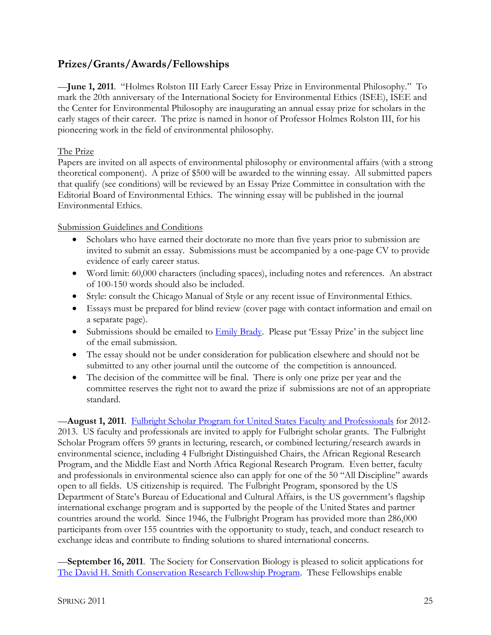# **Prizes/Grants/Awards/Fellowships**

—**June 1, 2011**. "Holmes Rolston III Early Career Essay Prize in Environmental Philosophy." To mark the 20th anniversary of the International Society for Environmental Ethics (ISEE), ISEE and the Center for Environmental Philosophy are inaugurating an annual essay prize for scholars in the early stages of their career. The prize is named in honor of Professor Holmes Rolston III, for his pioneering work in the field of environmental philosophy.

#### The Prize

Papers are invited on all aspects of environmental philosophy or environmental affairs (with a strong theoretical component). A prize of \$500 will be awarded to the winning essay. All submitted papers that qualify (see conditions) will be reviewed by an Essay Prize Committee in consultation with the Editorial Board of Environmental Ethics. The winning essay will be published in the journal Environmental Ethics.

#### Submission Guidelines and Conditions

- Scholars who have earned their doctorate no more than five years prior to submission are invited to submit an essay. Submissions must be accompanied by a one-page CV to provide evidence of early career status.
- Word limit: 60,000 characters (including spaces), including notes and references. An abstract of 100-150 words should also be included.
- Style: consult the Chicago Manual of Style or any recent issue of Environmental Ethics.
- Essays must be prepared for blind review (cover page with contact information and email on a separate page).
- Submissions should be emailed to  $Empty Brady$ . Please put 'Essay Prize' in the subject line</u> of the email submission.
- The essay should not be under consideration for publication elsewhere and should not be submitted to any other journal until the outcome of the competition is announced.
- The decision of the committee will be final. There is only one prize per year and the committee reserves the right not to award the prize if submissions are not of an appropriate standard.

—**August 1, 2011**. [Fulbright Scholar Program for United States Faculty and Professionals](http://www.cies.org/us_scholars/) for 2012- 2013. US faculty and professionals are invited to apply for Fulbright scholar grants. The Fulbright Scholar Program offers 59 grants in lecturing, research, or combined lecturing/research awards in environmental science, including 4 Fulbright Distinguished Chairs, the African Regional Research Program, and the Middle East and North Africa Regional Research Program. Even better, faculty and professionals in environmental science also can apply for one of the 50 "All Discipline" awards open to all fields. US citizenship is required. The Fulbright Program, sponsored by the US Department of State's Bureau of Educational and Cultural Affairs, is the US government's flagship international exchange program and is supported by the people of the United States and partner countries around the world. Since 1946, the Fulbright Program has provided more than 286,000 participants from over 155 countries with the opportunity to study, teach, and conduct research to exchange ideas and contribute to finding solutions to shared international concerns.

—**September 16, 2011**. The Society for Conservation Biology is pleased to solicit applications for The David [H. Smith Conservation Research Fellowship Program.](http://www.conbio.org/SmithFellows/?CFID=10018454&CFTOKEN=63216390) These Fellowships enable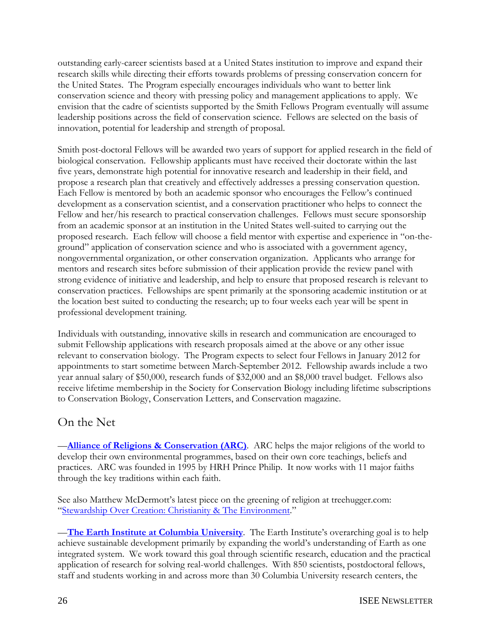outstanding early-career scientists based at a United States institution to improve and expand their research skills while directing their efforts towards problems of pressing conservation concern for the United States. The Program especially encourages individuals who want to better link conservation science and theory with pressing policy and management applications to apply. We envision that the cadre of scientists supported by the Smith Fellows Program eventually will assume leadership positions across the field of conservation science. Fellows are selected on the basis of innovation, potential for leadership and strength of proposal.

Smith post-doctoral Fellows will be awarded two years of support for applied research in the field of biological conservation. Fellowship applicants must have received their doctorate within the last five years, demonstrate high potential for innovative research and leadership in their field, and propose a research plan that creatively and effectively addresses a pressing conservation question. Each Fellow is mentored by both an academic sponsor who encourages the Fellow's continued development as a conservation scientist, and a conservation practitioner who helps to connect the Fellow and her/his research to practical conservation challenges. Fellows must secure sponsorship from an academic sponsor at an institution in the United States well-suited to carrying out the proposed research. Each fellow will choose a field mentor with expertise and experience in "on-theground" application of conservation science and who is associated with a government agency, nongovernmental organization, or other conservation organization. Applicants who arrange for mentors and research sites before submission of their application provide the review panel with strong evidence of initiative and leadership, and help to ensure that proposed research is relevant to conservation practices. Fellowships are spent primarily at the sponsoring academic institution or at the location best suited to conducting the research; up to four weeks each year will be spent in professional development training.

Individuals with outstanding, innovative skills in research and communication are encouraged to submit Fellowship applications with research proposals aimed at the above or any other issue relevant to conservation biology. The Program expects to select four Fellows in January 2012 for appointments to start sometime between March-September 2012. Fellowship awards include a two year annual salary of \$50,000, research funds of \$32,000 and an \$8,000 travel budget. Fellows also receive lifetime membership in the Society for Conservation Biology including lifetime subscriptions to Conservation Biology, Conservation Letters, and Conservation magazine.

# On the Net

—**[Alliance of Religions & Conservation](http://www.arcworld.org/about_ARC.asp) (ARC)**. ARC helps the major religions of the world to develop their own environmental programmes, based on their own core teachings, beliefs and practices. ARC was founded in 1995 by HRH Prince Philip. It now works with 11 major faiths through the key traditions within each faith.

See also Matthew McDermott's latest piece on the greening of religion at treehugger.com: "[Stewardship Over Creation: Christianity & The Environment.](http://www.treehugger.com/files/2011/03/stewardship-over-creation-christianity-environment.php?campaign=daily_nl)"

—**[The Earth Institute at Columbia](http://www.earth.columbia.edu/sections/view/9) University**. The Earth Institute's overarching goal is to help achieve sustainable development primarily by expanding the world's understanding of Earth as one integrated system. We work toward this goal through scientific research, education and the practical application of research for solving real-world challenges. With 850 scientists, postdoctoral fellows, staff and students working in and across more than 30 Columbia University research centers, the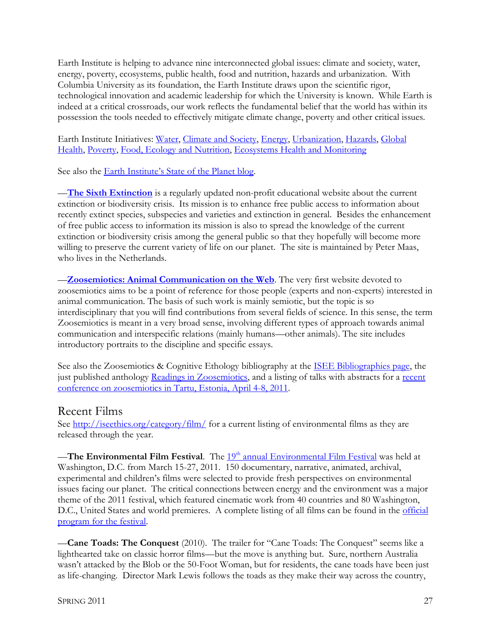Earth Institute is helping to advance nine interconnected global issues: climate and society, water, energy, poverty, ecosystems, public health, food and nutrition, hazards and urbanization. With Columbia University as its foundation, the Earth Institute draws upon the scientific rigor, technological innovation and academic leadership for which the University is known. While Earth is indeed at a critical crossroads, our work reflects the fundamental belief that the world has within its possession the tools needed to effectively mitigate climate change, poverty and other critical issues.

Earth Institute Initiatives: [Water,](http://www.earth.columbia.edu/articles/view/2125) [Climate and Society,](http://www.earth.columbia.edu/articles/view/2124) [Energy,](http://www.earth.columbia.edu/articles/view/2126) [Urbanization,](http://www.earth.columbia.edu/articles/view/2128) [Hazards,](http://www.earth.columbia.edu/articles/view/2127) [Global](http://www.earth.columbia.edu/articles/view/2130)  [Health,](http://www.earth.columbia.edu/articles/view/2130) [Poverty,](http://www.earth.columbia.edu/articles/view/2131) [Food, Ecology and Nutrition,](http://www.earth.columbia.edu/articles/view/2129) [Ecosystems Health and Monitoring](http://www.earth.columbia.edu/articles/view/2132)

See also the **Earth Institute's State of the Planet blog**.

—**[The Sixth Extinction](http://www.petermaas.nl/extinct/index.html)** is a regularly updated non-profit educational website about the current extinction or biodiversity crisis. Its mission is to enhance free public access to information about recently extinct species, subspecies and varieties and extinction in general. Besides the enhancement of free public access to information its mission is also to spread the knowledge of the current extinction or biodiversity crisis among the general public so that they hopefully will become more willing to preserve the current variety of life on our planet. The site is maintained by Peter Maas, who lives in the Netherlands.

—**[Zoosemiotics: Animal Communication on the](http://www.umweb.org/zs/) Web**. The very first website devoted to zoosemiotics aims to be a point of reference for those people (experts and non-experts) interested in animal communication. The basis of such work is mainly semiotic, but the topic is so interdisciplinary that you will find contributions from several fields of science. In this sense, the term Zoosemiotics is meant in a very broad sense, involving different types of approach towards animal communication and interspecific relations (mainly humans—other animals). The site includes introductory portraits to the discipline and specific essays.

See also the Zoosemiotics & Cognitive Ethology bibliography at the **ISEE Bibliographies page**, the just published anthology [Readings in Zoosemiotics,](http://www.degruyter.de/cont/fb/sk/detailEn.cfm?isbn=978-3-11-025320-7) and a listing of talks with abstracts for a recent [conference on zoosemiotics in Tartu, Estonia, April 4-8, 2011.](http://www.ut.ee/SOSE/conference/2011_zoosemiotics/index.html)

# Recent Films

See<http://iseethics.org/category/film/> for a current listing of environmental films as they are released through the year.

—**The Environmental Film Festival**. The 19<sup>th</sup> [annual Environmental Film Festival](http://www.dcenvironmentalfilmfest.org/) was held at Washington, D.C. from March 15-27, 2011. 150 documentary, narrative, animated, archival, experimental and children's films were selected to provide fresh perspectives on environmental issues facing our planet. The critical connections between energy and the environment was a major theme of the 2011 festival, which featured cinematic work from 40 countries and 80 Washington, D.C., United States and world premieres. A complete listing of all films can be found in the official [program for the festival.](http://www.dcenvironmentalfilmfest.org/images/uploads/2/media.2772.pdf)

—**Cane Toads: The Conquest** (2010). The trailer for "Cane Toads: The Conquest" seems like a lighthearted take on classic horror films—but the move is anything but. Sure, northern Australia wasn't attacked by the Blob or the 50-Foot Woman, but for residents, the cane toads have been just as life-changing. Director Mark Lewis follows the toads as they make their way across the country,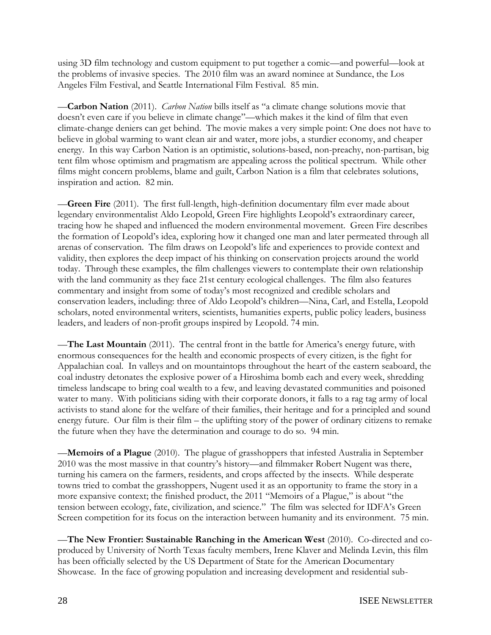using 3D film technology and custom equipment to put together a comic—and powerful—look at the problems of invasive species. The 2010 film was an award nominee at Sundance, the Los Angeles Film Festival, and Seattle International Film Festival. 85 min.

—**Carbon Nation** (2011). *Carbon Nation* bills itself as "a climate change solutions movie that doesn't even care if you believe in climate change"—which makes it the kind of film that even climate-change deniers can get behind. The movie makes a very simple point: One does not have to believe in global warming to want clean air and water, more jobs, a sturdier economy, and cheaper energy. In this way Carbon Nation is an optimistic, solutions-based, non-preachy, non-partisan, big tent film whose optimism and pragmatism are appealing across the political spectrum. While other films might concern problems, blame and guilt, Carbon Nation is a film that celebrates solutions, inspiration and action. 82 min.

—**Green Fire** (2011). The first full-length, high-definition documentary film ever made about legendary environmentalist Aldo Leopold, Green Fire highlights Leopold's extraordinary career, tracing how he shaped and influenced the modern environmental movement. Green Fire describes the formation of Leopold's idea, exploring how it changed one man and later permeated through all arenas of conservation. The film draws on Leopold's life and experiences to provide context and validity, then explores the deep impact of his thinking on conservation projects around the world today. Through these examples, the film challenges viewers to contemplate their own relationship with the land community as they face 21st century ecological challenges. The film also features commentary and insight from some of today's most recognized and credible scholars and conservation leaders, including: three of Aldo Leopold's children—Nina, Carl, and Estella, Leopold scholars, noted environmental writers, scientists, humanities experts, public policy leaders, business leaders, and leaders of non-profit groups inspired by Leopold. 74 min.

—**The Last Mountain** (2011). The central front in the battle for America's energy future, with enormous consequences for the health and economic prospects of every citizen, is the fight for Appalachian coal. In valleys and on mountaintops throughout the heart of the eastern seaboard, the coal industry detonates the explosive power of a Hiroshima bomb each and every week, shredding timeless landscape to bring coal wealth to a few, and leaving devastated communities and poisoned water to many. With politicians siding with their corporate donors, it falls to a rag tag army of local activists to stand alone for the welfare of their families, their heritage and for a principled and sound energy future. Our film is their film – the uplifting story of the power of ordinary citizens to remake the future when they have the determination and courage to do so. 94 min.

—**Memoirs of a Plague** (2010). The plague of grasshoppers that infested Australia in September 2010 was the most massive in that country's history—and filmmaker Robert Nugent was there, turning his camera on the farmers, residents, and crops affected by the insects. While desperate towns tried to combat the grasshoppers, Nugent used it as an opportunity to frame the story in a more expansive context; the finished product, the 2011 "Memoirs of a Plague," is about "the tension between ecology, fate, civilization, and science." The film was selected for IDFA's Green Screen competition for its focus on the interaction between humanity and its environment. 75 min.

—**The New Frontier: Sustainable Ranching in the American West** (2010). Co-directed and coproduced by University of North Texas faculty members, Irene Klaver and Melinda Levin, this film has been officially selected by the US Department of State for the American Documentary Showcase. In the face of growing population and increasing development and residential sub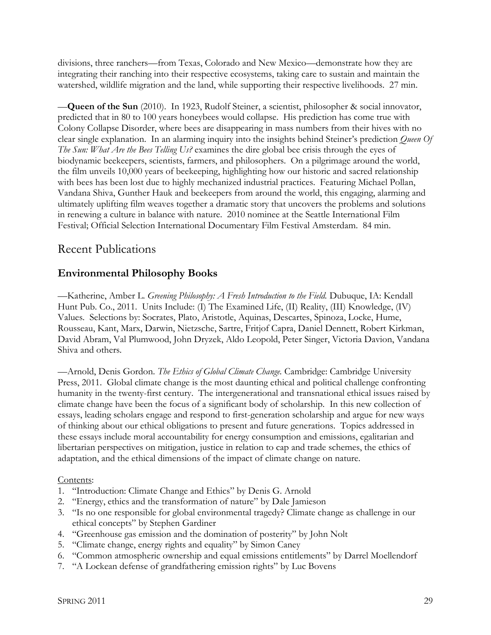divisions, three ranchers—from Texas, Colorado and New Mexico—demonstrate how they are integrating their ranching into their respective ecosystems, taking care to sustain and maintain the watershed, wildlife migration and the land, while supporting their respective livelihoods. 27 min.

—**Queen of the Sun** (2010).In 1923, Rudolf Steiner, a scientist, philosopher & social innovator, predicted that in 80 to 100 years honeybees would collapse. His prediction has come true with Colony Collapse Disorder, where bees are disappearing in mass numbers from their hives with no clear single explanation. In an alarming inquiry into the insights behind Steiner's prediction *Queen Of The Sun: What Are the Bees Telling Us?* examines the dire global bee crisis through the eyes of biodynamic beekeepers, scientists, farmers, and philosophers. On a pilgrimage around the world, the film unveils 10,000 years of beekeeping, highlighting how our historic and sacred relationship with bees has been lost due to highly mechanized industrial practices. Featuring Michael Pollan, Vandana Shiva, Gunther Hauk and beekeepers from around the world, this engaging, alarming and ultimately uplifting film weaves together a dramatic story that uncovers the problems and solutions in renewing a culture in balance with nature. 2010 nominee at the Seattle International Film Festival; Official Selection International Documentary Film Festival Amsterdam. 84 min.

# Recent Publications

# **Environmental Philosophy Books**

—Katherine, Amber L. *Greening Philosophy: A Fresh Introduction to the Field.* Dubuque, IA: Kendall Hunt Pub. Co., 2011. Units Include: (I) The Examined Life, (II) Reality, (III) Knowledge, (IV) Values. Selections by: Socrates, Plato, Aristotle, Aquinas, Descartes, Spinoza, Locke, Hume, Rousseau, Kant, Marx, Darwin, Nietzsche, Sartre, Fritjof Capra, Daniel Dennett, Robert Kirkman, David Abram, Val Plumwood, John Dryzek, Aldo Leopold, Peter Singer, Victoria Davion, Vandana Shiva and others.

—Arnold, Denis Gordon. *The Ethics of Global Climate Change.* Cambridge: Cambridge University Press, 2011. Global climate change is the most daunting ethical and political challenge confronting humanity in the twenty-first century. The intergenerational and transnational ethical issues raised by climate change have been the focus of a significant body of scholarship. In this new collection of essays, leading scholars engage and respond to first-generation scholarship and argue for new ways of thinking about our ethical obligations to present and future generations. Topics addressed in these essays include moral accountability for energy consumption and emissions, egalitarian and libertarian perspectives on mitigation, justice in relation to cap and trade schemes, the ethics of adaptation, and the ethical dimensions of the impact of climate change on nature.

#### Contents:

- 1. "Introduction: Climate Change and Ethics" by Denis G. Arnold
- 2. "Energy, ethics and the transformation of nature" by Dale Jamieson
- 3. "Is no one responsible for global environmental tragedy? Climate change as challenge in our ethical concepts" by Stephen Gardiner
- 4. "Greenhouse gas emission and the domination of posterity" by John Nolt
- 5. "Climate change, energy rights and equality" by Simon Caney
- 6. "Common atmospheric ownership and equal emissions entitlements" by Darrel Moellendorf
- 7. "A Lockean defense of grandfathering emission rights" by Luc Bovens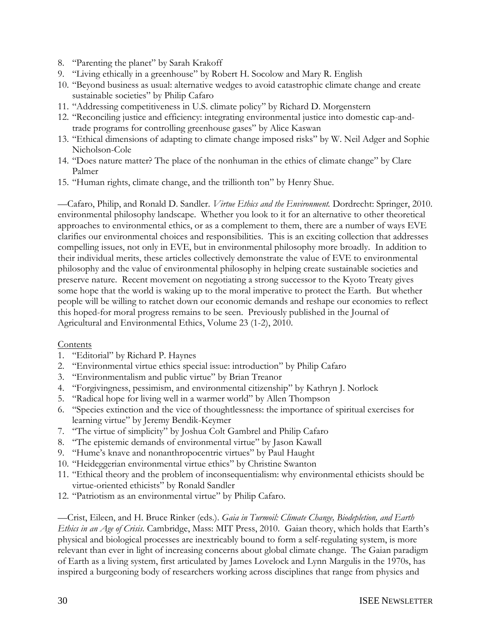- 8. "Parenting the planet" by Sarah Krakoff
- 9. "Living ethically in a greenhouse" by Robert H. Socolow and Mary R. English
- 10. "Beyond business as usual: alternative wedges to avoid catastrophic climate change and create sustainable societies" by Philip Cafaro
- 11. "Addressing competitiveness in U.S. climate policy" by Richard D. Morgenstern
- 12. "Reconciling justice and efficiency: integrating environmental justice into domestic cap-andtrade programs for controlling greenhouse gases" by Alice Kaswan
- 13. "Ethical dimensions of adapting to climate change imposed risks" by W. Neil Adger and Sophie Nicholson-Cole
- 14. "Does nature matter? The place of the nonhuman in the ethics of climate change" by Clare Palmer
- 15. "Human rights, climate change, and the trillionth ton" by Henry Shue.

—Cafaro, Philip, and Ronald D. Sandler. *Virtue Ethics and the Environment.* Dordrecht: Springer, 2010. environmental philosophy landscape. Whether you look to it for an alternative to other theoretical approaches to environmental ethics, or as a complement to them, there are a number of ways EVE clarifies our environmental choices and responsibilities. This is an exciting collection that addresses compelling issues, not only in EVE, but in environmental philosophy more broadly. In addition to their individual merits, these articles collectively demonstrate the value of EVE to environmental philosophy and the value of environmental philosophy in helping create sustainable societies and preserve nature. Recent movement on negotiating a strong successor to the Kyoto Treaty gives some hope that the world is waking up to the moral imperative to protect the Earth. But whether people will be willing to ratchet down our economic demands and reshape our economies to reflect this hoped-for moral progress remains to be seen. Previously published in the Journal of Agricultural and Environmental Ethics, Volume 23 (1-2), 2010.

#### Contents

- 1. "Editorial" by Richard P. Haynes
- 2. "Environmental virtue ethics special issue: introduction" by Philip Cafaro
- 3. "Environmentalism and public virtue" by Brian Treanor
- 4. "Forgivingness, pessimism, and environmental citizenship" by Kathryn J. Norlock
- 5. "Radical hope for living well in a warmer world" by Allen Thompson
- 6. ―Species extinction and the vice of thoughtlessness: the importance of spiritual exercises for learning virtue" by Jeremy Bendik-Keymer
- 7. "The virtue of simplicity" by Joshua Colt Gambrel and Philip Cafaro
- 8. "The epistemic demands of environmental virtue" by Jason Kawall
- 9. "Hume's knave and nonanthropocentric virtues" by Paul Haught
- 10. "Heideggerian environmental virtue ethics" by Christine Swanton
- 11. "Ethical theory and the problem of inconsequentialism: why environmental ethicists should be virtue-oriented ethicists" by Ronald Sandler
- 12. "Patriotism as an environmental virtue" by Philip Cafaro.

—Crist, Eileen, and H. Bruce Rinker (eds.). *Gaia in Turmoil: Climate Change, Biodepletion, and Earth Ethics in an Age of Crisis.* Cambridge, Mass: MIT Press, 2010. Gaian theory, which holds that Earth's physical and biological processes are inextricably bound to form a self-regulating system, is more relevant than ever in light of increasing concerns about global climate change. The Gaian paradigm of Earth as a living system, first articulated by James Lovelock and Lynn Margulis in the 1970s, has inspired a burgeoning body of researchers working across disciplines that range from physics and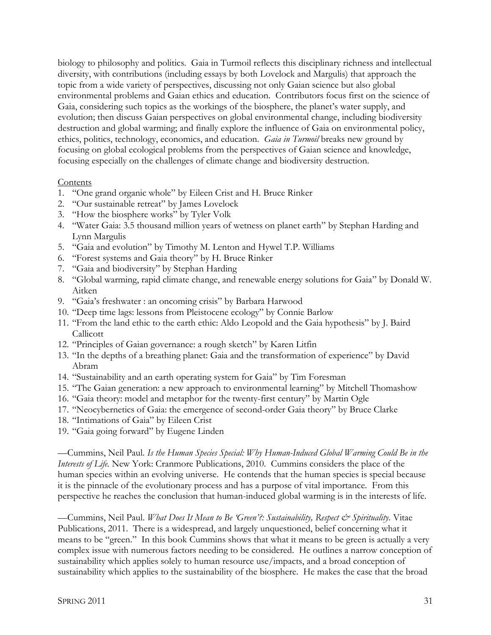biology to philosophy and politics. Gaia in Turmoil reflects this disciplinary richness and intellectual diversity, with contributions (including essays by both Lovelock and Margulis) that approach the topic from a wide variety of perspectives, discussing not only Gaian science but also global environmental problems and Gaian ethics and education. Contributors focus first on the science of Gaia, considering such topics as the workings of the biosphere, the planet's water supply, and evolution; then discuss Gaian perspectives on global environmental change, including biodiversity destruction and global warming; and finally explore the influence of Gaia on environmental policy, ethics, politics, technology, economics, and education. *Gaia in Turmoil* breaks new ground by focusing on global ecological problems from the perspectives of Gaian science and knowledge, focusing especially on the challenges of climate change and biodiversity destruction.

#### **Contents**

- 1. "One grand organic whole" by Eileen Crist and H. Bruce Rinker
- 2. "Our sustainable retreat" by James Lovelock
- 3. "How the biosphere works" by Tyler Volk
- 4. "Water Gaia: 3.5 thousand million years of wetness on planet earth" by Stephan Harding and Lynn Margulis
- 5. "Gaia and evolution" by Timothy M. Lenton and Hywel T.P. Williams
- 6. "Forest systems and Gaia theory" by H. Bruce Rinker
- 7. "Gaia and biodiversity" by Stephan Harding
- 8. "Global warming, rapid climate change, and renewable energy solutions for Gaia" by Donald W. Aitken
- 9. "Gaia's freshwater : an oncoming crisis" by Barbara Harwood
- 10. "Deep time lags: lessons from Pleistocene ecology" by Connie Barlow
- 11. "From the land ethic to the earth ethic: Aldo Leopold and the Gaia hypothesis" by J. Baird Callicott
- 12. "Principles of Gaian governance: a rough sketch" by Karen Litfin
- 13. "In the depths of a breathing planet: Gaia and the transformation of experience" by David Abram
- 14. "Sustainability and an earth operating system for Gaia" by Tim Foresman
- 15. "The Gaian generation: a new approach to environmental learning" by Mitchell Thomashow
- 16. "Gaia theory: model and metaphor for the twenty-first century" by Martin Ogle
- 17. "Neocybernetics of Gaia: the emergence of second-order Gaia theory" by Bruce Clarke
- 18. "Intimations of Gaia" by Eileen Crist
- 19. "Gaia going forward" by Eugene Linden

—Cummins, Neil Paul. *Is the Human Species Special: Why Human-Induced Global Warming Could Be in the Interests of Life.* New York: Cranmore Publications, 2010. Cummins considers the place of the human species within an evolving universe. He contends that the human species is special because it is the pinnacle of the evolutionary process and has a purpose of vital importance. From this perspective he reaches the conclusion that human-induced global warming is in the interests of life.

—Cummins, Neil Paul. *What Does It Mean to Be 'Green'?: Sustainability, Respect & Spirituality*. Vitae Publications, 2011. There is a widespread, and largely unquestioned, belief concerning what it means to be "green." In this book Cummins shows that what it means to be green is actually a very complex issue with numerous factors needing to be considered. He outlines a narrow conception of sustainability which applies solely to human resource use/impacts, and a broad conception of sustainability which applies to the sustainability of the biosphere. He makes the case that the broad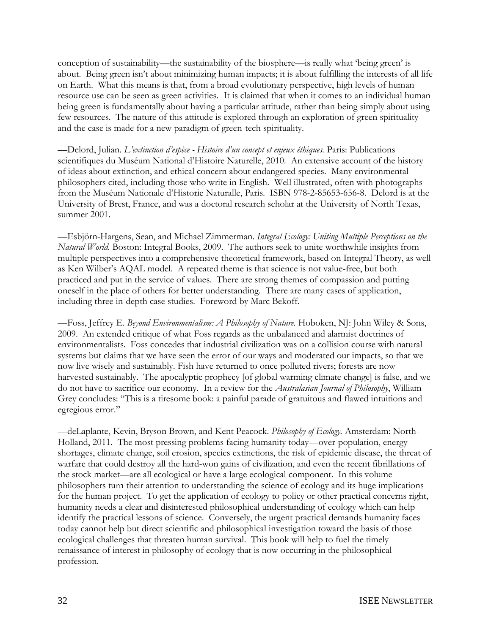conception of sustainability—the sustainability of the biosphere—is really what 'being green' is about. Being green isn't about minimizing human impacts; it is about fulfilling the interests of all life on Earth. What this means is that, from a broad evolutionary perspective, high levels of human resource use can be seen as green activities. It is claimed that when it comes to an individual human being green is fundamentally about having a particular attitude, rather than being simply about using few resources. The nature of this attitude is explored through an exploration of green spirituality and the case is made for a new paradigm of green-tech spirituality.

—Delord, Julian. *L'extinction d'espèce - Histoire d'un concept et enjeux éthiques.* Paris: Publications scientifiques du Muséum National d'Histoire Naturelle, 2010. An extensive account of the history of ideas about extinction, and ethical concern about endangered species. Many environmental philosophers cited, including those who write in English. Well illustrated, often with photographs from the Muséum Nationale d'Historie Naturalle, Paris. ISBN 978-2-85653-656-8. Delord is at the University of Brest, France, and was a doctoral research scholar at the University of North Texas, summer 2001.

—Esbjörn-Hargens, Sean, and Michael Zimmerman. *Integral Ecology: Uniting Multiple Perceptions on the Natural World.* Boston: Integral Books, 2009. The authors seek to unite worthwhile insights from multiple perspectives into a comprehensive theoretical framework, based on Integral Theory, as well as Ken Wilber's AQAL model. A repeated theme is that science is not value-free, but both practiced and put in the service of values. There are strong themes of compassion and putting oneself in the place of others for better understanding. There are many cases of application, including three in-depth case studies. Foreword by Marc Bekoff.

—Foss, Jeffrey E. *Beyond Environmentalism: A Philosophy of Nature.* Hoboken, NJ: John Wiley & Sons, 2009. An extended critique of what Foss regards as the unbalanced and alarmist doctrines of environmentalists. Foss concedes that industrial civilization was on a collision course with natural systems but claims that we have seen the error of our ways and moderated our impacts, so that we now live wisely and sustainably. Fish have returned to once polluted rivers; forests are now harvested sustainably. The apocalyptic prophecy [of global warming climate change] is false, and we do not have to sacrifice our economy. In a review for the *Australasian Journal of Philosophy*, William Grey concludes: "This is a tiresome book: a painful parade of gratuitous and flawed intuitions and egregious error."

—deLaplante, Kevin, Bryson Brown, and Kent Peacock. *Philosophy of Ecology.* Amsterdam: North-Holland, 2011. The most pressing problems facing humanity today—over-population, energy shortages, climate change, soil erosion, species extinctions, the risk of epidemic disease, the threat of warfare that could destroy all the hard-won gains of civilization, and even the recent fibrillations of the stock market—are all ecological or have a large ecological component. In this volume philosophers turn their attention to understanding the science of ecology and its huge implications for the human project. To get the application of ecology to policy or other practical concerns right, humanity needs a clear and disinterested philosophical understanding of ecology which can help identify the practical lessons of science. Conversely, the urgent practical demands humanity faces today cannot help but direct scientific and philosophical investigation toward the basis of those ecological challenges that threaten human survival. This book will help to fuel the timely renaissance of interest in philosophy of ecology that is now occurring in the philosophical profession.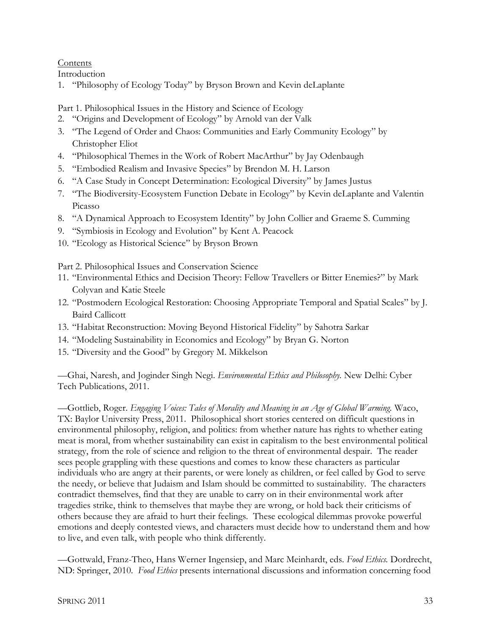## **Contents**

Introduction

1. "Philosophy of Ecology Today" by Bryson Brown and Kevin deLaplante

Part 1. Philosophical Issues in the History and Science of Ecology

- 2. "Origins and Development of Ecology" by Arnold van der Valk
- 3. "The Legend of Order and Chaos: Communities and Early Community Ecology" by Christopher Eliot
- 4. "Philosophical Themes in the Work of Robert MacArthur" by Jay Odenbaugh
- 5. "Embodied Realism and Invasive Species" by Brendon M. H. Larson
- 6. "A Case Study in Concept Determination: Ecological Diversity" by James Justus
- 7. "The Biodiversity-Ecosystem Function Debate in Ecology" by Kevin deLaplante and Valentin Picasso
- 8. "A Dynamical Approach to Ecosystem Identity" by John Collier and Graeme S. Cumming
- 9. "Symbiosis in Ecology and Evolution" by Kent A. Peacock
- 10. "Ecology as Historical Science" by Bryson Brown

Part 2. Philosophical Issues and Conservation Science

- 11. "Environmental Ethics and Decision Theory: Fellow Travellers or Bitter Enemies?" by Mark Colyvan and Katie Steele
- 12. "Postmodern Ecological Restoration: Choosing Appropriate Temporal and Spatial Scales" by J. Baird Callicott
- 13. "Habitat Reconstruction: Moving Beyond Historical Fidelity" by Sahotra Sarkar
- 14. "Modeling Sustainability in Economics and Ecology" by Bryan G. Norton
- 15. "Diversity and the Good" by Gregory M. Mikkelson

—Ghai, Naresh, and Joginder Singh Negi. *Environmental Ethics and Philosophy.* New Delhi: Cyber Tech Publications, 2011.

—Gottlieb, Roger. *Engaging Voices: Tales of Morality and Meaning in an Age of Global Warming.* Waco, TX: Baylor University Press, 2011. Philosophical short stories centered on difficult questions in environmental philosophy, religion, and politics: from whether nature has rights to whether eating meat is moral, from whether sustainability can exist in capitalism to the best environmental political strategy, from the role of science and religion to the threat of environmental despair. The reader sees people grappling with these questions and comes to know these characters as particular individuals who are angry at their parents, or were lonely as children, or feel called by God to serve the needy, or believe that Judaism and Islam should be committed to sustainability. The characters contradict themselves, find that they are unable to carry on in their environmental work after tragedies strike, think to themselves that maybe they are wrong, or hold back their criticisms of others because they are afraid to hurt their feelings. These ecological dilemmas provoke powerful emotions and deeply contested views, and characters must decide how to understand them and how to live, and even talk, with people who think differently.

—Gottwald, Franz-Theo, Hans Werner Ingensiep, and Marc Meinhardt, eds. *Food Ethics.* Dordrecht, ND: Springer, 2010. *Food Ethics* presents international discussions and information concerning food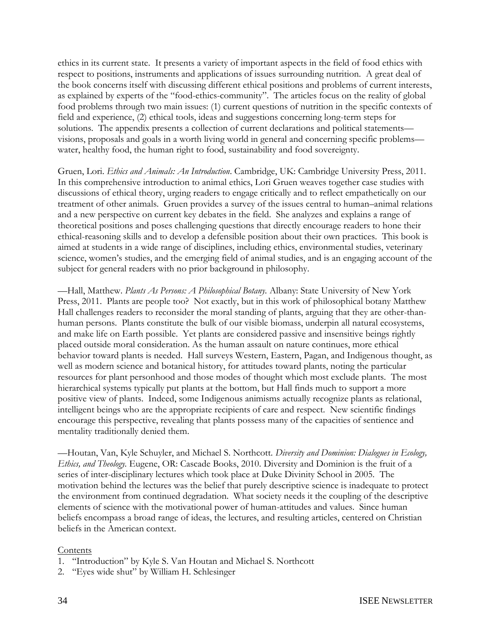ethics in its current state. It presents a variety of important aspects in the field of food ethics with respect to positions, instruments and applications of issues surrounding nutrition. A great deal of the book concerns itself with discussing different ethical positions and problems of current interests, as explained by experts of the "food-ethics-community". The articles focus on the reality of global food problems through two main issues: (1) current questions of nutrition in the specific contexts of field and experience, (2) ethical tools, ideas and suggestions concerning long-term steps for solutions. The appendix presents a collection of current declarations and political statements visions, proposals and goals in a worth living world in general and concerning specific problems water, healthy food, the human right to food, sustainability and food sovereignty.

Gruen, Lori. *Ethics and Animals: An Introduction*. Cambridge, UK: Cambridge University Press, 2011. In this comprehensive introduction to animal ethics, Lori Gruen weaves together case studies with discussions of ethical theory, urging readers to engage critically and to reflect empathetically on our treatment of other animals. Gruen provides a survey of the issues central to human–animal relations and a new perspective on current key debates in the field. She analyzes and explains a range of theoretical positions and poses challenging questions that directly encourage readers to hone their ethical-reasoning skills and to develop a defensible position about their own practices. This book is aimed at students in a wide range of disciplines, including ethics, environmental studies, veterinary science, women's studies, and the emerging field of animal studies, and is an engaging account of the subject for general readers with no prior background in philosophy.

—Hall, Matthew. *Plants As Persons: A Philosophical Botany.* Albany: State University of New York Press, 2011. Plants are people too? Not exactly, but in this work of philosophical botany Matthew Hall challenges readers to reconsider the moral standing of plants, arguing that they are other-thanhuman persons. Plants constitute the bulk of our visible biomass, underpin all natural ecosystems, and make life on Earth possible. Yet plants are considered passive and insensitive beings rightly placed outside moral consideration. As the human assault on nature continues, more ethical behavior toward plants is needed. Hall surveys Western, Eastern, Pagan, and Indigenous thought, as well as modern science and botanical history, for attitudes toward plants, noting the particular resources for plant personhood and those modes of thought which most exclude plants. The most hierarchical systems typically put plants at the bottom, but Hall finds much to support a more positive view of plants. Indeed, some Indigenous animisms actually recognize plants as relational, intelligent beings who are the appropriate recipients of care and respect. New scientific findings encourage this perspective, revealing that plants possess many of the capacities of sentience and mentality traditionally denied them.

—Houtan, Van, Kyle Schuyler, and Michael S. Northcott. *Diversity and Dominion: Dialogues in Ecology, Ethics, and Theology.* Eugene, OR: Cascade Books, 2010. Diversity and Dominion is the fruit of a series of inter-disciplinary lectures which took place at Duke Divinity School in 2005. The motivation behind the lectures was the belief that purely descriptive science is inadequate to protect the environment from continued degradation. What society needs it the coupling of the descriptive elements of science with the motivational power of human-attitudes and values. Since human beliefs encompass a broad range of ideas, the lectures, and resulting articles, centered on Christian beliefs in the American context.

#### Contents

- 1. "Introduction" by Kyle S. Van Houtan and Michael S. Northcott
- 2. "Eyes wide shut" by William H. Schlesinger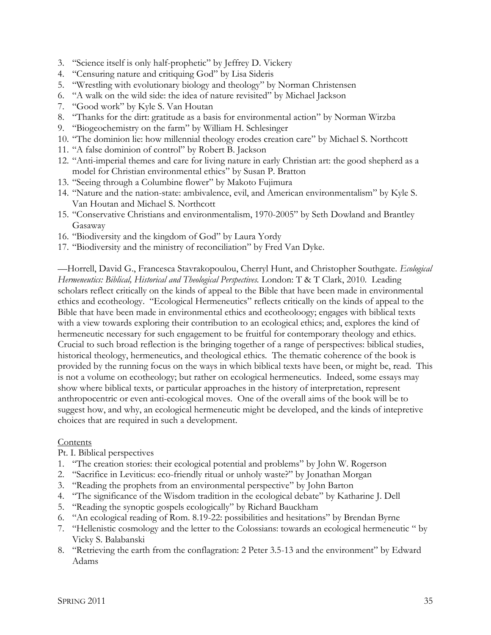- 3. "Science itself is only half-prophetic" by Jeffrey D. Vickery
- 4. "Censuring nature and critiquing God" by Lisa Sideris
- 5. "Wrestling with evolutionary biology and theology" by Norman Christensen
- 6. "A walk on the wild side: the idea of nature revisited" by Michael Jackson
- 7. "Good work" by Kyle S. Van Houtan
- 8. "Thanks for the dirt: gratitude as a basis for environmental action" by Norman Wirzba
- 9. "Biogeochemistry on the farm" by William H. Schlesinger
- 10. "The dominion lie: how millennial theology erodes creation care" by Michael S. Northcott
- 11. "A false dominion of control" by Robert B. Jackson
- 12. "Anti-imperial themes and care for living nature in early Christian art: the good shepherd as a model for Christian environmental ethics" by Susan P. Bratton
- 13. "Seeing through a Columbine flower" by Makoto Fujimura
- 14. "Nature and the nation-state: ambivalence, evil, and American environmentalism" by Kyle S. Van Houtan and Michael S. Northcott
- 15. "Conservative Christians and environmentalism, 1970-2005" by Seth Dowland and Brantley Gasaway
- 16. "Biodiversity and the kingdom of God" by Laura Yordy
- 17. "Biodiversity and the ministry of reconciliation" by Fred Van Dyke.

—Horrell, David G., Francesca Stavrakopoulou, Cherryl Hunt, and Christopher Southgate. *Ecological Hermeneutics: Biblical, Historical and Theological Perspectives.* London: T & T Clark, 2010. Leading scholars reflect critically on the kinds of appeal to the Bible that have been made in environmental ethics and ecotheology. "Ecological Hermeneutics" reflects critically on the kinds of appeal to the Bible that have been made in environmental ethics and ecotheoloogy; engages with biblical texts with a view towards exploring their contribution to an ecological ethics; and, explores the kind of hermeneutic necessary for such engagement to be fruitful for contemporary theology and ethics. Crucial to such broad reflection is the bringing together of a range of perspectives: biblical studies, historical theology, hermeneutics, and theological ethics. The thematic coherence of the book is provided by the running focus on the ways in which biblical texts have been, or might be, read. This is not a volume on ecotheology; but rather on ecological hermeneutics. Indeed, some essays may show where biblical texts, or particular approaches in the history of interpretation, represent anthropocentric or even anti-ecological moves. One of the overall aims of the book will be to suggest how, and why, an ecological hermeneutic might be developed, and the kinds of intepretive choices that are required in such a development.

#### **Contents**

Pt. I. Biblical perspectives

- 1. "The creation stories: their ecological potential and problems" by John W. Rogerson
- 2. "Sacrifice in Leviticus: eco-friendly ritual or unholy waste?" by Jonathan Morgan
- 3. "Reading the prophets from an environmental perspective" by John Barton
- 4. "The significance of the Wisdom tradition in the ecological debate" by Katharine J. Dell
- 5. "Reading the synoptic gospels ecologically" by Richard Bauckham
- 6. "An ecological reading of Rom. 8.19-22: possibilities and hesitations" by Brendan Byrne
- 7. "Hellenistic cosmology and the letter to the Colossians: towards an ecological hermeneutic " by Vicky S. Balabanski
- 8. "Retrieving the earth from the conflagration: 2 Peter 3.5-13 and the environment" by Edward Adams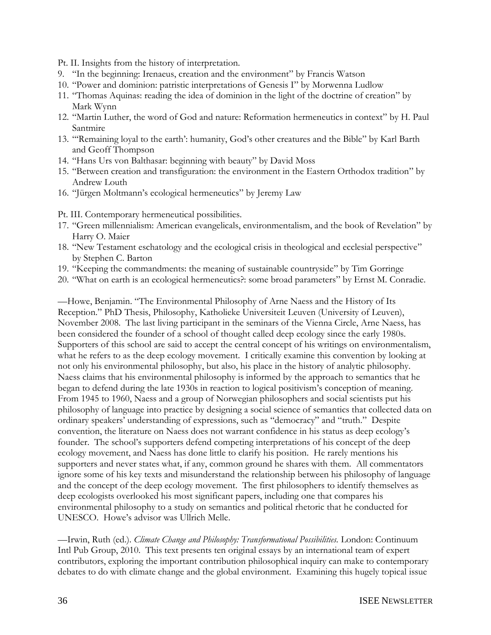- Pt. II. Insights from the history of interpretation.
- 9. "In the beginning: Irenaeus, creation and the environment" by Francis Watson
- 10. "Power and dominion: patristic interpretations of Genesis I" by Morwenna Ludlow
- 11. "Thomas Aquinas: reading the idea of dominion in the light of the doctrine of creation" by Mark Wynn
- 12. "Martin Luther, the word of God and nature: Reformation hermeneutics in context" by H. Paul Santmire
- 13. "Remaining loyal to the earth': humanity, God's other creatures and the Bible" by Karl Barth and Geoff Thompson
- 14. "Hans Urs von Balthasar: beginning with beauty" by David Moss
- 15. "Between creation and transfiguration: the environment in the Eastern Orthodox tradition" by Andrew Louth
- 16. "Jürgen Moltmann's ecological hermeneutics" by Jeremy Law

Pt. III. Contemporary hermeneutical possibilities.

- 17. "Green millennialism: American evangelicals, environmentalism, and the book of Revelation" by Harry O. Maier
- 18. "New Testament eschatology and the ecological crisis in theological and ecclesial perspective" by Stephen C. Barton
- 19. "Keeping the commandments: the meaning of sustainable countryside" by Tim Gorringe
- 20. "What on earth is an ecological hermeneutics?: some broad parameters" by Ernst M. Conradie.

—Howe, Benjamin. "The Environmental Philosophy of Arne Naess and the History of Its Reception." PhD Thesis, Philosophy, Katholieke Universiteit Leuven (University of Leuven), November 2008. The last living participant in the seminars of the Vienna Circle, Arne Naess, has been considered the founder of a school of thought called deep ecology since the early 1980s. Supporters of this school are said to accept the central concept of his writings on environmentalism, what he refers to as the deep ecology movement. I critically examine this convention by looking at not only his environmental philosophy, but also, his place in the history of analytic philosophy. Naess claims that his environmental philosophy is informed by the approach to semantics that he began to defend during the late 1930s in reaction to logical positivism's conception of meaning. From 1945 to 1960, Naess and a group of Norwegian philosophers and social scientists put his philosophy of language into practice by designing a social science of semantics that collected data on ordinary speakers' understanding of expressions, such as "democracy" and "truth." Despite convention, the literature on Naess does not warrant confidence in his status as deep ecology's founder. The school's supporters defend competing interpretations of his concept of the deep ecology movement, and Naess has done little to clarify his position. He rarely mentions his supporters and never states what, if any, common ground he shares with them. All commentators ignore some of his key texts and misunderstand the relationship between his philosophy of language and the concept of the deep ecology movement. The first philosophers to identify themselves as deep ecologists overlooked his most significant papers, including one that compares his environmental philosophy to a study on semantics and political rhetoric that he conducted for UNESCO. Howe's advisor was Ullrich Melle.

—Irwin, Ruth (ed.). *Climate Change and Philosophy: Transformational Possibilities.* London: Continuum Intl Pub Group, 2010. This text presents ten original essays by an international team of expert contributors, exploring the important contribution philosophical inquiry can make to contemporary debates to do with climate change and the global environment. Examining this hugely topical issue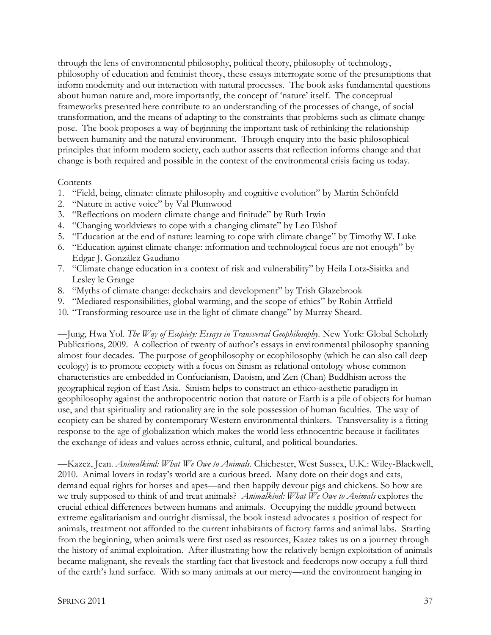through the lens of environmental philosophy, political theory, philosophy of technology, philosophy of education and feminist theory, these essays interrogate some of the presumptions that inform modernity and our interaction with natural processes. The book asks fundamental questions about human nature and, more importantly, the concept of 'nature' itself. The conceptual frameworks presented here contribute to an understanding of the processes of change, of social transformation, and the means of adapting to the constraints that problems such as climate change pose. The book proposes a way of beginning the important task of rethinking the relationship between humanity and the natural environment. Through enquiry into the basic philosophical principles that inform modern society, each author asserts that reflection informs change and that change is both required and possible in the context of the environmental crisis facing us today.

#### Contents

- 1. **"Field, being, climate: climate philosophy and cognitive evolution"** by Martin Schönfeld
- 2. "Nature in active voice" by Val Plumwood
- 3. "Reflections on modern climate change and finitude" by Ruth Irwin
- 4. "Changing worldviews to cope with a changing climate" by Leo Elshof
- 5. "Education at the end of nature: learning to cope with climate change" by Timothy W. Luke
- 6. "Education against climate change: information and technological focus are not enough" by Edgar J. González Gaudiano
- 7. "Climate change education in a context of risk and vulnerability" by Heila Lotz-Sisitka and Lesley le Grange
- 8. "Myths of climate change: deckchairs and development" by Trish Glazebrook
- 9. "Mediated responsibilities, global warming, and the scope of ethics" by Robin Attfield
- 10. "Transforming resource use in the light of climate change" by Murray Sheard.

—Jung, Hwa Yol. *The Way of Ecopiety: Essays in Transversal Geophilosophy.* New York: Global Scholarly Publications, 2009. A collection of twenty of author's essays in environmental philosophy spanning almost four decades. The purpose of geophilosophy or ecophilosophy (which he can also call deep ecology) is to promote ecopiety with a focus on Sinism as relational ontology whose common characteristics are embedded in Confucianism, Daoism, and Zen (Chan) Buddhism across the geographical region of East Asia. Sinism helps to construct an ethico-aesthetic paradigm in geophilosophy against the anthropocentric notion that nature or Earth is a pile of objects for human use, and that spirituality and rationality are in the sole possession of human faculties. The way of ecopiety can be shared by contemporary Western environmental thinkers. Transversality is a fitting response to the age of globalization which makes the world less ethnocentric because it facilitates the exchange of ideas and values across ethnic, cultural, and political boundaries.

—Kazez, Jean. *Animalkind: What We Owe to Animals.* Chichester, West Sussex, U.K.: Wiley-Blackwell, 2010. Animal lovers in today's world are a curious breed. Many dote on their dogs and cats, demand equal rights for horses and apes—and then happily devour pigs and chickens. So how are we truly supposed to think of and treat animals? *Animalkind: What We Owe to Animals* explores the crucial ethical differences between humans and animals. Occupying the middle ground between extreme egalitarianism and outright dismissal, the book instead advocates a position of respect for animals, treatment not afforded to the current inhabitants of factory farms and animal labs. Starting from the beginning, when animals were first used as resources, Kazez takes us on a journey through the history of animal exploitation. After illustrating how the relatively benign exploitation of animals became malignant, she reveals the startling fact that livestock and feedcrops now occupy a full third of the earth's land surface. With so many animals at our mercy—and the environment hanging in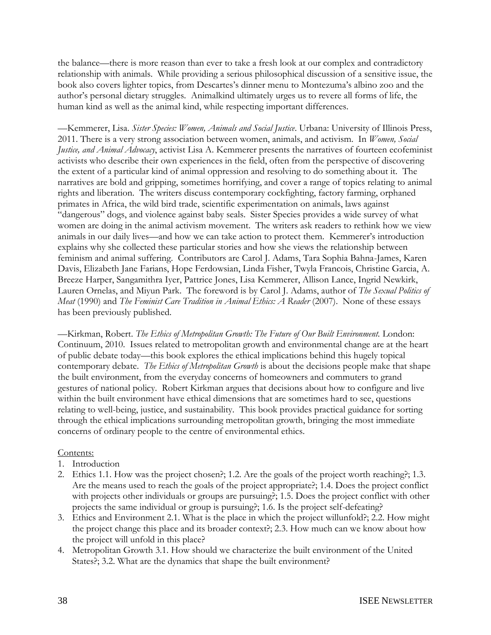the balance—there is more reason than ever to take a fresh look at our complex and contradictory relationship with animals. While providing a serious philosophical discussion of a sensitive issue, the book also covers lighter topics, from Descartes's dinner menu to Montezuma's albino zoo and the author's personal dietary struggles. Animalkind ultimately urges us to revere all forms of life, the human kind as well as the animal kind, while respecting important differences.

—Kemmerer, Lisa. *Sister Species: Women, Animals and Social Justice*. Urbana: University of Illinois Press, 2011. There is a very strong association between women, animals, and activism. In *Women, Social Justice, and Animal Advocacy*, activist Lisa A. Kemmerer presents the narratives of fourteen ecofeminist activists who describe their own experiences in the field, often from the perspective of discovering the extent of a particular kind of animal oppression and resolving to do something about it. The narratives are bold and gripping, sometimes horrifying, and cover a range of topics relating to animal rights and liberation. The writers discuss contemporary cockfighting, factory farming, orphaned primates in Africa, the wild bird trade, scientific experimentation on animals, laws against ―dangerous‖ dogs, and violence against baby seals. Sister Species provides a wide survey of what women are doing in the animal activism movement. The writers ask readers to rethink how we view animals in our daily lives—and how we can take action to protect them. Kemmerer's introduction explains why she collected these particular stories and how she views the relationship between feminism and animal suffering. Contributors are Carol J. Adams, Tara Sophia Bahna-James, Karen Davis, Elizabeth Jane Farians, Hope Ferdowsian, Linda Fisher, Twyla Francois, Christine Garcia, A. Breeze Harper, Sangamithra Iyer, Pattrice Jones, Lisa Kemmerer, Allison Lance, Ingrid Newkirk, Lauren Ornelas, and Miyun Park. The foreword is by Carol J. Adams, author of *The Sexual Politics of Meat* (1990) and *The Feminist Care Tradition in Animal Ethics: A Reader* (2007). None of these essays has been previously published.

—Kirkman, Robert. *The Ethics of Metropolitan Growth: The Future of Our Built Environment.* London: Continuum, 2010. Issues related to metropolitan growth and environmental change are at the heart of public debate today—this book explores the ethical implications behind this hugely topical contemporary debate. *The Ethics of Metropolitan Growth* is about the decisions people make that shape the built environment, from the everyday concerns of homeowners and commuters to grand gestures of national policy. Robert Kirkman argues that decisions about how to configure and live within the built environment have ethical dimensions that are sometimes hard to see, questions relating to well-being, justice, and sustainability. This book provides practical guidance for sorting through the ethical implications surrounding metropolitan growth, bringing the most immediate concerns of ordinary people to the centre of environmental ethics.

#### Contents:

- 1. Introduction
- 2. Ethics 1.1. How was the project chosen?; 1.2. Are the goals of the project worth reaching?; 1.3. Are the means used to reach the goals of the project appropriate?; 1.4. Does the project conflict with projects other individuals or groups are pursuing?; 1.5. Does the project conflict with other projects the same individual or group is pursuing?; 1.6. Is the project self-defeating?
- 3. Ethics and Environment 2.1. What is the place in which the project willunfold?; 2.2. How might the project change this place and its broader context?; 2.3. How much can we know about how the project will unfold in this place?
- 4. Metropolitan Growth 3.1. How should we characterize the built environment of the United States?; 3.2. What are the dynamics that shape the built environment?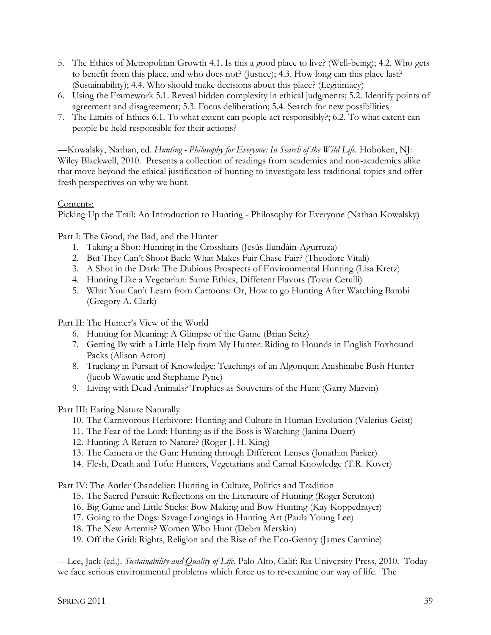- 5. The Ethics of Metropolitan Growth 4.1. Is this a good place to live? (Well-being); 4.2. Who gets to benefit from this place, and who does not? (Justice); 4.3. How long can this place last? (Sustainability); 4.4. Who should make decisions about this place? (Legitimacy)
- 6. Using the Framework 5.1. Reveal hidden complexity in ethical judgments; 5.2. Identify points of agreement and disagreement; 5.3. Focus deliberation; 5.4. Search for new possibilities
- 7. The Limits of Ethics 6.1. To what extent can people act responsibly?; 6.2. To what extent can people be held responsible for their actions?

—Kowalsky, Nathan, ed. *Hunting - Philosophy for Everyone: In Search of the Wild Life.* Hoboken, NJ: Wiley Blackwell, 2010. Presents a collection of readings from academics and non-academics alike that move beyond the ethical justification of hunting to investigate less traditional topics and offer fresh perspectives on why we hunt.

## Contents:

Picking Up the Trail: An Introduction to Hunting - Philosophy for Everyone (Nathan Kowalsky)

Part I: The Good, the Bad, and the Hunter

- 1. Taking a Shot: Hunting in the Crosshairs (Jesús Ilundáin-Agurruza)
- 2. But They Can't Shoot Back: What Makes Fair Chase Fair? (Theodore Vitali)
- 3. A Shot in the Dark: The Dubious Prospects of Environmental Hunting (Lisa Kretz)
- 4. Hunting Like a Vegetarian: Same Ethics, Different Flavors (Tovar Cerulli)
- 5. What You Can't Learn from Cartoons: Or, How to go Hunting After Watching Bambi (Gregory A. Clark)

Part II: The Hunter's View of the World

- 6. Hunting for Meaning: A Glimpse of the Game (Brian Seitz)
- 7. Getting By with a Little Help from My Hunter: Riding to Hounds in English Foxhound Packs (Alison Acton)
- 8. Tracking in Pursuit of Knowledge: Teachings of an Algonquin Anishinabe Bush Hunter (Jacob Wawatie and Stephanie Pyne)
- 9. Living with Dead Animals? Trophies as Souvenirs of the Hunt (Garry Marvin)

Part III: Eating Nature Naturally

- 10. The Carnivorous Herbivore: Hunting and Culture in Human Evolution (Valerius Geist)
- 11. The Fear of the Lord: Hunting as if the Boss is Watching (Janina Duerr)
- 12. Hunting: A Return to Nature? (Roger J. H. King)
- 13. The Camera or the Gun: Hunting through Different Lenses (Jonathan Parker)
- 14. Flesh, Death and Tofu: Hunters, Vegetarians and Carnal Knowledge (T.R. Kover)

Part IV: The Antler Chandelier: Hunting in Culture, Politics and Tradition

- 15. The Sacred Pursuit: Reflections on the Literature of Hunting (Roger Scruton)
- 16. Big Game and Little Sticks: Bow Making and Bow Hunting (Kay Koppedrayer)
- 17. Going to the Dogs: Savage Longings in Hunting Art (Paula Young Lee)
- 18. The New Artemis? Women Who Hunt (Debra Merskin)
- 19. Off the Grid: Rights, Religion and the Rise of the Eco-Gentry (James Carmine)

—Lee, Jack (ed.). *Sustainability and Quality of Life.* Palo Alto, Calif: Ria University Press, 2010. Today we face serious environmental problems which force us to re-examine our way of life. The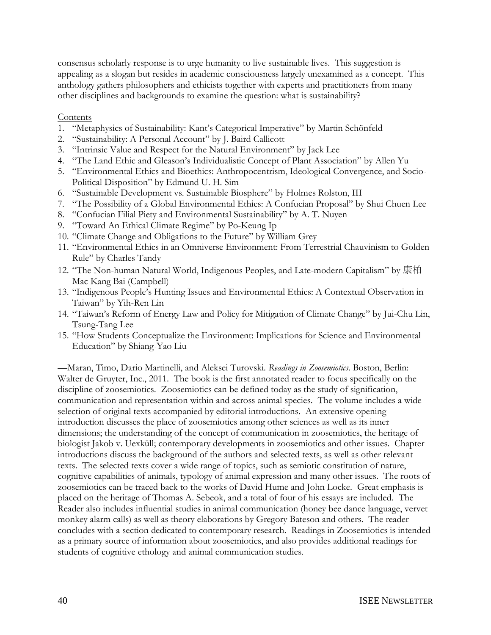consensus scholarly response is to urge humanity to live sustainable lives. This suggestion is appealing as a slogan but resides in academic consciousness largely unexamined as a concept. This anthology gathers philosophers and ethicists together with experts and practitioners from many other disciplines and backgrounds to examine the question: what is sustainability?

### Contents

- 1. "Metaphysics of Sustainability: Kant's Categorical Imperative" by Martin Schönfeld
- 2. "Sustainability: A Personal Account" by J. Baird Callicott
- 3. "Intrinsic Value and Respect for the Natural Environment" by Jack Lee
- 4. "The Land Ethic and Gleason's Individualistic Concept of Plant Association" by Allen Yu
- 5. "Environmental Ethics and Bioethics: Anthropocentrism, Ideological Convergence, and Socio-Political Disposition" by Edmund U. H. Sim
- 6. "Sustainable Development vs. Sustainable Biosphere" by Holmes Rolston, III
- 7. "The Possibility of a Global Environmental Ethics: A Confucian Proposal" by Shui Chuen Lee
- 8. "Confucian Filial Piety and Environmental Sustainability" by A. T. Nuyen
- 9. "Toward An Ethical Climate Regime" by Po-Keung Ip
- 10. "Climate Change and Obligations to the Future" by William Grey
- 11. "Environmental Ethics in an Omniverse Environment: From Terrestrial Chauvinism to Golden Rule" by Charles Tandy
- 12. "The Non-human Natural World, Indigenous Peoples, and Late-modern Capitalism" by 康柏 Mac Kang Bai (Campbell)
- 13. "Indigenous People's Hunting Issues and Environmental Ethics: A Contextual Observation in Taiwan‖ by Yih-Ren Lin
- 14. "Taiwan's Reform of Energy Law and Policy for Mitigation of Climate Change" by Jui-Chu Lin, Tsung-Tang Lee
- 15. "How Students Conceptualize the Environment: Implications for Science and Environmental Education" by Shiang-Yao Liu

—Maran, Timo, Dario Martinelli, and Aleksei Turovski. *Readings in Zoosemiotics*. Boston, Berlin: Walter de Gruyter, Inc., 2011. The book is the first annotated reader to focus specifically on the discipline of zoosemiotics. Zoosemiotics can be defined today as the study of signification, communication and representation within and across animal species. The volume includes a wide selection of original texts accompanied by editorial introductions. An extensive opening introduction discusses the place of zoosemiotics among other sciences as well as its inner dimensions; the understanding of the concept of communication in zoosemiotics, the heritage of biologist Jakob v. Uexküll; contemporary developments in zoosemiotics and other issues. Chapter introductions discuss the background of the authors and selected texts, as well as other relevant texts. The selected texts cover a wide range of topics, such as semiotic constitution of nature, cognitive capabilities of animals, typology of animal expression and many other issues. The roots of zoosemiotics can be traced back to the works of David Hume and John Locke. Great emphasis is placed on the heritage of Thomas A. Sebeok, and a total of four of his essays are included. The Reader also includes influential studies in animal communication (honey bee dance language, vervet monkey alarm calls) as well as theory elaborations by Gregory Bateson and others. The reader concludes with a section dedicated to contemporary research. Readings in Zoosemiotics is intended as a primary source of information about zoosemiotics, and also provides additional readings for students of cognitive ethology and animal communication studies.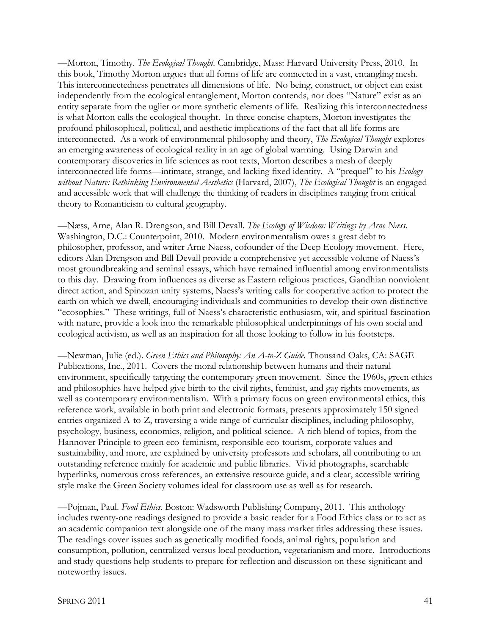—Morton, Timothy. *The Ecological Thought.* Cambridge, Mass: Harvard University Press, 2010. In this book, Timothy Morton argues that all forms of life are connected in a vast, entangling mesh. This interconnectedness penetrates all dimensions of life. No being, construct, or object can exist independently from the ecological entanglement, Morton contends, nor does "Nature" exist as an entity separate from the uglier or more synthetic elements of life. Realizing this interconnectedness is what Morton calls the ecological thought. In three concise chapters, Morton investigates the profound philosophical, political, and aesthetic implications of the fact that all life forms are interconnected. As a work of environmental philosophy and theory, *The Ecological Thought* explores an emerging awareness of ecological reality in an age of global warming. Using Darwin and contemporary discoveries in life sciences as root texts, Morton describes a mesh of deeply interconnected life forms—intimate, strange, and lacking fixed identity. A "prequel" to his *Ecology without Nature: Rethinking Environmental Aesthetics* (Harvard, 2007), *The Ecological Thought* is an engaged and accessible work that will challenge the thinking of readers in disciplines ranging from critical theory to Romanticism to cultural geography.

—Næss, Arne, Alan R. Drengson, and Bill Devall. *The Ecology of Wisdom: Writings by Arne Næss.* Washington, D.C.: Counterpoint, 2010. Modern environmentalism owes a great debt to philosopher, professor, and writer Arne Naess, cofounder of the Deep Ecology movement. Here, editors Alan Drengson and Bill Devall provide a comprehensive yet accessible volume of Naess's most groundbreaking and seminal essays, which have remained influential among environmentalists to this day. Drawing from influences as diverse as Eastern religious practices, Gandhian nonviolent direct action, and Spinozan unity systems, Naess's writing calls for cooperative action to protect the earth on which we dwell, encouraging individuals and communities to develop their own distinctive ―ecosophies.‖ These writings, full of Naess's characteristic enthusiasm, wit, and spiritual fascination with nature, provide a look into the remarkable philosophical underpinnings of his own social and ecological activism, as well as an inspiration for all those looking to follow in his footsteps.

—Newman, Julie (ed.). *Green Ethics and Philosophy: An A-to-Z Guide.* Thousand Oaks, CA: SAGE Publications, Inc., 2011. Covers the moral relationship between humans and their natural environment, specifically targeting the contemporary green movement. Since the 1960s, green ethics and philosophies have helped give birth to the civil rights, feminist, and gay rights movements, as well as contemporary environmentalism. With a primary focus on green environmental ethics, this reference work, available in both print and electronic formats, presents approximately 150 signed entries organized A-to-Z, traversing a wide range of curricular disciplines, including philosophy, psychology, business, economics, religion, and political science. A rich blend of topics, from the Hannover Principle to green eco-feminism, responsible eco-tourism, corporate values and sustainability, and more, are explained by university professors and scholars, all contributing to an outstanding reference mainly for academic and public libraries. Vivid photographs, searchable hyperlinks, numerous cross references, an extensive resource guide, and a clear, accessible writing style make the Green Society volumes ideal for classroom use as well as for research.

—Pojman, Paul. *Food Ethics.* Boston: Wadsworth Publishing Company, 2011. This anthology includes twenty-one readings designed to provide a basic reader for a Food Ethics class or to act as an academic companion text alongside one of the many mass market titles addressing these issues. The readings cover issues such as genetically modified foods, animal rights, population and consumption, pollution, centralized versus local production, vegetarianism and more. Introductions and study questions help students to prepare for reflection and discussion on these significant and noteworthy issues.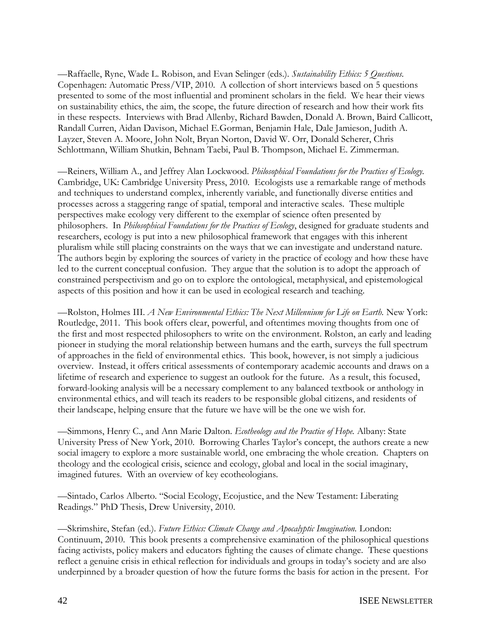—Raffaelle, Ryne, Wade L. Robison, and Evan Selinger (eds.). *Sustainability Ethics: 5 Questions.* Copenhagen: Automatic Press/VIP, 2010. A collection of short interviews based on 5 questions presented to some of the most influential and prominent scholars in the field. We hear their views on sustainability ethics, the aim, the scope, the future direction of research and how their work fits in these respects. Interviews with Brad Allenby, Richard Bawden, Donald A. Brown, Baird Callicott, Randall Curren, Aidan Davison, Michael E.Gorman, Benjamin Hale, Dale Jamieson, Judith A. Layzer, Steven A. Moore, John Nolt, Bryan Norton, David W. Orr, Donald Scherer, Chris Schlottmann, William Shutkin, Behnam Taebi, Paul B. Thompson, Michael E. Zimmerman.

—Reiners, William A., and Jeffrey Alan Lockwood. *Philosophical Foundations for the Practices of Ecology.* Cambridge, UK: Cambridge University Press, 2010. Ecologists use a remarkable range of methods and techniques to understand complex, inherently variable, and functionally diverse entities and processes across a staggering range of spatial, temporal and interactive scales. These multiple perspectives make ecology very different to the exemplar of science often presented by philosophers. In *Philosophical Foundations for the Practices of Ecology*, designed for graduate students and researchers, ecology is put into a new philosophical framework that engages with this inherent pluralism while still placing constraints on the ways that we can investigate and understand nature. The authors begin by exploring the sources of variety in the practice of ecology and how these have led to the current conceptual confusion. They argue that the solution is to adopt the approach of constrained perspectivism and go on to explore the ontological, metaphysical, and epistemological aspects of this position and how it can be used in ecological research and teaching.

—Rolston, Holmes III. *A New Environmental Ethics: The Next Millennium for Life on Earth.* New York: Routledge, 2011. This book offers clear, powerful, and oftentimes moving thoughts from one of the first and most respected philosophers to write on the environment. Rolston, an early and leading pioneer in studying the moral relationship between humans and the earth, surveys the full spectrum of approaches in the field of environmental ethics. This book, however, is not simply a judicious overview. Instead, it offers critical assessments of contemporary academic accounts and draws on a lifetime of research and experience to suggest an outlook for the future. As a result, this focused, forward-looking analysis will be a necessary complement to any balanced textbook or anthology in environmental ethics, and will teach its readers to be responsible global citizens, and residents of their landscape, helping ensure that the future we have will be the one we wish for.

—Simmons, Henry C., and Ann Marie Dalton. *Ecotheology and the Practice of Hope.* Albany: State University Press of New York, 2010. Borrowing Charles Taylor's concept, the authors create a new social imagery to explore a more sustainable world, one embracing the whole creation. Chapters on theology and the ecological crisis, science and ecology, global and local in the social imaginary, imagined futures. With an overview of key ecotheologians.

—Sintado, Carlos Alberto. ―Social Ecology, Ecojustice, and the New Testament: Liberating Readings." PhD Thesis, Drew University, 2010.

—Skrimshire, Stefan (ed.). *Future Ethics: Climate Change and Apocalyptic Imagination.* London: Continuum, 2010. This book presents a comprehensive examination of the philosophical questions facing activists, policy makers and educators fighting the causes of climate change. These questions reflect a genuine crisis in ethical reflection for individuals and groups in today's society and are also underpinned by a broader question of how the future forms the basis for action in the present. For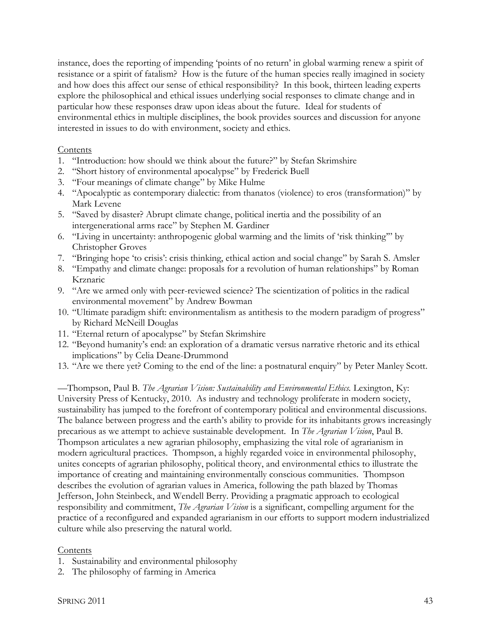instance, does the reporting of impending 'points of no return' in global warming renew a spirit of resistance or a spirit of fatalism? How is the future of the human species really imagined in society and how does this affect our sense of ethical responsibility? In this book, thirteen leading experts explore the philosophical and ethical issues underlying social responses to climate change and in particular how these responses draw upon ideas about the future. Ideal for students of environmental ethics in multiple disciplines, the book provides sources and discussion for anyone interested in issues to do with environment, society and ethics.

#### Contents

- 1. "Introduction: how should we think about the future?" by Stefan Skrimshire
- 2. "Short history of environmental apocalypse" by Frederick Buell
- 3. "Four meanings of climate change" by Mike Hulme
- 4. "Apocalyptic as contemporary dialectic: from thanatos (violence) to eros (transformation)" by Mark Levene
- 5. ―Saved by disaster? Abrupt climate change, political inertia and the possibility of an intergenerational arms race" by Stephen M. Gardiner
- 6. "Living in uncertainty: anthropogenic global warming and the limits of 'risk thinking'" by Christopher Groves
- 7. "Bringing hope 'to crisis': crisis thinking, ethical action and social change" by Sarah S. Amsler
- 8. "Empathy and climate change: proposals for a revolution of human relationships" by Roman Krznaric
- 9. "Are we armed only with peer-reviewed science? The scientization of politics in the radical environmental movement" by Andrew Bowman
- 10. "Ultimate paradigm shift: environmentalism as antithesis to the modern paradigm of progress" by Richard McNeill Douglas
- 11. "Eternal return of apocalypse" by Stefan Skrimshire
- 12. "Beyond humanity's end: an exploration of a dramatic versus narrative rhetoric and its ethical implications" by Celia Deane-Drummond
- 13. "Are we there yet? Coming to the end of the line: a postnatural enquiry" by Peter Manley Scott.

—Thompson, Paul B. *The Agrarian Vision: Sustainability and Environmental Ethics.* Lexington, Ky: University Press of Kentucky, 2010. As industry and technology proliferate in modern society, sustainability has jumped to the forefront of contemporary political and environmental discussions. The balance between progress and the earth's ability to provide for its inhabitants grows increasingly precarious as we attempt to achieve sustainable development. In *The Agrarian Vision*, Paul B. Thompson articulates a new agrarian philosophy, emphasizing the vital role of agrarianism in modern agricultural practices. Thompson, a highly regarded voice in environmental philosophy, unites concepts of agrarian philosophy, political theory, and environmental ethics to illustrate the importance of creating and maintaining environmentally conscious communities. Thompson describes the evolution of agrarian values in America, following the path blazed by Thomas Jefferson, John Steinbeck, and Wendell Berry. Providing a pragmatic approach to ecological responsibility and commitment, *The Agrarian Vision* is a significant, compelling argument for the practice of a reconfigured and expanded agrarianism in our efforts to support modern industrialized culture while also preserving the natural world.

#### Contents

- 1. Sustainability and environmental philosophy
- 2. The philosophy of farming in America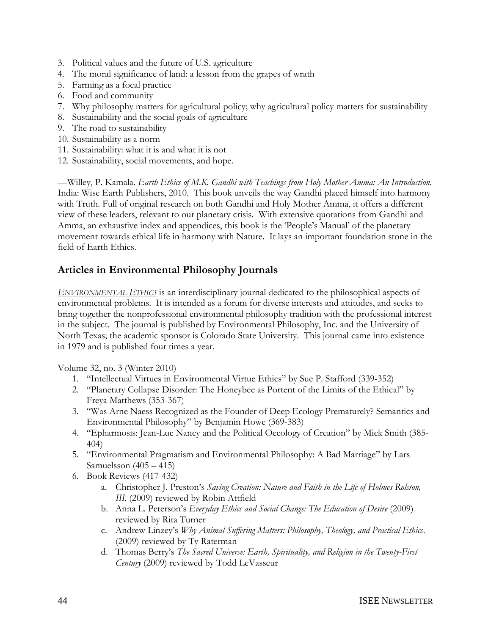- 3. Political values and the future of U.S. agriculture
- 4. The moral significance of land: a lesson from the grapes of wrath
- 5. Farming as a focal practice
- 6. Food and community
- 7. Why philosophy matters for agricultural policy; why agricultural policy matters for sustainability
- 8. Sustainability and the social goals of agriculture
- 9. The road to sustainability
- 10. Sustainability as a norm
- 11. Sustainability: what it is and what it is not
- 12. Sustainability, social movements, and hope.

—Willey, P. Kamala. *Earth Ethics of M.K. Gandhi with Teachings from Holy Mother Amma: An Introduction.* India: Wise Earth Publishers, 2010. This book unveils the way Gandhi placed himself into harmony with Truth. Full of original research on both Gandhi and Holy Mother Amma, it offers a different view of these leaders, relevant to our planetary crisis. With extensive quotations from Gandhi and Amma, an exhaustive index and appendices, this book is the 'People's Manual' of the planetary movement towards ethical life in harmony with Nature. It lays an important foundation stone in the field of Earth Ethics.

# **Articles in Environmental Philosophy Journals**

*E[NVIRONMENTAL](http://www.cep.unt.edu/enethics.html) ETHICS* is an interdisciplinary journal dedicated to the philosophical aspects of environmental problems. It is intended as a forum for diverse interests and attitudes, and seeks to bring together the nonprofessional environmental philosophy tradition with the professional interest in the subject. The journal is published by Environmental Philosophy, Inc. and the University of North Texas; the academic sponsor is Colorado State University. This journal came into existence in 1979 and is published four times a year.

Volume 32, no. 3 (Winter 2010)

- 1. "Intellectual Virtues in Environmental Virtue Ethics" by Sue P. Stafford (339-352)
- 2. "Planetary Collapse Disorder: The Honeybee as Portent of the Limits of the Ethical" by Freya Matthews (353-367)
- 3. "Was Arne Naess Recognized as the Founder of Deep Ecology Prematurely? Semantics and Environmental Philosophy" by Benjamin Howe (369-383)
- 4. "Epharmosis: Jean-Luc Nancy and the Political Oecology of Creation" by Mick Smith (385-404)
- 5. "Environmental Pragmatism and Environmental Philosophy: A Bad Marriage" by Lars Samuelsson (405 – 415)
- 6. Book Reviews (417-432)
	- a. Christopher J. Preston's *Saving Creation: Nature and Faith in the Life of Holmes Rolston, III.* (2009) reviewed by Robin Attfield
	- b. Anna L. Peterson's *Everyday Ethics and Social Change: The Education of Desire* (2009) reviewed by Rita Turner
	- c. Andrew Linzey's *Why Animal Suffering Matters: Philosophy, Theology, and Practical Ethics*. (2009) reviewed by Ty Raterman
	- d. Thomas Berry's *The Sacred Universe: Earth, Spirituality, and Religion in the Twenty-First Century* (2009) reviewed by Todd LeVasseur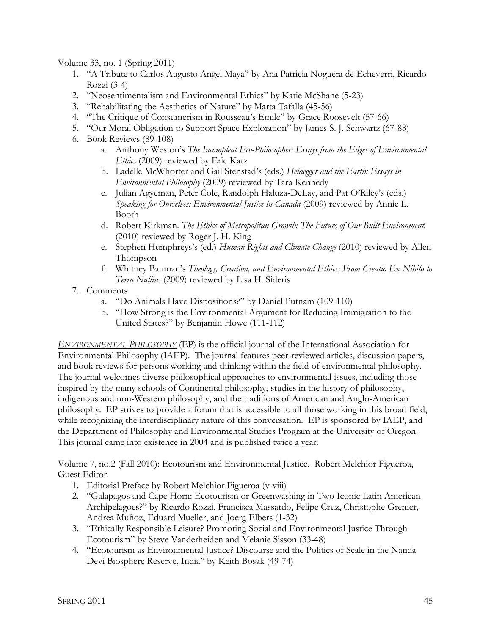Volume 33, no. 1 (Spring 2011)

- 1. "A Tribute to Carlos Augusto Angel Maya" by Ana Patricia Noguera de Echeverri, Ricardo Rozzi  $(3-4)$
- 2. "Neosentimentalism and Environmental Ethics" by Katie McShane (5-23)
- 3. "Rehabilitating the Aesthetics of Nature" by Marta Tafalla (45-56)
- 4. "The Critique of Consumerism in Rousseau's Emile" by Grace Roosevelt (57-66)
- 5. "Our Moral Obligation to Support Space Exploration" by James S. J. Schwartz (67-88)
- 6. Book Reviews (89-108)
	- a. Anthony Weston's *The Incompleat Eco-Philosopher: Essays from the Edges of Environmental Ethics* (2009) reviewed by Eric Katz
	- b. Ladelle McWhorter and Gail Stenstad's (eds.) *Heidegger and the Earth: Essays in Environmental Philosophy* (2009) reviewed by Tara Kennedy
	- c. Julian Agyeman, Peter Cole, Randolph Haluza-DeLay, and Pat O'Riley's (eds.) *Speaking for Ourselves: Environmental Justice in Canada* (2009) reviewed by Annie L. Booth
	- d. Robert Kirkman. *The Ethics of Metropolitan Growth: The Future of Our Built Environment.*  (2010) reviewed by Roger J. H. King
	- e. Stephen Humphreys's (ed.) *Human Rights and Climate Change* (2010) reviewed by Allen Thompson
	- f. Whitney Bauman's *Theology, Creation, and Environmental Ethics: From Creatio Ex Nihilo to Terra Nullius* (2009) reviewed by Lisa H. Sideris
- 7. Comments
	- a. "Do Animals Have Dispositions?" by Daniel Putnam (109-110)
	- b. "How Strong is the Environmental Argument for Reducing Immigration to the United States?" by Benjamin Howe (111-112)

*E[NVIRONMENTAL](http://ephilosophy.uoregon.edu/index.html) PHILOSOPHY* (EP) is the official journal of the International Association for Environmental Philosophy (IAEP). The journal features peer-reviewed articles, discussion papers, and book reviews for persons working and thinking within the field of environmental philosophy. The journal welcomes diverse philosophical approaches to environmental issues, including those inspired by the many schools of Continental philosophy, studies in the history of philosophy, indigenous and non-Western philosophy, and the traditions of American and Anglo-American philosophy. EP strives to provide a forum that is accessible to all those working in this broad field, while recognizing the interdisciplinary nature of this conversation. EP is sponsored by IAEP, and the Department of Philosophy and Environmental Studies Program at the University of Oregon. This journal came into existence in 2004 and is published twice a year.

Volume 7, no.2 (Fall 2010): Ecotourism and Environmental Justice. Robert Melchior Figueroa, Guest Editor.

- 1. Editorial Preface by Robert Melchior Figueroa (v-viii)
- 2. "Galapagos and Cape Horn: Ecotourism or Greenwashing in Two Iconic Latin American Archipelagoes?" by Ricardo Rozzi, Francisca Massardo, Felipe Cruz, Christophe Grenier, Andrea Muñoz, Eduard Mueller, and Joerg Elbers (1-32)
- 3. "Ethically Responsible Leisure? Promoting Social and Environmental Justice Through Ecotourism" by Steve Vanderheiden and Melanie Sisson (33-48)
- 4. **"Ecotourism as Environmental Justice? Discourse and the Politics of Scale in the Nanda** Devi Biosphere Reserve, India" by Keith Bosak (49-74)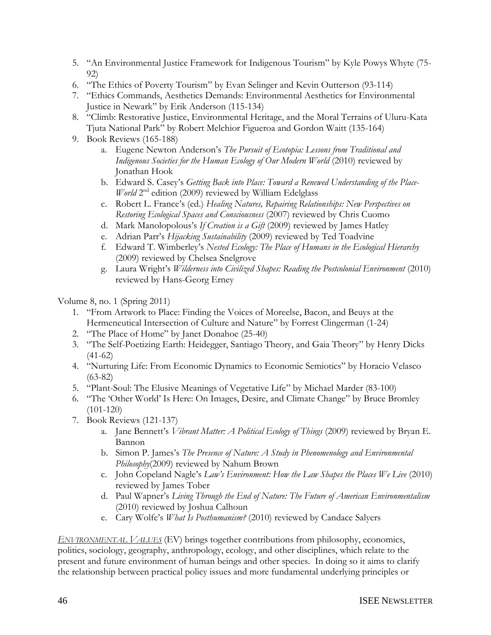- 5. "An Environmental Justice Framework for Indigenous Tourism" by Kyle Powys Whyte (75-92)
- 6. "The Ethics of Poverty Tourism" by Evan Selinger and Kevin Outterson (93-114)
- 7. ―Ethics Commands, Aesthetics Demands: Environmental Aesthetics for Environmental Justice in Newark" by Erik Anderson (115-134)
- 8. "Climb: Restorative Justice, Environmental Heritage, and the Moral Terrains of Uluru-Kata Tjuta National Park‖ by Robert Melchior Figueroa and Gordon Waitt (135-164)
- 9. Book Reviews (165-188)
	- a. Eugene Newton Anderson's *The Pursuit of Ecotopia: Lessons from Traditional and Indigenous Societies for the Human Ecology of Our Modern World* (2010) reviewed by Jonathan Hook
	- b. Edward S. Casey's *Getting Back into Place: Toward a Renewed Understanding of the Place-*World 2<sup>nd</sup> edition (2009) reviewed by William Edelglass
	- c. Robert L. France's (ed.) *Healing Natures, Repairing Relationships: New Perspectives on Restoring Ecological Spaces and Consciousness* (2007) reviewed by Chris Cuomo
	- d. Mark Manolopolous's *If Creation is a Gift* (2009) reviewed by James Hatley
	- e. Adrian Parr's *Hijacking Sustainability* (2009) reviewed by Ted Toadvine
	- f. Edward T. Wimberley's *Nested Ecology: The Place of Humans in the Ecological Hierarchy* (2009) reviewed by Chelsea Snelgrove
	- g. Laura Wright's *Wilderness into Civilized Shapes: Reading the Postcolonial Environment* (2010) reviewed by Hans-Georg Erney

Volume 8, no. 1 (Spring 2011)

- 1. "From Artwork to Place: Finding the Voices of Moreelse, Bacon, and Beuys at the Hermeneutical Intersection of Culture and Nature" by Forrest Clingerman (1-24)
- 2. "The Place of Home" by Janet Donahoe (25-40)
- 3. "The Self-Poetizing Earth: Heidegger, Santiago Theory, and Gaia Theory" by Henry Dicks (41-62)
- 4. "Nurturing Life: From Economic Dynamics to Economic Semiotics" by Horacio Velasco (63-82)
- 5. "Plant-Soul: The Elusive Meanings of Vegetative Life" by Michael Marder (83-100)
- 6. "The 'Other World' Is Here: On Images, Desire, and Climate Change" by Bruce Bromley (101-120)
- 7. Book Reviews (121-137)
	- a. Jane Bennett's *Vibrant Matter: A Political Ecology of Things* (2009) reviewed by Bryan E. Bannon
	- b. Simon P. James's *The Presence of Nature: A Study in Phenomenology and Environmental Philosophy*(2009) reviewed by Nahum Brown
	- c. John Copeland Nagle's *Law's Environment: How the Law Shapes the Places We Live* (2010) reviewed by James Tober
	- d. Paul Wapner's *Living Through the End of Nature: The Future of American Environmentalism* (2010) reviewed by Joshua Calhoun
	- e. Cary Wolfe's *What Is Posthumanism?* (2010) reviewed by Candace Salyers

*E[NVIRONMENTAL](http://www.erica.demon.co.uk/EV.html) VALUES* (EV) brings together contributions from philosophy, economics, politics, sociology, geography, anthropology, ecology, and other disciplines, which relate to the present and future environment of human beings and other species. In doing so it aims to clarify the relationship between practical policy issues and more fundamental underlying principles or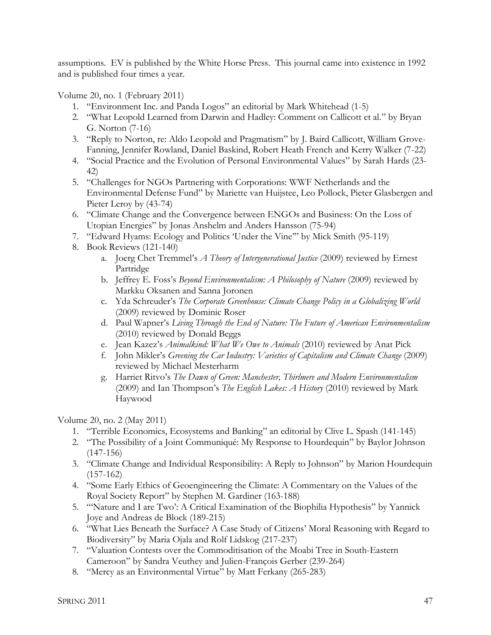assumptions. EV is published by the White Horse Press. This journal came into existence in 1992 and is published four times a year.

Volume 20, no. 1 (February 2011)

- 1. "Environment Inc. and Panda Logos" an editorial by Mark Whitehead (1-5)
- 2. "What Leopold Learned from Darwin and Hadley: Comment on Callicott et al." by Bryan G. Norton (7-16)
- 3. "Reply to Norton, re: Aldo Leopold and Pragmatism" by J. Baird Callicott, William Grove-Fanning, Jennifer Rowland, Daniel Baskind, Robert Heath French and Kerry Walker (7-22)
- 4. "Social Practice and the Evolution of Personal Environmental Values" by Sarah Hards (23-42)
- 5. "Challenges for NGOs Partnering with Corporations: WWF Netherlands and the Environmental Defense Fund‖ by Mariette van Huijstee, Leo Pollock, Pieter Glasbergen and Pieter Leroy by  $(43-74)$
- 6. ―Climate Change and the Convergence between ENGOs and Business: On the Loss of Utopian Energies" by Jonas Anshelm and Anders Hansson (75-94)
- 7. "Edward Hyams: Ecology and Politics 'Under the Vine" by Mick Smith (95-119)
- 8. Book Reviews (121-140)
	- a. Joerg Chet Tremmel's *A Theory of Intergenerational Justice* (2009) reviewed by Ernest Partridge
	- b. Jeffrey E. Foss's *Beyond Environmentalism: A Philosophy of Nature* (2009) reviewed by Markku Oksanen and Sanna Joronen
	- c. Yda Schreuder's *The Corporate Greenhouse: Climate Change Policy in a Globalizing World* (2009) reviewed by Dominic Roser
	- d. Paul Wapner's *Living Through the End of Nature: The Future of American Environmentalism* (2010) reviewed by Donald Beggs
	- e. Jean Kazez's *Animalkind: What We Owe to Animals* (2010) reviewed by Anat Pick
	- f. John Mikler's *Greening the Car Industry: Varieties of Capitalism and Climate Change* (2009) reviewed by Michael Mesterharm
	- g. Harriet Ritvo's *The Dawn of Green: Manchester, Thirlmere and Modern Environmentalism* (2009) and Ian Thompson's *The English Lakes: A History* (2010) reviewed by Mark Haywood

Volume 20, no. 2 (May 2011)

- 1. "Terrible Economics, Ecosystems and Banking" an editorial by Clive L. Spash (141-145)
- 2. "The Possibility of a Joint Communiqué: My Response to Hourdequin" by Baylor Johnson  $(147-156)$
- 3. "Climate Change and Individual Responsibility: A Reply to Johnson" by Marion Hourdequin (157-162)
- 4. "Some Early Ethics of Geoengineering the Climate: A Commentary on the Values of the Royal Society Report" by Stephen M. Gardiner (163-188)
- 5. "Nature and I are Two': A Critical Examination of the Biophilia Hypothesis" by Yannick Joye and Andreas de Block (189-215)
- 6. ―What Lies Beneath the Surface? A Case Study of Citizens' Moral Reasoning with Regard to Biodiversity" by Maria Ojala and Rolf Lidskog (217-237)
- 7. ―Valuation Contests over the Commoditisation of the Moabi Tree in South-Eastern Cameroon" by Sandra Veuthey and Julien-François Gerber (239-264)
- 8. "Mercy as an Environmental Virtue" by Matt Ferkany (265-283)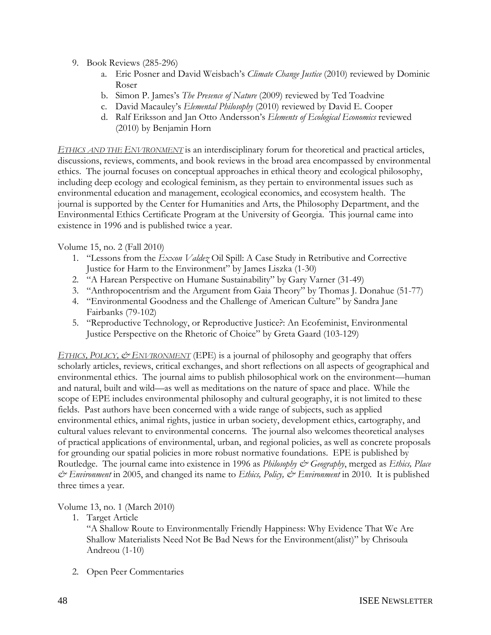- 9. Book Reviews (285-296)
	- a. Eric Posner and David Weisbach's *Climate Change Justice* (2010) reviewed by Dominic Roser
	- b. Simon P. James's *The Presence of Nature* (2009) reviewed by Ted Toadvine
	- c. David Macauley's *Elemental Philosophy* (2010) reviewed by David E. Cooper
	- d. Ralf Eriksson and Jan Otto Andersson's *Elements of Ecological Economics* reviewed (2010) by Benjamin Horn

*E[THICS AND THE](http://www.phil.uga.edu/eande/index.htm) ENVIRONMENT* is an interdisciplinary forum for theoretical and practical articles, discussions, reviews, comments, and book reviews in the broad area encompassed by environmental ethics. The journal focuses on conceptual approaches in ethical theory and ecological philosophy, including deep ecology and ecological feminism, as they pertain to environmental issues such as environmental education and management, ecological economics, and ecosystem health. The journal is supported by the Center for Humanities and Arts, the Philosophy Department, and the Environmental Ethics Certificate Program at the University of Georgia. This journal came into existence in 1996 and is published twice a year.

## Volume 15, no. 2 (Fall 2010)

- 1. "Lessons from the *Exxon Valdez* Oil Spill: A Case Study in Retributive and Corrective Justice for Harm to the Environment" by James Liszka (1-30)
- 2. "A Harean Perspective on Humane Sustainability" by Gary Varner (31-49)
- 3. "Anthropocentrism and the Argument from Gaia Theory" by Thomas J. Donahue (51-77)
- 4. "Environmental Goodness and the Challenge of American Culture" by Sandra Jane Fairbanks (79-102)
- 5. **"Reproductive Technology, or Reproductive Justice?: An Ecofeminist, Environmental** Justice Perspective on the Rhetoric of Choice" by Greta Gaard (103-129)

*ETHICS, POLICY, & E[NVIRONMENT](http://www.informaworld.com/smpp/title~content=t713417006~db=al)* (EPE) is a journal of philosophy and geography that offers scholarly articles, reviews, critical exchanges, and short reflections on all aspects of geographical and environmental ethics. The journal aims to publish philosophical work on the environment—human and natural, built and wild—as well as meditations on the nature of space and place. While the scope of EPE includes environmental philosophy and cultural geography, it is not limited to these fields. Past authors have been concerned with a wide range of subjects, such as applied environmental ethics, animal rights, justice in urban society, development ethics, cartography, and cultural values relevant to environmental concerns. The journal also welcomes theoretical analyses of practical applications of environmental, urban, and regional policies, as well as concrete proposals for grounding our spatial policies in more robust normative foundations. EPE is published by Routledge. The journal came into existence in 1996 as *Philosophy & Geography*, merged as *Ethics, Place & Environment* in 2005, and changed its name to *Ethics, Policy, & Environment* in 2010. It is published three times a year.

Volume 13, no. 1 (March 2010)

1. Target Article

―A Shallow Route to Environmentally Friendly Happiness: Why Evidence That We Are Shallow Materialists Need Not Be Bad News for the Environment(alist)" by Chrisoula Andreou (1-10)

2. Open Peer Commentaries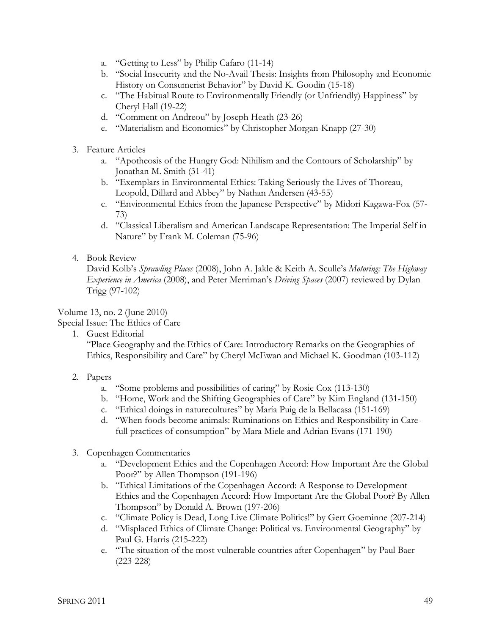- a. "Getting to Less" by Philip Cafaro (11-14)
- b. "Social Insecurity and the No-Avail Thesis: Insights from Philosophy and Economic History on Consumerist Behavior" by David K. Goodin (15-18)
- c. "The Habitual Route to Environmentally Friendly (or Unfriendly) Happiness" by Cheryl Hall (19-22)
- d. "Comment on Andreou" by Joseph Heath (23-26)
- e. "Materialism and Economics" by Christopher Morgan-Knapp (27-30)
- 3. Feature Articles
	- a. "Apotheosis of the Hungry God: Nihilism and the Contours of Scholarship" by Jonathan M. Smith (31-41)
	- b. "Exemplars in Environmental Ethics: Taking Seriously the Lives of Thoreau, Leopold, Dillard and Abbey" by Nathan Andersen (43-55)
	- c. "Environmental Ethics from the Japanese Perspective" by Midori Kagawa-Fox (57-73)
	- d. ―Classical Liberalism and American Landscape Representation: The Imperial Self in Nature" by Frank M. Coleman (75-96)
- 4. Book Review

David Kolb's *Sprawling Places* (2008), John A. Jakle & Keith A. Sculle's *Motoring: The Highway Experience in America* (2008), and Peter Merriman's *Driving Spaces* (2007) reviewed by Dylan Trigg (97-102)

#### Volume 13, no. 2 (June 2010)

Special Issue: The Ethics of Care

1. Guest Editorial

―Place Geography and the Ethics of Care: Introductory Remarks on the Geographies of Ethics, Responsibility and Care" by Cheryl McEwan and Michael K. Goodman (103-112)

- 2. Papers
	- a. "Some problems and possibilities of caring" by Rosie Cox (113-130)
	- b. "Home, Work and the Shifting Geographies of Care" by Kim England (131-150)
	- c. "Ethical doings in naturecultures" by María Puig de la Bellacasa (151-169)
	- d. "When foods become animals: Ruminations on Ethics and Responsibility in Carefull practices of consumption" by Mara Miele and Adrian Evans (171-190)
- 3. Copenhagen Commentaries
	- a. "Development Ethics and the Copenhagen Accord: How Important Are the Global Poor?" by Allen Thompson (191-196)
	- b. "Ethical Limitations of the Copenhagen Accord: A Response to Development Ethics and the Copenhagen Accord: How Important Are the Global Poor? By Allen Thompson" by Donald A. Brown (197-206)
	- c. ―Climate Policy is Dead, Long Live Climate Politics!‖ by Gert Goeminne (207-214)
	- d. "Misplaced Ethics of Climate Change: Political vs. Environmental Geography" by Paul G. Harris (215-222)
	- e. "The situation of the most vulnerable countries after Copenhagen" by Paul Baer (223-228)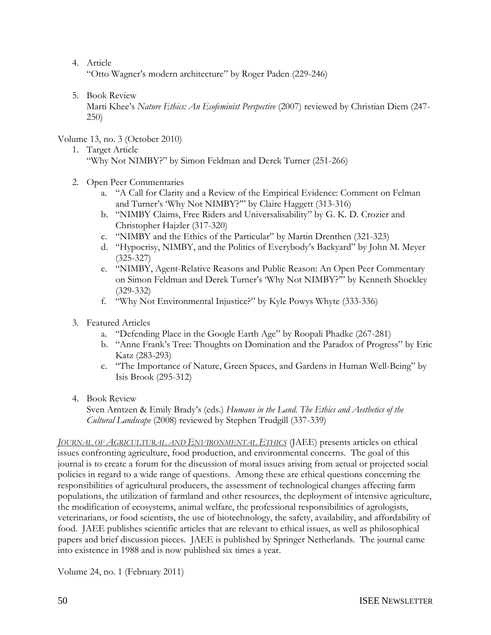4. Article

―Otto Wagner's modern architecture‖ by Roger Paden (229-246)

5. Book Review

Marti Khee's *Nature Ethics: An Ecofeminist Perspective* (2007) reviewed by Christian Diem (247- 250)

# Volume 13, no. 3 (October 2010)

- 1. Target Article "Why Not NIMBY?" by Simon Feldman and Derek Turner (251-266)
- 2. Open Peer Commentaries
	- a. "A Call for Clarity and a Review of the Empirical Evidence: Comment on Felman and Turner's 'Why Not NIMBY?'" by Claire Haggett (313-316)
	- b. "NIMBY Claims, Free Riders and Universalisability" by G. K. D. Crozier and Christopher Hajzler (317-320)
	- c. "NIMBY and the Ethics of the Particular" by Martin Drenthen (321-323)
	- d. "Hypocrisy, NIMBY, and the Politics of Everybody's Backyard" by John M. Meyer (325-327)
	- e. "NIMBY, Agent-Relative Reasons and Public Reason: An Open Peer Commentary on Simon Feldman and Derek Turner's 'Why Not NIMBY?'" by Kenneth Shockley (329-332)
	- f. "Why Not Environmental Injustice?" by Kyle Powys Whyte (333-336)
- 3. Featured Articles
	- a. "Defending Place in the Google Earth Age" by Roopali Phadke (267-281)
	- b. "Anne Frank's Tree: Thoughts on Domination and the Paradox of Progress" by Eric Katz (283-293)
	- c. "The Importance of Nature, Green Spaces, and Gardens in Human Well-Being" by Isis Brook (295-312)
- 4. Book Review

Sven Arntzen & Emily Brady's (eds.) *Humans in the Land. The Ethics and Aesthetics of the Cultural Landscape* (2008) reviewed by Stephen Trudgill (337-339)

*JOURNAL OF A[GRICULTURAL AND](http://www.springer.com/philosophy/ethics/journal/10806) ENVIRONMENTAL ETHICS* (JAEE) presents articles on ethical issues confronting agriculture, food production, and environmental concerns. The goal of this journal is to create a forum for the discussion of moral issues arising from actual or projected social policies in regard to a wide range of questions. Among these are ethical questions concerning the responsibilities of agricultural producers, the assessment of technological changes affecting farm populations, the utilization of farmland and other resources, the deployment of intensive agriculture, the modification of ecosystems, animal welfare, the professional responsibilities of agrologists, veterinarians, or food scientists, the use of biotechnology, the safety, availability, and affordability of food. JAEE publishes scientific articles that are relevant to ethical issues, as well as philosophical papers and brief discussion pieces. JAEE is published by Springer Netherlands. The journal came into existence in 1988 and is now published six times a year.

Volume 24, no. 1 (February 2011)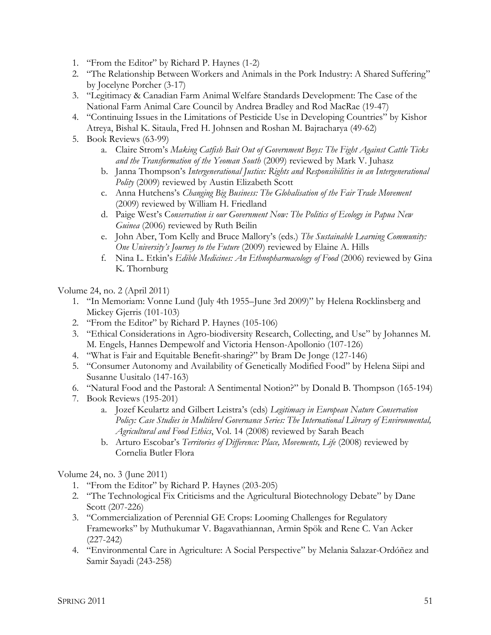- 1. "From the Editor" by Richard P. Haynes (1-2)
- 2. "The Relationship Between Workers and Animals in the Pork Industry: A Shared Suffering" by Jocelyne Porcher (3-17)
- 3. "Legitimacy & Canadian Farm Animal Welfare Standards Development: The Case of the National Farm Animal Care Council by Andrea Bradley and Rod MacRae (19-47)
- 4. "Continuing Issues in the Limitations of Pesticide Use in Developing Countries" by Kishor Atreya, Bishal K. Sitaula, Fred H. Johnsen and Roshan M. Bajracharya (49-62)
- 5. Book Reviews (63-99)
	- a. Claire Strom's *Making Catfish Bait Out of Government Boys: The Fight Against Cattle Ticks and the Transformation of the Yeoman South* (2009) reviewed by Mark V. Juhasz
	- b. Janna Thompson's *Intergenerational Justice: Rights and Responsibilities in an Intergenerational Polity* (2009) reviewed by Austin Elizabeth Scott
	- c. Anna Hutchens's *Changing Big Business: The Globalisation of the Fair Trade Movement* (2009) reviewed by William H. Friedland
	- d. Paige West's C*onservation is our Government Now: The Politics of Ecology in Papua New Guinea* (2006) reviewed by Ruth Beilin
	- e. John Aber, Tom Kelly and Bruce Mallory's (eds.) *The Sustainable Learning Community: One University's Journey to the Future* (2009) reviewed by Elaine A. Hills
	- f. Nina L. Etkin's *Edible Medicines: An Ethnopharmacology of Food* (2006) reviewed by Gina K. Thornburg

Volume 24, no. 2 (April 2011)

- 1. "In Memoriam: Vonne Lund (July 4th 1955–June 3rd 2009)" by Helena Rocklinsberg and Mickey Gjerris (101-103)
- 2. "From the Editor" by Richard P. Haynes (105-106)
- 3. "Ethical Considerations in Agro-biodiversity Research, Collecting, and Use" by Johannes M. M. Engels, Hannes Dempewolf and Victoria Henson-Apollonio (107-126)
- 4. "What is Fair and Equitable Benefit-sharing?" by Bram De Jonge (127-146)
- 5. "Consumer Autonomy and Availability of Genetically Modified Food" by Helena Siipi and Susanne Uusitalo (147-163)
- 6. "Natural Food and the Pastoral: A Sentimental Notion?" by Donald B. Thompson (165-194)
- 7. Book Reviews (195-201)
	- a. Jozef Keulartz and Gilbert Leistra's (eds) *Legitimacy in European Nature Conservation Policy: Case Studies in Multilevel Governance Series: The International Library of Environmental, Agricultural and Food Ethics*, Vol. 14 (2008) reviewed by Sarah Beach
	- b. Arturo Escobar's *Territories of Difference: Place, Movements, Life* (2008) reviewed by Cornelia Butler Flora

Volume 24, no. 3 (June 2011)

- 1. "From the Editor" by Richard P. Haynes (203-205)
- 2. "The Technological Fix Criticisms and the Agricultural Biotechnology Debate" by Dane Scott (207-226)
- 3. "Commercialization of Perennial GE Crops: Looming Challenges for Regulatory Frameworks" by Muthukumar V. Bagavathiannan, Armin Spök and Rene C. Van Acker (227-242)
- 4. "Environmental Care in Agriculture: A Social Perspective" by Melania Salazar-Ordóñez and Samir Sayadi (243-258)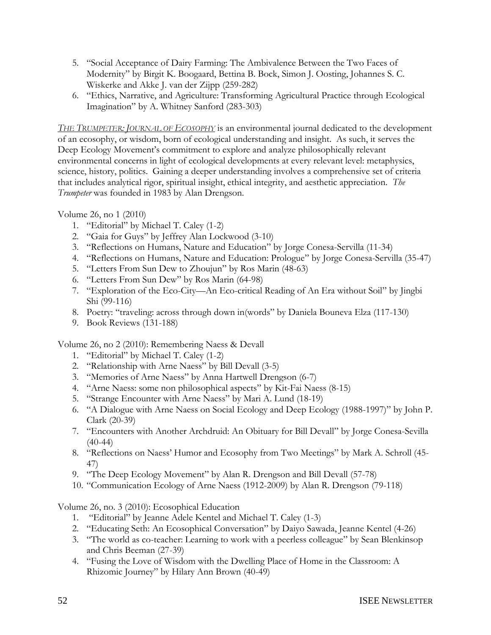- 5. "Social Acceptance of Dairy Farming: The Ambivalence Between the Two Faces of Modernity" by Birgit K. Boogaard, Bettina B. Bock, Simon J. Oosting, Johannes S. C. Wiskerke and Akke J. van der Zijpp (259-282)
- 6. "Ethics, Narrative, and Agriculture: Transforming Agricultural Practice through Ecological Imagination" by A. Whitney Sanford (283-303)

*THE TRUMPETER: JOURNAL OF ECOSOPHY* is an environmental journal dedicated to the development of an ecosophy, or wisdom, born of ecological understanding and insight. As such, it serves the Deep Ecology Movement's commitment to explore and analyze philosophically relevant environmental concerns in light of ecological developments at every relevant level: metaphysics, science, history, politics. Gaining a deeper understanding involves a comprehensive set of criteria that includes analytical rigor, spiritual insight, ethical integrity, and aesthetic appreciation. *The Trumpeter* was founded in 1983 by Alan Drengson.

Volume 26, no 1 (2010)

- 1. "Editorial" by Michael T. Caley (1-2)
- 2. "Gaia for Guys" by Jeffrey Alan Lockwood (3-10)
- 3. "Reflections on Humans, Nature and Education" by Jorge Conesa-Servilla (11-34)
- 4. "Reflections on Humans, Nature and Education: Prologue" by Jorge Conesa-Servilla (35-47)
- 5. "Letters From Sun Dew to Zhoujun" by Ros Marin (48-63)
- 6. "Letters From Sun Dew" by Ros Marin (64-98)
- 7. "Exploration of the Eco-City—An Eco-critical Reading of An Era without Soil" by Jingbi Shi (99-116)
- 8. Poetry: "traveling: across through down in(words" by Daniela Bouneva Elza (117-130)
- 9. Book Reviews (131-188)

Volume 26, no 2 (2010): Remembering Naess & Devall

- 1. "Editorial" by Michael T. Caley (1-2)
- 2. "Relationship with Arne Naess" by Bill Devall (3-5)
- 3. "Memories of Arne Naess" by Anna Hartwell Drengson (6-7)
- 4. "Arne Naess: some non philosophical aspects" by Kit-Fai Naess (8-15)
- 5. "Strange Encounter with Arne Naess" by Mari A. Lund (18-19)
- 6. "A Dialogue with Arne Naess on Social Ecology and Deep Ecology (1988-1997)" by John P. Clark (20-39)
- 7. "Encounters with Another Archdruid: An Obituary for Bill Devall" by Jorge Conesa-Sevilla  $(40-44)$
- 8. "Reflections on Naess' Humor and Ecosophy from Two Meetings" by Mark A. Schroll (45-47)
- 9. "The Deep Ecology Movement" by Alan R. Drengson and Bill Devall (57-78)
- 10. "Communication Ecology of Arne Naess (1912-2009) by Alan R. Drengson (79-118)

Volume 26, no. 3 (2010): Ecosophical Education

- 1. "Editorial" by Jeanne Adele Kentel and Michael T. Caley (1-3)
- 2. "Educating Seth: An Ecosophical Conversation" by Daiyo Sawada, Jeanne Kentel (4-26)
- 3. "The world as co-teacher: Learning to work with a peerless colleague" by Sean Blenkinsop and Chris Beeman (27-39)
- 4. "Fusing the Love of Wisdom with the Dwelling Place of Home in the Classroom: A Rhizomic Journey" by Hilary Ann Brown (40-49)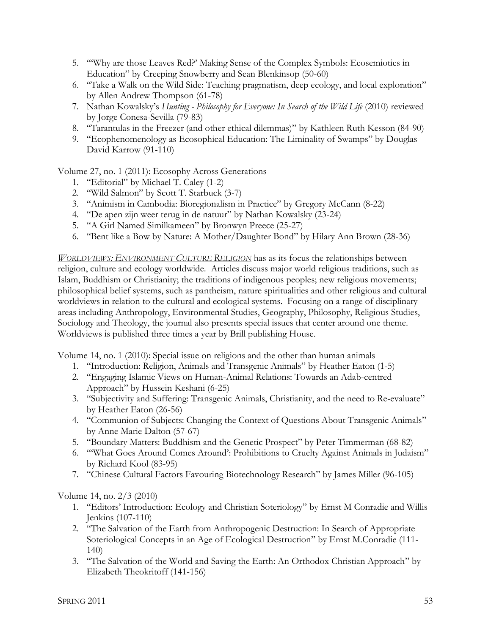- 5. ―‗Why are those Leaves Red?' Making Sense of the Complex Symbols: Ecosemiotics in Education" by Creeping Snowberry and Sean Blenkinsop (50-60)
- 6. "Take a Walk on the Wild Side: Teaching pragmatism, deep ecology, and local exploration" by Allen Andrew Thompson (61-78)
- 7. Nathan Kowalsky's *Hunting - Philosophy for Everyone: In Search of the Wild Life* (2010) reviewed by Jorge Conesa-Sevilla (79-83)
- 8. "Tarantulas in the Freezer (and other ethical dilemmas)" by Kathleen Ruth Kesson (84-90)
- 9. "Ecophenomenology as Ecosophical Education: The Liminality of Swamps" by Douglas David Karrow (91-110)

Volume 27, no. 1 (2011): Ecosophy Across Generations

- 1. "Editorial" by Michael T. Caley (1-2)
- 2. "Wild Salmon" by Scott T. Starbuck (3-7)
- 3. "Animism in Cambodia: Bioregionalism in Practice" by Gregory McCann (8-22)
- 4. "De apen zijn weer terug in de natuur" by Nathan Kowalsky (23-24)
- 5. "A Girl Named Similkameen" by Bronwyn Preece (25-27)
- 6. "Bent like a Bow by Nature: A Mother/Daughter Bond" by Hilary Ann Brown (28-36)

*WORLDVIEWS: ENVIRONMENT CULTURE RELIGION* has as its focus the relationships between religion, culture and ecology worldwide. Articles discuss major world religious traditions, such as Islam, Buddhism or Christianity; the traditions of indigenous peoples; new religious movements; philosophical belief systems, such as pantheism, nature spiritualities and other religious and cultural worldviews in relation to the cultural and ecological systems. Focusing on a range of disciplinary areas including Anthropology, Environmental Studies, Geography, Philosophy, Religious Studies, Sociology and Theology, the journal also presents special issues that center around one theme. Worldviews is published three times a year by Brill publishing House.

Volume 14, no. 1 (2010): Special issue on religions and the other than human animals

- 1. "Introduction: Religion, Animals and Transgenic Animals" by Heather Eaton (1-5)
- 2. "Engaging Islamic Views on Human-Animal Relations: Towards an Adab-centred Approach" by Hussein Keshani (6-25)
- 3. "Subjectivity and Suffering: Transgenic Animals, Christianity, and the need to Re-evaluate" by Heather Eaton (26-56)
- 4. "Communion of Subjects: Changing the Context of Questions About Transgenic Animals" by Anne Marie Dalton (57-67)
- 5. "Boundary Matters: Buddhism and the Genetic Prospect" by Peter Timmerman (68-82)
- 6. "What Goes Around Comes Around': Prohibitions to Cruelty Against Animals in Judaism" by Richard Kool (83-95)
- 7. "Chinese Cultural Factors Favouring Biotechnology Research" by James Miller (96-105)

Volume 14, no. 2/3 (2010)

- 1. "Editors' Introduction: Ecology and Christian Soteriology" by Ernst M Conradie and Willis Jenkins (107-110)
- 2. "The Salvation of the Earth from Anthropogenic Destruction: In Search of Appropriate Soteriological Concepts in an Age of Ecological Destruction" by Ernst M.Conradie (111-140)
- 3. "The Salvation of the World and Saving the Earth: An Orthodox Christian Approach" by Elizabeth Theokritoff (141-156)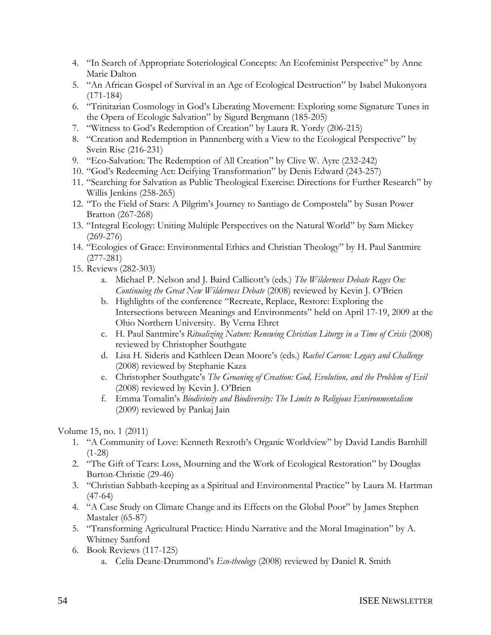- 4. "In Search of Appropriate Soteriological Concepts: An Ecofeminist Perspective" by Anne Marie Dalton
- 5. "An African Gospel of Survival in an Age of Ecological Destruction" by Isabel Mukonyora (171-184)
- 6. ―Trinitarian Cosmology in God's Liberating Movement: Exploring some Signature Tunes in the Opera of Ecologic Salvation" by Sigurd Bergmann (185-205)
- 7. "Witness to God's Redemption of Creation" by Laura R. Yordy (206-215)
- 8. "Creation and Redemption in Pannenberg with a View to the Ecological Perspective" by Svein Rise (216-231)
- 9. "Eco-Salvation: The Redemption of All Creation" by Clive W. Ayre (232-242)
- 10. "God's Redeeming Act: Deifying Transformation" by Denis Edward (243-257)
- 11. "Searching for Salvation as Public Theological Exercise: Directions for Further Research" by Willis Jenkins (258-265)
- 12. "To the Field of Stars: A Pilgrim's Journey to Santiago de Compostela" by Susan Power Bratton (267-268)
- 13. "Integral Ecology: Uniting Multiple Perspectives on the Natural World" by Sam Mickey  $(269 - 276)$
- 14. "Ecologies of Grace: Environmental Ethics and Christian Theology" by H. Paul Santmire (277-281)
- 15. Reviews (282-303)
	- a. Michael P. Nelson and J. Baird Callicott's (eds.) *The Wilderness Debate Rages On: Continuing the Great New Wilderness Debate* (2008) reviewed by Kevin J. O'Brien
	- b. Highlights of the conference "Recreate, Replace, Restore: Exploring the Intersections between Meanings and Environments" held on April 17-19, 2009 at the Ohio Northern University. By Verna Ehret
	- c. H. Paul Santmire's *Ritualizing Nature: Renewing Christian Liturgy in a Time of Crisis* (2008) reviewed by Christopher Southgate
	- d. Lisa H. Sideris and Kathleen Dean Moore's (eds.) *Rachel Carson: Legacy and Challenge* (2008) reviewed by Stephanie Kaza
	- e. Christopher Southgate's *The Groaning of Creation: God, Evolution, and the Problem of Evil* (2008) reviewed by Kevin J. O'Brien
	- f. Emma Tomalin's *Biodivinity and Biodiversity: The Limits to Religious Environmentalism* (2009) reviewed by Pankaj Jain

## Volume 15, no. 1 (2011)

- 1. "A Community of Love: Kenneth Rexroth's Organic Worldview" by David Landis Barnhill (1-28)
- 2. "The Gift of Tears: Loss, Mourning and the Work of Ecological Restoration" by Douglas Burton-Christie (29-46)
- 3. "Christian Sabbath-keeping as a Spiritual and Environmental Practice" by Laura M. Hartman (47-64)
- 4. "A Case Study on Climate Change and its Effects on the Global Poor" by James Stephen Mastaler (65-87)
- 5. "Transforming Agricultural Practice: Hindu Narrative and the Moral Imagination" by A. Whitney Sanford
- 6. Book Reviews (117-125)
	- a. Celia Deane-Drummond's *Eco-theology* (2008) reviewed by Daniel R. Smith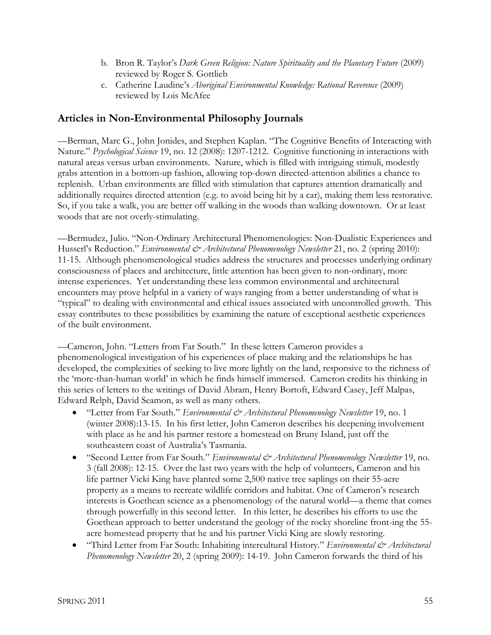- b. Bron R. Taylor's *Dark Green Religion: Nature Spirituality and the Planetary Future* (2009) reviewed by Roger S. Gottlieb
- c. Catherine Laudine's *Aboriginal Environmental Knowledge: Rational Reverence* (2009) reviewed by Lois McAfee

# **Articles in Non-Environmental Philosophy Journals**

—Berman, Marc G., John Jonides, and Stephen Kaplan. "The Cognitive Benefits of Interacting with Nature.‖ *Psychological Science* 19, no. 12 (2008): 1207-1212. Cognitive functioning in interactions with natural areas versus urban environments. Nature, which is filled with intriguing stimuli, modestly grabs attention in a bottom-up fashion, allowing top-down directed-attention abilities a chance to replenish. Urban environments are filled with stimulation that captures attention dramatically and additionally requires directed attention (e.g. to avoid being hit by a car), making them less restorative. So, if you take a walk, you are better off walking in the woods than walking downtown. Or at least woods that are not overly-stimulating.

—Bermudez, Julio. "Non-Ordinary Architectural Phenomenologies: Non-Dualistic Experiences and Husserl's Reduction." *Environmental & Architectural Phenomenology Newsletter* 21, no. 2 (spring 2010): 11-15. Although phenomenological studies address the structures and processes underlying ordinary consciousness of places and architecture, little attention has been given to non-ordinary, more intense experiences. Yet understanding these less common environmental and architectural encounters may prove helpful in a variety of ways ranging from a better understanding of what is ―typical‖ to dealing with environmental and ethical issues associated with uncontrolled growth. This essay contributes to these possibilities by examining the nature of exceptional aesthetic experiences of the built environment.

—Cameron, John. "Letters from Far South." In these letters Cameron provides a phenomenological investigation of his experiences of place making and the relationships he has developed, the complexities of seeking to live more lightly on the land, responsive to the richness of the 'more-than-human world' in which he finds himself immersed. Cameron credits his thinking in this series of letters to the writings of David Abram, Henry Bortoft, Edward Casey, Jeff Malpas, Edward Relph, David Seamon, as well as many others.

- "Letter from Far South." *Environmental & Architectural Phenomenology Newsletter* 19, no. 1 (winter 2008):13-15. In his first letter, John Cameron describes his deepening involvement with place as he and his partner restore a homestead on Bruny Island, just off the southeastern coast of Australia's Tasmania.
- ―Second Letter from Far South.‖ *Environmental & Architectural Phenomenology Newsletter* 19, no. 3 (fall 2008): 12-15. Over the last two years with the help of volunteers, Cameron and his life partner Vicki King have planted some 2,500 native tree saplings on their 55-acre property as a means to recreate wildlife corridors and habitat. One of Cameron's research interests is Goethean science as a phenomenology of the natural world—a theme that comes through powerfully in this second letter. In this letter, he describes his efforts to use the Goethean approach to better understand the geology of the rocky shoreline front-ing the 55 acre homestead property that he and his partner Vicki King are slowly restoring.
- **•** "Third Letter from Far South: Inhabiting intercultural History." *Environmental & Architectural Phenomenology Newsletter* 20, 2 (spring 2009): 14-19. John Cameron forwards the third of his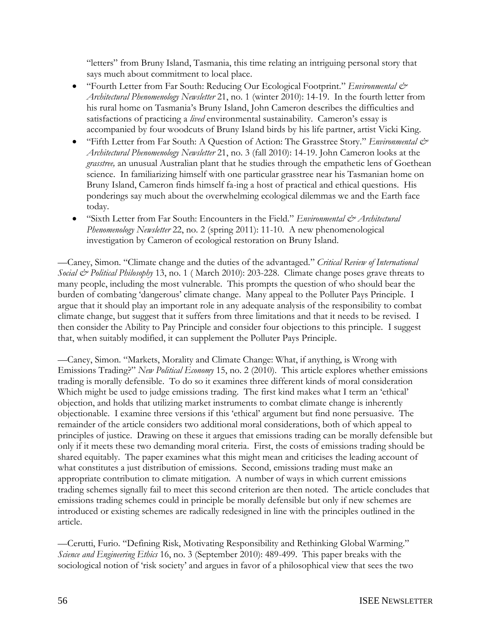"letters" from Bruny Island, Tasmania, this time relating an intriguing personal story that says much about commitment to local place.

- "Fourth Letter from Far South: Reducing Our Ecological Footprint." *Environmental & Architectural Phenomenology Newsletter* 21, no. 1 (winter 2010): 14-19. In the fourth letter from his rural home on Tasmania's Bruny Island, John Cameron describes the difficulties and satisfactions of practicing a *lived* environmental sustainability. Cameron's essay is accompanied by four woodcuts of Bruny Island birds by his life partner, artist Vicki King.
- "Fifth Letter from Far South: A Question of Action: The Grasstree Story." *Environmental & Architectural Phenomenology Newsletter* 21, no. 3 (fall 2010): 14-19. John Cameron looks at the *grasstree,* an unusual Australian plant that he studies through the empathetic lens of Goethean science. In familiarizing himself with one particular grasstree near his Tasmanian home on Bruny Island, Cameron finds himself fa-ing a host of practical and ethical questions. His ponderings say much about the overwhelming ecological dilemmas we and the Earth face today.
- ―Sixth Letter from Far South: Encounters in the Field.‖ *Environmental & Architectural Phenomenology Newsletter* 22, no. 2 (spring 2011): 11-10. A new phenomenological investigation by Cameron of ecological restoration on Bruny Island.

—Caney, Simon. ―Climate change and the duties of the advantaged.‖ *Critical Review of International Social & Political Philosophy* 13, no. 1 ( March 2010): 203-228. Climate change poses grave threats to many people, including the most vulnerable. This prompts the question of who should bear the burden of combating 'dangerous' climate change. Many appeal to the Polluter Pays Principle. I argue that it should play an important role in any adequate analysis of the responsibility to combat climate change, but suggest that it suffers from three limitations and that it needs to be revised. I then consider the Ability to Pay Principle and consider four objections to this principle. I suggest that, when suitably modified, it can supplement the Polluter Pays Principle.

—Caney, Simon. ―Markets, Morality and Climate Change: What, if anything, is Wrong with Emissions Trading?" *New Political Economy* 15, no. 2 (2010). This article explores whether emissions trading is morally defensible. To do so it examines three different kinds of moral consideration Which might be used to judge emissions trading. The first kind makes what I term an 'ethical' objection, and holds that utilizing market instruments to combat climate change is inherently objectionable. I examine three versions if this ‗ethical' argument but find none persuasive. The remainder of the article considers two additional moral considerations, both of which appeal to principles of justice. Drawing on these it argues that emissions trading can be morally defensible but only if it meets these two demanding moral criteria. First, the costs of emissions trading should be shared equitably. The paper examines what this might mean and criticises the leading account of what constitutes a just distribution of emissions. Second, emissions trading must make an appropriate contribution to climate mitigation. A number of ways in which current emissions trading schemes signally fail to meet this second criterion are then noted. The article concludes that emissions trading schemes could in principle be morally defensible but only if new schemes are introduced or existing schemes are radically redesigned in line with the principles outlined in the article.

—Cerutti, Furio. "Defining Risk, Motivating Responsibility and Rethinking Global Warming." *Science and Engineering Ethics* 16, no. 3 (September 2010): 489-499. This paper breaks with the sociological notion of 'risk society' and argues in favor of a philosophical view that sees the two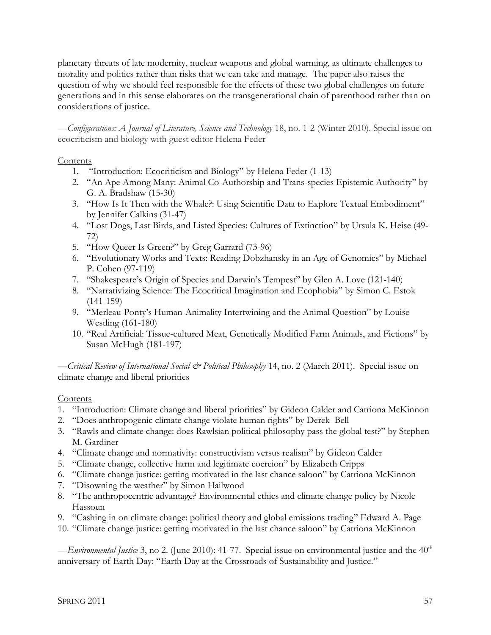planetary threats of late modernity, nuclear weapons and global warming, as ultimate challenges to morality and politics rather than risks that we can take and manage. The paper also raises the question of why we should feel responsible for the effects of these two global challenges on future generations and in this sense elaborates on the transgenerational chain of parenthood rather than on considerations of justice.

—*Configurations: A Journal of Literature, Science and Technology* 18, no. 1-2 (Winter 2010). Special issue on ecocriticism and biology with guest editor Helena Feder

### Contents

- 1. "Introduction: Ecocriticism and Biology" by Helena Feder (1-13)
- 2. "An Ape Among Many: Animal Co-Authorship and Trans-species Epistemic Authority" by G. A. Bradshaw (15-30)
- 3. "How Is It Then with the Whale?: Using Scientific Data to Explore Textual Embodiment" by Jennifer Calkins (31-47)
- 4. "Lost Dogs, Last Birds, and Listed Species: Cultures of Extinction" by Ursula K. Heise (49-72)
- 5. "How Queer Is Green?" by Greg Garrard (73-96)
- 6. "Evolutionary Works and Texts: Reading Dobzhansky in an Age of Genomics" by Michael P. Cohen (97-119)
- 7. "Shakespeare's Origin of Species and Darwin's Tempest" by Glen A. Love (121-140)
- 8. "Narrativizing Science: The Ecocritical Imagination and Ecophobia" by Simon C. Estok  $(141-159)$
- 9. "Merleau-Ponty's Human-Animality Intertwining and the Animal Question" by Louise Westling (161-180)
- 10. "Real Artificial: Tissue-cultured Meat, Genetically Modified Farm Animals, and Fictions" by Susan McHugh (181-197)

—*Critical Review of International Social & Political Philosophy* 14, no. 2 (March 2011). Special issue on climate change and liberal priorities

#### Contents

- 1. "Introduction: Climate change and liberal priorities" by Gideon Calder and Catriona McKinnon
- 2. "Does anthropogenic climate change violate human rights" by Derek Bell
- 3. "Rawls and climate change: does Rawlsian political philosophy pass the global test?" by Stephen M. Gardiner
- 4. "Climate change and normativity: constructivism versus realism" by Gideon Calder
- 5. "Climate change, collective harm and legitimate coercion" by Elizabeth Cripps
- 6. "Climate change justice: getting motivated in the last chance saloon" by Catriona McKinnon
- 7. "Disowning the weather" by Simon Hailwood
- 8. "The anthropocentric advantage? Environmental ethics and climate change policy by Nicole Hassoun
- 9. "Cashing in on climate change: political theory and global emissions trading" Edward A. Page
- 10. "Climate change justice: getting motivated in the last chance saloon" by Catriona McKinnon

—*Environmental Justice* 3, no 2. (June 2010): 41-77. Special issue on environmental justice and the 40<sup>th</sup> anniversary of Earth Day: "Earth Day at the Crossroads of Sustainability and Justice."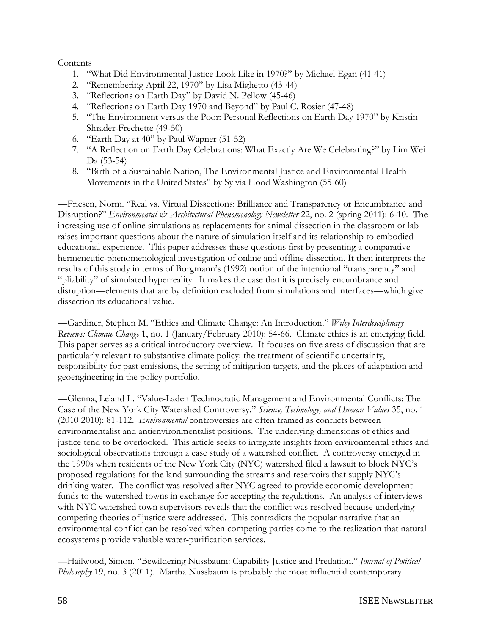#### **Contents**

- 1. "What Did Environmental Justice Look Like in 1970?" by Michael Egan (41-41)
- 2. "Remembering April 22, 1970" by Lisa Mighetto (43-44)
- 3. "Reflections on Earth Day" by David N. Pellow (45-46)
- 4. "Reflections on Earth Day 1970 and Beyond" by Paul C. Rosier (47-48)
- 5. "The Environment versus the Poor: Personal Reflections on Earth Day 1970" by Kristin Shrader-Frechette (49-50)
- 6. "Earth Day at  $40$ " by Paul Wapner (51-52)
- 7. "A Reflection on Earth Day Celebrations: What Exactly Are We Celebrating?" by Lim Wei Da (53-54)
- 8. "Birth of a Sustainable Nation, The Environmental Justice and Environmental Health Movements in the United States" by Sylvia Hood Washington (55-60)

—Friesen, Norm. ―Real vs. Virtual Dissections: Brilliance and Transparency or Encumbrance and Disruption?" *Environmental & Architectural Phenomenology Newsletter* 22, no. 2 (spring 2011): 6-10. The increasing use of online simulations as replacements for animal dissection in the classroom or lab raises important questions about the nature of simulation itself and its relationship to embodied educational experience. This paper addresses these questions first by presenting a comparative hermeneutic-phenomenological investigation of online and offline dissection. It then interprets the results of this study in terms of Borgmann's (1992) notion of the intentional "transparency" and ―pliability‖ of simulated hyperreality. It makes the case that it is precisely encumbrance and disruption—elements that are by definition excluded from simulations and interfaces—which give dissection its educational value.

—Gardiner, Stephen M. ―Ethics and Climate Change: An Introduction.‖ *Wiley Interdisciplinary Reviews: Climate Change* 1, no. 1 (January/February 2010): 54-66. Climate ethics is an emerging field. This paper serves as a critical introductory overview. It focuses on five areas of discussion that are particularly relevant to substantive climate policy: the treatment of scientific uncertainty, responsibility for past emissions, the setting of mitigation targets, and the places of adaptation and geoengineering in the policy portfolio.

—Glenna, Leland L. ―Value-Laden Technocratic Management and Environmental Conflicts: The Case of the New York City Watershed Controversy.‖ *Science, Technology, and Human Values* 35, no. 1 (2010 2010): 81-112. *Environmental* controversies are often framed as conflicts between environmentalist and antienvironmentalist positions. The underlying dimensions of ethics and justice tend to be overlooked. This article seeks to integrate insights from environmental ethics and sociological observations through a case study of a watershed conflict. A controversy emerged in the 1990s when residents of the New York City (NYC) watershed filed a lawsuit to block NYC's proposed regulations for the land surrounding the streams and reservoirs that supply NYC's drinking water. The conflict was resolved after NYC agreed to provide economic development funds to the watershed towns in exchange for accepting the regulations. An analysis of interviews with NYC watershed town supervisors reveals that the conflict was resolved because underlying competing theories of justice were addressed. This contradicts the popular narrative that an environmental conflict can be resolved when competing parties come to the realization that natural ecosystems provide valuable water-purification services.

—Hailwood, Simon. "Bewildering Nussbaum: Capability Justice and Predation." *Journal of Political Philosophy* 19, no. 3 (2011). Martha Nussbaum is probably the most influential contemporary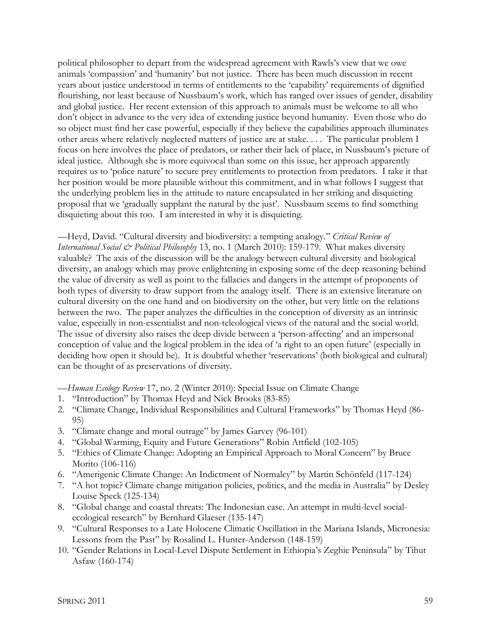political philosopher to depart from the widespread agreement with Rawls's view that we owe animals 'compassion' and 'humanity' but not justice. There has been much discussion in recent years about justice understood in terms of entitlements to the 'capability' requirements of dignified flourishing, not least because of Nussbaum's work, which has ranged over issues of gender, disability and global justice. Her recent extension of this approach to animals must be welcome to all who don't object in advance to the very idea of extending justice beyond humanity. Even those who do so object must find her case powerful, especially if they believe the capabilities approach illuminates other areas where relatively neglected matters of justice are at stake. . . . The particular problem I focus on here involves the place of predators, or rather their lack of place, in Nussbaum's picture of ideal justice. Although she is more equivocal than some on this issue, her approach apparently requires us to 'police nature' to secure prey entitlements to protection from predators. I take it that her position would be more plausible without this commitment, and in what follows I suggest that the underlying problem lies in the attitude to nature encapsulated in her striking and disquieting proposal that we ‗gradually supplant the natural by the just'. Nussbaum seems to find something disquieting about this too. I am interested in why it is disquieting.

—Heyd, David. ―Cultural diversity and biodiversity: a tempting analogy.‖ *Critical Review of International Social & Political Philosophy* 13, no. 1 (March 2010): 159-179. What makes diversity valuable? The axis of the discussion will be the analogy between cultural diversity and biological diversity, an analogy which may prove enlightening in exposing some of the deep reasoning behind the value of diversity as well as point to the fallacies and dangers in the attempt of proponents of both types of diversity to draw support from the analogy itself. There is an extensive literature on cultural diversity on the one hand and on biodiversity on the other, but very little on the relations between the two. The paper analyzes the difficulties in the conception of diversity as an intrinsic value, especially in non-essentialist and non-teleological views of the natural and the social world. The issue of diversity also raises the deep divide between a 'person-affecting' and an impersonal conception of value and the logical problem in the idea of ‗a right to an open future' (especially in deciding how open it should be). It is doubtful whether 'reservations' (both biological and cultural) can be thought of as preservations of diversity.

—*Human Ecology Review* 17, no. 2 (Winter 2010): Special Issue on Climate Change

- 1. "Introduction" by Thomas Heyd and Nick Brooks (83-85)
- 2. "Climate Change, Individual Responsibilities and Cultural Frameworks" by Thomas Heyd (86-95)
- 3. "Climate change and moral outrage" by James Garvey (96-101)
- 4. "Global Warming, Equity and Future Generations" Robin Attfield (102-105)
- 5. "Ethics of Climate Change: Adopting an Empirical Approach to Moral Concern" by Bruce Morito (106-116)
- 6. "Amerigenic Climate Change: An Indictment of Normalcy" by Martin Schönfeld (117-124)
- 7. "A hot topic? Climate change mitigation policies, politics, and the media in Australia" by Desley Louise Speck (125-134)
- 8. "Global change and coastal threats: The Indonesian case. An attempt in multi-level socialecological research" by Bernhard Glaeser (135-147)
- 9. "Cultural Responses to a Late Holocene Climatic Oscillation in the Mariana Islands, Micronesia: Lessons from the Past" by Rosalind L. Hunter-Anderson (148-159)
- 10. "Gender Relations in Local-Level Dispute Settlement in Ethiopia's Zeghie Peninsula" by Tihut Asfaw (160-174)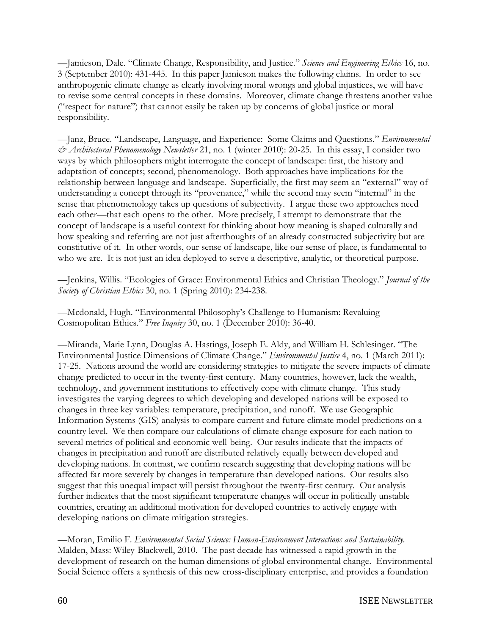—Jamieson, Dale. ―Climate Change, Responsibility, and Justice.‖ *Science and Engineering Ethics* 16, no. 3 (September 2010): 431-445. In this paper Jamieson makes the following claims. In order to see anthropogenic climate change as clearly involving moral wrongs and global injustices, we will have to revise some central concepts in these domains. Moreover, climate change threatens another value ("respect for nature") that cannot easily be taken up by concerns of global justice or moral responsibility.

—Janz, Bruce. ―Landscape, Language, and Experience: Some Claims and Questions.‖ *Environmental & Architectural Phenomenology Newsletter* 21, no. 1 (winter 2010): 20-25. In this essay, I consider two ways by which philosophers might interrogate the concept of landscape: first, the history and adaptation of concepts; second, phenomenology. Both approaches have implications for the relationship between language and landscape. Superficially, the first may seem an "external" way of understanding a concept through its "provenance," while the second may seem "internal" in the sense that phenomenology takes up questions of subjectivity. I argue these two approaches need each other—that each opens to the other. More precisely, I attempt to demonstrate that the concept of landscape is a useful context for thinking about how meaning is shaped culturally and how speaking and referring are not just afterthoughts of an already constructed subjectivity but are constitutive of it. In other words, our sense of landscape, like our sense of place, is fundamental to who we are. It is not just an idea deployed to serve a descriptive, analytic, or theoretical purpose.

—Jenkins, Willis. ―Ecologies of Grace: Environmental Ethics and Christian Theology.‖ *Journal of the Society of Christian Ethics* 30, no. 1 (Spring 2010): 234-238.

—Mcdonald, Hugh. "Environmental Philosophy's Challenge to Humanism: Revaluing Cosmopolitan Ethics.‖ *Free Inquiry* 30, no. 1 (December 2010): 36-40.

—Miranda, Marie Lynn, Douglas A. Hastings, Joseph E. Aldy, and William H. Schlesinger. "The Environmental Justice Dimensions of Climate Change." *Environmental Justice* 4, no. 1 (March 2011): 17-25. Nations around the world are considering strategies to mitigate the severe impacts of climate change predicted to occur in the twenty-first century. Many countries, however, lack the wealth, technology, and government institutions to effectively cope with climate change. This study investigates the varying degrees to which developing and developed nations will be exposed to changes in three key variables: temperature, precipitation, and runoff. We use Geographic Information Systems (GIS) analysis to compare current and future climate model predictions on a country level. We then compare our calculations of climate change exposure for each nation to several metrics of political and economic well-being. Our results indicate that the impacts of changes in precipitation and runoff are distributed relatively equally between developed and developing nations. In contrast, we confirm research suggesting that developing nations will be affected far more severely by changes in temperature than developed nations. Our results also suggest that this unequal impact will persist throughout the twenty-first century. Our analysis further indicates that the most significant temperature changes will occur in politically unstable countries, creating an additional motivation for developed countries to actively engage with developing nations on climate mitigation strategies.

—Moran, Emilio F. *Environmental Social Science: Human-Environment Interactions and Sustainability.* Malden, Mass: Wiley-Blackwell, 2010. The past decade has witnessed a rapid growth in the development of research on the human dimensions of global environmental change. Environmental Social Science offers a synthesis of this new cross-disciplinary enterprise, and provides a foundation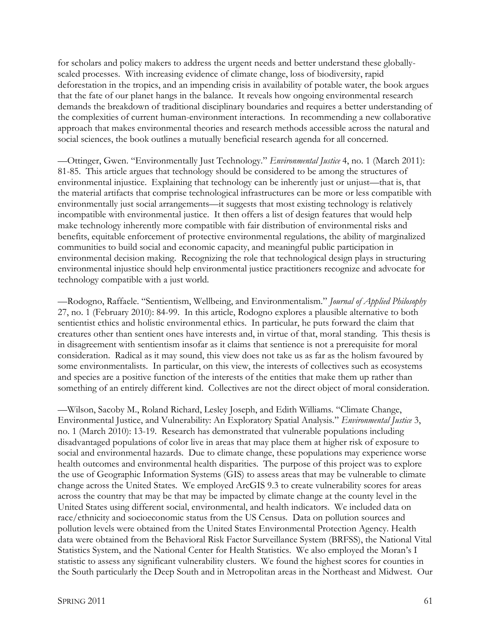for scholars and policy makers to address the urgent needs and better understand these globallyscaled processes. With increasing evidence of climate change, loss of biodiversity, rapid deforestation in the tropics, and an impending crisis in availability of potable water, the book argues that the fate of our planet hangs in the balance. It reveals how ongoing environmental research demands the breakdown of traditional disciplinary boundaries and requires a better understanding of the complexities of current human-environment interactions. In recommending a new collaborative approach that makes environmental theories and research methods accessible across the natural and social sciences, the book outlines a mutually beneficial research agenda for all concerned.

—Ottinger, Gwen. "Environmentally Just Technology." *Environmental Justice* 4, no. 1 (March 2011): 81-85. This article argues that technology should be considered to be among the structures of environmental injustice. Explaining that technology can be inherently just or unjust—that is, that the material artifacts that comprise technological infrastructures can be more or less compatible with environmentally just social arrangements—it suggests that most existing technology is relatively incompatible with environmental justice. It then offers a list of design features that would help make technology inherently more compatible with fair distribution of environmental risks and benefits, equitable enforcement of protective environmental regulations, the ability of marginalized communities to build social and economic capacity, and meaningful public participation in environmental decision making. Recognizing the role that technological design plays in structuring environmental injustice should help environmental justice practitioners recognize and advocate for technology compatible with a just world.

—Rodogno, Raffaele. ―Sentientism, Wellbeing, and Environmentalism.‖ *Journal of Applied Philosophy* 27, no. 1 (February 2010): 84-99. In this article, Rodogno explores a plausible alternative to both sentientist ethics and holistic environmental ethics. In particular, he puts forward the claim that creatures other than sentient ones have interests and, in virtue of that, moral standing. This thesis is in disagreement with sentientism insofar as it claims that sentience is not a prerequisite for moral consideration. Radical as it may sound, this view does not take us as far as the holism favoured by some environmentalists. In particular, on this view, the interests of collectives such as ecosystems and species are a positive function of the interests of the entities that make them up rather than something of an entirely different kind. Collectives are not the direct object of moral consideration.

—Wilson, Sacoby M., Roland Richard, Lesley Joseph, and Edith Williams. ―Climate Change, Environmental Justice, and Vulnerability: An Exploratory Spatial Analysis." *Environmental Justice* 3, no. 1 (March 2010): 13-19. Research has demonstrated that vulnerable populations including disadvantaged populations of color live in areas that may place them at higher risk of exposure to social and environmental hazards. Due to climate change, these populations may experience worse health outcomes and environmental health disparities. The purpose of this project was to explore the use of Geographic Information Systems (GIS) to assess areas that may be vulnerable to climate change across the United States. We employed ArcGIS 9.3 to create vulnerability scores for areas across the country that may be that may be impacted by climate change at the county level in the United States using different social, environmental, and health indicators. We included data on race/ethnicity and socioeconomic status from the US Census. Data on pollution sources and pollution levels were obtained from the United States Environmental Protection Agency. Health data were obtained from the Behavioral Risk Factor Surveillance System (BRFSS), the National Vital Statistics System, and the National Center for Health Statistics. We also employed the Moran's I statistic to assess any significant vulnerability clusters. We found the highest scores for counties in the South particularly the Deep South and in Metropolitan areas in the Northeast and Midwest. Our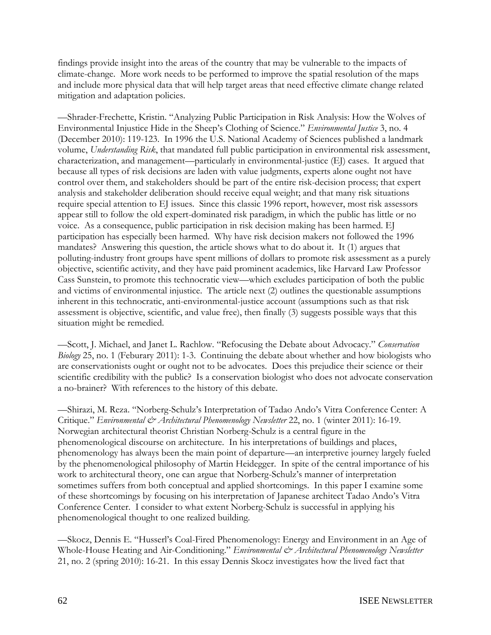findings provide insight into the areas of the country that may be vulnerable to the impacts of climate-change. More work needs to be performed to improve the spatial resolution of the maps and include more physical data that will help target areas that need effective climate change related mitigation and adaptation policies.

—Shrader-Frechette, Kristin. ―Analyzing Public Participation in Risk Analysis: How the Wolves of Environmental Injustice Hide in the Sheep's Clothing of Science." *Environmental Justice* 3, no. 4 (December 2010): 119-123. In 1996 the U.S. National Academy of Sciences published a landmark volume, *Understanding Risk*, that mandated full public participation in environmental risk assessment, characterization, and management—particularly in environmental-justice (EJ) cases. It argued that because all types of risk decisions are laden with value judgments, experts alone ought not have control over them, and stakeholders should be part of the entire risk-decision process; that expert analysis and stakeholder deliberation should receive equal weight; and that many risk situations require special attention to EJ issues. Since this classic 1996 report, however, most risk assessors appear still to follow the old expert-dominated risk paradigm, in which the public has little or no voice. As a consequence, public participation in risk decision making has been harmed. EJ participation has especially been harmed. Why have risk decision makers not followed the 1996 mandates? Answering this question, the article shows what to do about it. It (1) argues that polluting-industry front groups have spent millions of dollars to promote risk assessment as a purely objective, scientific activity, and they have paid prominent academics, like Harvard Law Professor Cass Sunstein, to promote this technocratic view—which excludes participation of both the public and victims of environmental injustice. The article next (2) outlines the questionable assumptions inherent in this technocratic, anti-environmental-justice account (assumptions such as that risk assessment is objective, scientific, and value free), then finally (3) suggests possible ways that this situation might be remedied.

—Scott, J. Michael, and Janet L. Rachlow. ―Refocusing the Debate about Advocacy.‖ *Conservation Biology* 25, no. 1 (Feburary 2011): 1-3. Continuing the debate about whether and how biologists who are conservationists ought or ought not to be advocates. Does this prejudice their science or their scientific credibility with the public? Is a conservation biologist who does not advocate conservation a no-brainer? With references to the history of this debate.

-Shirazi, M. Reza. "Norberg-Schulz's Interpretation of Tadao Ando's Vitra Conference Center: A Critique.‖ *Environmental & Architectural Phenomenology Newsletter* 22, no. 1 (winter 2011): 16-19. Norwegian architectural theorist Christian Norberg-Schulz is a central figure in the phenomenological discourse on architecture. In his interpretations of buildings and places, phenomenology has always been the main point of departure—an interpretive journey largely fueled by the phenomenological philosophy of Martin Heidegger. In spite of the central importance of his work to architectural theory, one can argue that Norberg-Schulz's manner of interpretation sometimes suffers from both conceptual and applied shortcomings. In this paper I examine some of these shortcomings by focusing on his interpretation of Japanese architect Tadao Ando's Vitra Conference Center. I consider to what extent Norberg-Schulz is successful in applying his phenomenological thought to one realized building.

—Skocz, Dennis E. "Husserl's Coal-Fired Phenomenology: Energy and Environment in an Age of Whole-House Heating and Air-Conditioning." *Environmental & Architectural Phenomenology Newsletter* 21, no. 2 (spring 2010): 16-21. In this essay Dennis Skocz investigates how the lived fact that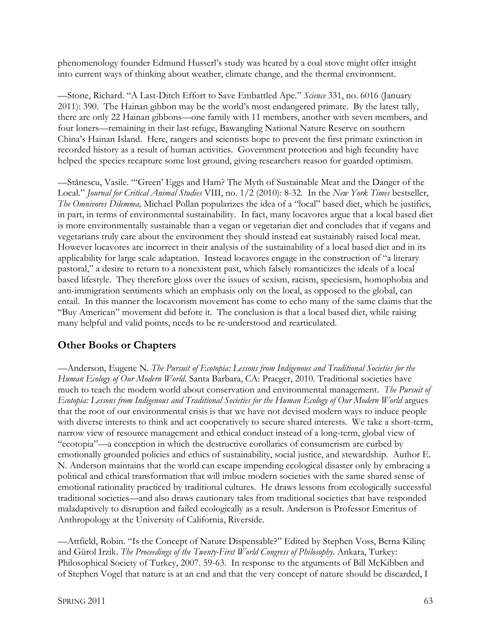phenomenology founder Edmund Husserl's study was heated by a coal stove might offer insight into current ways of thinking about weather, climate change, and the thermal environment.

—Stone, Richard. ―A Last-Ditch Effort to Save Embattled Ape.‖ *Science* 331, no. 6016 (January 2011): 390. The Hainan gibbon may be the world's most endangered primate. By the latest tally, there are only 22 Hainan gibbons—one family with 11 members, another with seven members, and four loners—remaining in their last refuge, Bawangling National Nature Reserve on southern China's Hainan Island. Here, rangers and scientists hope to prevent the first primate extinction in recorded history as a result of human activities. Government protection and high fecundity have helped the species recapture some lost ground, giving researchers reason for guarded optimism.

—Stănescu, Vasile. ―‗Green' Eggs and Ham? The Myth of Sustainable Meat and the Danger of the Local.‖ *Journal for Critical Animal Studies* VIII, no. 1/2 (2010): 8-32. In the *New York Times* bestseller, *The Omnivores Dilemma, Michael Pollan popularizes the idea of a "local" based diet, which he justifies,* in part, in terms of environmental sustainability. In fact, many locavores argue that a local based diet is more environmentally sustainable than a vegan or vegetarian diet and concludes that if vegans and vegetarians truly care about the environment they should instead eat sustainably raised local meat. However locavores are incorrect in their analysis of the sustainability of a local based diet and in its applicability for large scale adaptation. Instead locavores engage in the construction of "a literary pastoral," a desire to return to a nonexistent past, which falsely romanticizes the ideals of a local based lifestyle. They therefore gloss over the issues of sexism, racism, speciesism, homophobia and anti-immigration sentiments which an emphasis only on the local, as opposed to the global, can entail. In this manner the locavorism movement has come to echo many of the same claims that the "Buy American" movement did before it. The conclusion is that a local based diet, while raising many helpful and valid points, needs to be re-understood and rearticulated.

# **Other Books or Chapters**

—Anderson, Eugene N. *The Pursuit of Ecotopia: Lessons from Indigenous and Traditional Societies for the Human Ecology of Our Modern World.* Santa Barbara, CA: Praeger, 2010. Traditional societies have much to teach the modern world about conservation and environmental management. *The Pursuit of Ecotopia: Lessons from Indigenous and Traditional Societies for the Human Ecology of Our Modern World* argues that the root of our environmental crisis is that we have not devised modern ways to induce people with diverse interests to think and act cooperatively to secure shared interests. We take a short-term, narrow view of resource management and ethical conduct instead of a long-term, global view of ―ecotopia‖—a conception in which the destructive corollaries of consumerism are curbed by emotionally grounded policies and ethics of sustainability, social justice, and stewardship. Author E. N. Anderson maintains that the world can escape impending ecological disaster only by embracing a political and ethical transformation that will imbue modern societies with the same shared sense of emotional rationality practiced by traditional cultures. He draws lessons from ecologically successful traditional societies—and also draws cautionary tales from traditional societies that have responded maladaptively to disruption and failed ecologically as a result. Anderson is Professor Emeritus of Anthropology at the University of California, Riverside.

—Attfield, Robin. "Is the Concept of Nature Dispensable?" Edited by Stephen Voss, Berna Kilinç and Gürol Irzik. *The Proceedings of the Twenty-First World Congress of Philosophy.* Ankara, Turkey: Philosophical Society of Turkey, 2007. 59-63. In response to the arguments of Bill McKibben and of Stephen Vogel that nature is at an end and that the very concept of nature should be discarded, I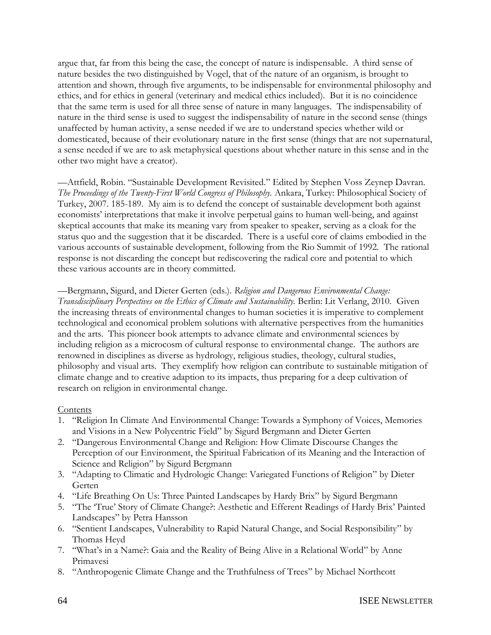argue that, far from this being the case, the concept of nature is indispensable. A third sense of nature besides the two distinguished by Vogel, that of the nature of an organism, is brought to attention and shown, through five arguments, to be indispensable for environmental philosophy and ethics, and for ethics in general (veterinary and medical ethics included). But it is no coincidence that the same term is used for all three sense of nature in many languages. The indispensability of nature in the third sense is used to suggest the indispensability of nature in the second sense (things unaffected by human activity, a sense needed if we are to understand species whether wild or domesticated, because of their evolutionary nature in the first sense (things that are not supernatural, a sense needed if we are to ask metaphysical questions about whether nature in this sense and in the other two might have a creator).

—Attfield, Robin. "Sustainable Development Revisited." Edited by Stephen Voss Zeynep Davran. *The Proceedings of the Twenty-First World Congress of Philosophy.* Ankara, Turkey: Philosophical Society of Turkey, 2007. 185-189. My aim is to defend the concept of sustainable development both against economists' interpretations that make it involve perpetual gains to human well-being, and against skeptical accounts that make its meaning vary from speaker to speaker, serving as a cloak for the status quo and the suggestion that it be discarded. There is a useful core of claims embodied in the various accounts of sustainable development, following from the Rio Summit of 1992. The rational response is not discarding the concept but rediscovering the radical core and potential to which these various accounts are in theory committed.

—Bergmann, Sigurd, and Dieter Gerten (eds.). *Religion and Dangerous Environmental Change: Transdisciplinary Perspectives on the Ethics of Climate and Sustainability.* Berlin: Lit Verlang, 2010. Given the increasing threats of environmental changes to human societies it is imperative to complement technological and economical problem solutions with alternative perspectives from the humanities and the arts. This pioneer book attempts to advance climate and environmental sciences by including religion as a microcosm of cultural response to environmental change. The authors are renowned in disciplines as diverse as hydrology, religious studies, theology, cultural studies, philosophy and visual arts. They exemplify how religion can contribute to sustainable mitigation of climate change and to creative adaption to its impacts, thus preparing for a deep cultivation of research on religion in environmental change.

#### **Contents**

- 1. **"Religion In Climate And Environmental Change: Towards a Symphony of Voices, Memories** and Visions in a New Polycentric Field" by Sigurd Bergmann and Dieter Gerten
- 2. "Dangerous Environmental Change and Religion: How Climate Discourse Changes the Perception of our Environment, the Spiritual Fabrication of its Meaning and the Interaction of Science and Religion" by Sigurd Bergmann
- 3. "Adapting to Climatic and Hydrologic Change: Variegated Functions of Religion" by Dieter Gerten
- 4. "Life Breathing On Us: Three Painted Landscapes by Hardy Brix" by Sigurd Bergmann
- 5. "The 'True' Story of Climate Change?: Aesthetic and Efferent Readings of Hardy Brix' Painted Landscapes" by Petra Hansson
- 6. "Sentient Landscapes, Vulnerability to Rapid Natural Change, and Social Responsibility" by Thomas Heyd
- 7. "What's in a Name?: Gaia and the Reality of Being Alive in a Relational World" by Anne Primavesi
- 8. "Anthropogenic Climate Change and the Truthfulness of Trees" by Michael Northcott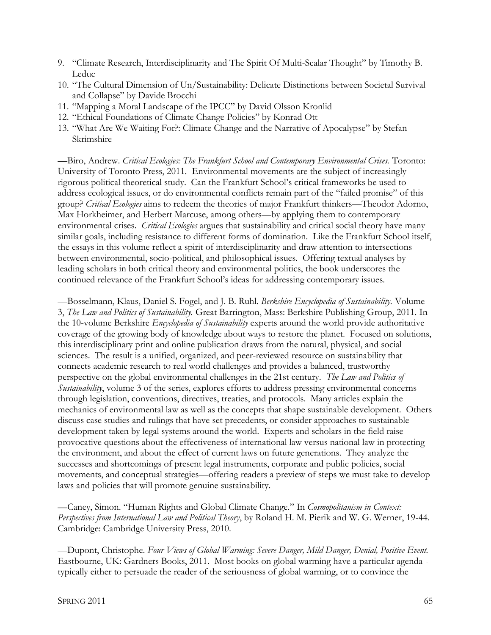- 9. "Climate Research, Interdisciplinarity and The Spirit Of Multi-Scalar Thought" by Timothy B. Leduc
- 10. "The Cultural Dimension of Un/Sustainability: Delicate Distinctions between Societal Survival and Collapse" by Davide Brocchi
- 11. "Mapping a Moral Landscape of the IPCC" by David Olsson Kronlid
- 12. "Ethical Foundations of Climate Change Policies" by Konrad Ott
- 13. "What Are We Waiting For?: Climate Change and the Narrative of Apocalypse" by Stefan Skrimshire

—Biro, Andrew. *Critical Ecologies: The Frankfurt School and Contemporary Environmental Crises.* Toronto: University of Toronto Press, 2011. Environmental movements are the subject of increasingly rigorous political theoretical study. Can the Frankfurt School's critical frameworks be used to address ecological issues, or do environmental conflicts remain part of the "failed promise" of this group? *Critical Ecologies* aims to redeem the theories of major Frankfurt thinkers—Theodor Adorno, Max Horkheimer, and Herbert Marcuse, among others—by applying them to contemporary environmental crises. *Critical Ecologies* argues that sustainability and critical social theory have many similar goals, including resistance to different forms of domination. Like the Frankfurt School itself, the essays in this volume reflect a spirit of interdisciplinarity and draw attention to intersections between environmental, socio-political, and philosophical issues. Offering textual analyses by leading scholars in both critical theory and environmental politics, the book underscores the continued relevance of the Frankfurt School's ideas for addressing contemporary issues.

—Bosselmann, Klaus, Daniel S. Fogel, and J. B. Ruhl. *Berkshire Encyclopedia of Sustainability.* Volume 3, *The Law and Politics of Sustainability.* Great Barrington, Mass: Berkshire Publishing Group, 2011. In the 10-volume Berkshire *Encyclopedia of Sustainability* experts around the world provide authoritative coverage of the growing body of knowledge about ways to restore the planet. Focused on solutions, this interdisciplinary print and online publication draws from the natural, physical, and social sciences. The result is a unified, organized, and peer-reviewed resource on sustainability that connects academic research to real world challenges and provides a balanced, trustworthy perspective on the global environmental challenges in the 21st century. *The Law and Politics of Sustainability*, volume 3 of the series, explores efforts to address pressing environmental concerns through legislation, conventions, directives, treaties, and protocols. Many articles explain the mechanics of environmental law as well as the concepts that shape sustainable development. Others discuss case studies and rulings that have set precedents, or consider approaches to sustainable development taken by legal systems around the world. Experts and scholars in the field raise provocative questions about the effectiveness of international law versus national law in protecting the environment, and about the effect of current laws on future generations. They analyze the successes and shortcomings of present legal instruments, corporate and public policies, social movements, and conceptual strategies—offering readers a preview of steps we must take to develop laws and policies that will promote genuine sustainability.

—Caney, Simon. "Human Rights and Global Climate Change." In *Cosmopolitanism in Context*: *Perspectives from International Law and Political Theory*, by Roland H. M. Pierik and W. G. Werner, 19-44. Cambridge: Cambridge University Press, 2010.

—Dupont, Christophe. *Four Views of Global Warming: Severe Danger, Mild Danger, Denial, Positive Event.* Eastbourne, UK: Gardners Books, 2011. Most books on global warming have a particular agenda typically either to persuade the reader of the seriousness of global warming, or to convince the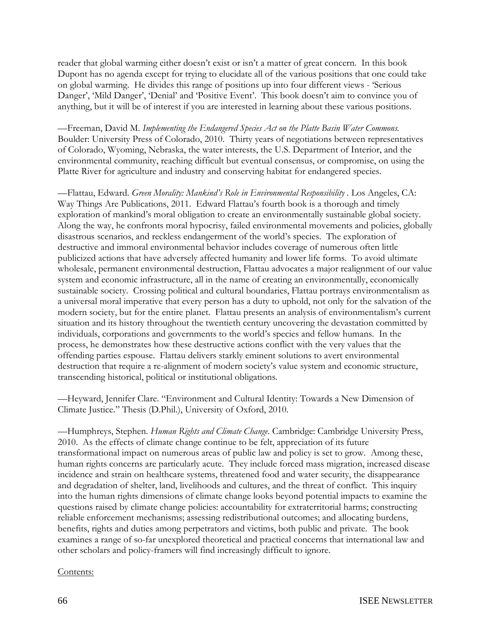reader that global warming either doesn't exist or isn't a matter of great concern. In this book Dupont has no agenda except for trying to elucidate all of the various positions that one could take on global warming. He divides this range of positions up into four different views - 'Serious Danger', 'Mild Danger', 'Denial' and 'Positive Event'. This book doesn't aim to convince you of anything, but it will be of interest if you are interested in learning about these various positions.

—Freeman, David M. *Implementing the Endangered Species Act on the Platte Basin Water Commons.* Boulder: University Press of Colorado, 2010. Thirty years of negotiations between representatives of Colorado, Wyoming, Nebraska, the water interests, the U.S. Department of Interior, and the environmental community, reaching difficult but eventual consensus, or compromise, on using the Platte River for agriculture and industry and conserving habitat for endangered species.

—Flattau, Edward. *Green Morality: Mankind's Role in Environmental Responsibility .* Los Angeles, CA: Way Things Are Publications, 2011. Edward Flattau's fourth book is a thorough and timely exploration of mankind's moral obligation to create an environmentally sustainable global society. Along the way, he confronts moral hypocrisy, failed environmental movements and policies, globally disastrous scenarios, and reckless endangerment of the world's species. The exploration of destructive and immoral environmental behavior includes coverage of numerous often little publicized actions that have adversely affected humanity and lower life forms. To avoid ultimate wholesale, permanent environmental destruction, Flattau advocates a major realignment of our value system and economic infrastructure, all in the name of creating an environmentally, economically sustainable society. Crossing political and cultural boundaries, Flattau portrays environmentalism as a universal moral imperative that every person has a duty to uphold, not only for the salvation of the modern society, but for the entire planet. Flattau presents an analysis of environmentalism's current situation and its history throughout the twentieth century uncovering the devastation committed by individuals, corporations and governments to the world's species and fellow humans. In the process, he demonstrates how these destructive actions conflict with the very values that the offending parties espouse. Flattau delivers starkly eminent solutions to avert environmental destruction that require a re-alignment of modern society's value system and economic structure, transcending historical, political or institutional obligations.

—Heyward, Jennifer Clare. "Environment and Cultural Identity: Towards a New Dimension of Climate Justice." Thesis (D.Phil.), University of Oxford, 2010.

—Humphreys, Stephen. *Human Rights and Climate Change.* Cambridge: Cambridge University Press, 2010. As the effects of climate change continue to be felt, appreciation of its future transformational impact on numerous areas of public law and policy is set to grow. Among these, human rights concerns are particularly acute. They include forced mass migration, increased disease incidence and strain on healthcare systems, threatened food and water security, the disappearance and degradation of shelter, land, livelihoods and cultures, and the threat of conflict. This inquiry into the human rights dimensions of climate change looks beyond potential impacts to examine the questions raised by climate change policies: accountability for extraterritorial harms; constructing reliable enforcement mechanisms; assessing redistributional outcomes; and allocating burdens, benefits, rights and duties among perpetrators and victims, both public and private. The book examines a range of so-far unexplored theoretical and practical concerns that international law and other scholars and policy-framers will find increasingly difficult to ignore.

Contents: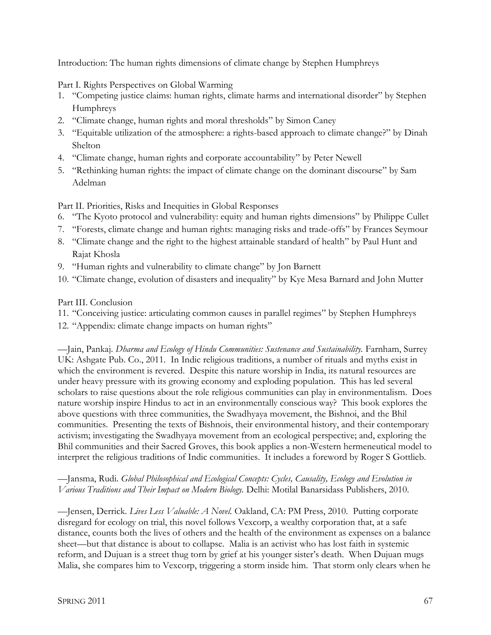Introduction: The human rights dimensions of climate change by Stephen Humphreys

Part I. Rights Perspectives on Global Warming

- 1. "Competing justice claims: human rights, climate harms and international disorder" by Stephen Humphreys
- 2. "Climate change, human rights and moral thresholds" by Simon Caney
- 3. "Equitable utilization of the atmosphere: a rights-based approach to climate change?" by Dinah Shelton
- 4. "Climate change, human rights and corporate accountability" by Peter Newell
- 5. "Rethinking human rights: the impact of climate change on the dominant discourse" by Sam Adelman

Part II. Priorities, Risks and Inequities in Global Responses

- 6. "The Kyoto protocol and vulnerability: equity and human rights dimensions" by Philippe Cullet
- 7. "Forests, climate change and human rights: managing risks and trade-offs" by Frances Seymour
- 8. "Climate change and the right to the highest attainable standard of health" by Paul Hunt and Rajat Khosla
- 9. "Human rights and vulnerability to climate change" by Jon Barnett
- 10. "Climate change, evolution of disasters and inequality" by Kye Mesa Barnard and John Mutter

# Part III. Conclusion

11. "Conceiving justice: articulating common causes in parallel regimes" by Stephen Humphreys

12. "Appendix: climate change impacts on human rights"

—Jain, Pankaj. *Dharma and Ecology of Hindu Communities: Sustenance and Sustainability.* Farnham, Surrey UK: Ashgate Pub. Co., 2011. In Indic religious traditions, a number of rituals and myths exist in which the environment is revered. Despite this nature worship in India, its natural resources are under heavy pressure with its growing economy and exploding population. This has led several scholars to raise questions about the role religious communities can play in environmentalism. Does nature worship inspire Hindus to act in an environmentally conscious way? This book explores the above questions with three communities, the Swadhyaya movement, the Bishnoi, and the Bhil communities. Presenting the texts of Bishnois, their environmental history, and their contemporary activism; investigating the Swadhyaya movement from an ecological perspective; and, exploring the Bhil communities and their Sacred Groves, this book applies a non-Western hermeneutical model to interpret the religious traditions of Indic communities. It includes a foreword by Roger S Gottlieb.

## —Jansma, Rudi. *Global Philosophical and Ecological Concepts: Cycles, Causality, Ecology and Evolution in Various Traditions and Their Impact on Modern Biology.* Delhi: Motilal Banarsidass Publishers, 2010.

—Jensen, Derrick. *Lives Less Valuable: A Novel.* Oakland, CA: PM Press, 2010. Putting corporate disregard for ecology on trial, this novel follows Vexcorp, a wealthy corporation that, at a safe distance, counts both the lives of others and the health of the environment as expenses on a balance sheet—but that distance is about to collapse. Malia is an activist who has lost faith in systemic reform, and Dujuan is a street thug torn by grief at his younger sister's death. When Dujuan mugs Malia, she compares him to Vexcorp, triggering a storm inside him. That storm only clears when he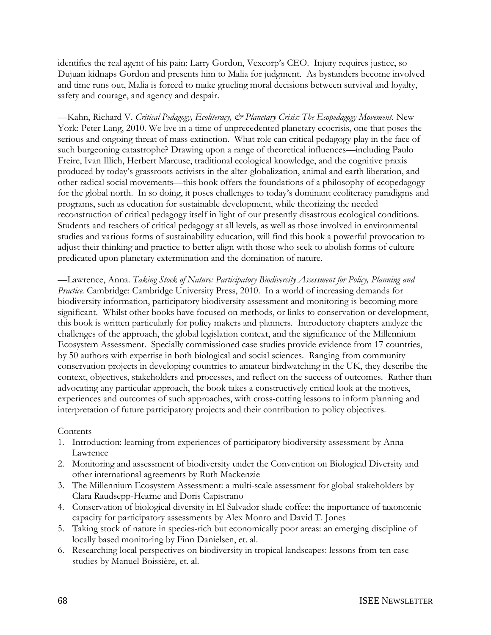identifies the real agent of his pain: Larry Gordon, Vexcorp's CEO. Injury requires justice, so Dujuan kidnaps Gordon and presents him to Malia for judgment. As bystanders become involved and time runs out, Malia is forced to make grueling moral decisions between survival and loyalty, safety and courage, and agency and despair.

—Kahn, Richard V. *Critical Pedagogy, Ecoliteracy, & Planetary Crisis: The Ecopedagogy Movement.* New York: Peter Lang, 2010. We live in a time of unprecedented planetary ecocrisis, one that poses the serious and ongoing threat of mass extinction. What role can critical pedagogy play in the face of such burgeoning catastrophe? Drawing upon a range of theoretical influences—including Paulo Freire, Ivan Illich, Herbert Marcuse, traditional ecological knowledge, and the cognitive praxis produced by today's grassroots activists in the alter-globalization, animal and earth liberation, and other radical social movements—this book offers the foundations of a philosophy of ecopedagogy for the global north. In so doing, it poses challenges to today's dominant ecoliteracy paradigms and programs, such as education for sustainable development, while theorizing the needed reconstruction of critical pedagogy itself in light of our presently disastrous ecological conditions. Students and teachers of critical pedagogy at all levels, as well as those involved in environmental studies and various forms of sustainability education, will find this book a powerful provocation to adjust their thinking and practice to better align with those who seek to abolish forms of culture predicated upon planetary extermination and the domination of nature.

—Lawrence, Anna. *Taking Stock of Nature: Participatory Biodiversity Assessment for Policy, Planning and Practice.* Cambridge: Cambridge University Press, 2010. In a world of increasing demands for biodiversity information, participatory biodiversity assessment and monitoring is becoming more significant. Whilst other books have focused on methods, or links to conservation or development, this book is written particularly for policy makers and planners. Introductory chapters analyze the challenges of the approach, the global legislation context, and the significance of the Millennium Ecosystem Assessment. Specially commissioned case studies provide evidence from 17 countries, by 50 authors with expertise in both biological and social sciences. Ranging from community conservation projects in developing countries to amateur birdwatching in the UK, they describe the context, objectives, stakeholders and processes, and reflect on the success of outcomes. Rather than advocating any particular approach, the book takes a constructively critical look at the motives, experiences and outcomes of such approaches, with cross-cutting lessons to inform planning and interpretation of future participatory projects and their contribution to policy objectives.

#### Contents

- 1. Introduction: learning from experiences of participatory biodiversity assessment by Anna Lawrence
- 2. Monitoring and assessment of biodiversity under the Convention on Biological Diversity and other international agreements by Ruth Mackenzie
- 3. The Millennium Ecosystem Assessment: a multi-scale assessment for global stakeholders by Clara Raudsepp-Hearne and Doris Capistrano
- 4. Conservation of biological diversity in El Salvador shade coffee: the importance of taxonomic capacity for participatory assessments by Alex Monro and David T. Jones
- 5. Taking stock of nature in species-rich but economically poor areas: an emerging discipline of locally based monitoring by Finn Danielsen, et. al.
- 6. Researching local perspectives on biodiversity in tropical landscapes: lessons from ten case studies by Manuel Boissière, et. al.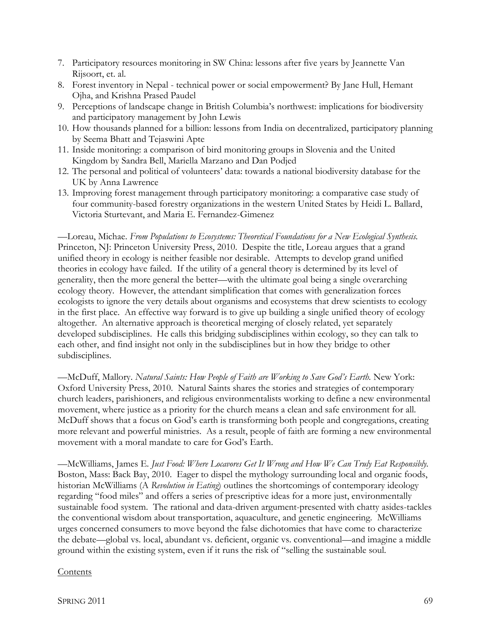- 7. Participatory resources monitoring in SW China: lessons after five years by Jeannette Van Rijsoort, et. al.
- 8. Forest inventory in Nepal technical power or social empowerment? By Jane Hull, Hemant Ojha, and Krishna Prased Paudel
- 9. Perceptions of landscape change in British Columbia's northwest: implications for biodiversity and participatory management by John Lewis
- 10. How thousands planned for a billion: lessons from India on decentralized, participatory planning by Seema Bhatt and Tejaswini Apte
- 11. Inside monitoring: a comparison of bird monitoring groups in Slovenia and the United Kingdom by Sandra Bell, Mariella Marzano and Dan Podjed
- 12. The personal and political of volunteers' data: towards a national biodiversity database for the UK by Anna Lawrence
- 13. Improving forest management through participatory monitoring: a comparative case study of four community-based forestry organizations in the western United States by Heidi L. Ballard, Victoria Sturtevant, and Maria E. Fernandez-Gimenez

—Loreau, Michae. *From Populations to Ecosystems: Theoretical Foundations for a New Ecological Synthesis.* Princeton, NJ: Princeton University Press, 2010. Despite the title, Loreau argues that a grand unified theory in ecology is neither feasible nor desirable. Attempts to develop grand unified theories in ecology have failed. If the utility of a general theory is determined by its level of generality, then the more general the better—with the ultimate goal being a single overarching ecology theory. However, the attendant simplification that comes with generalization forces ecologists to ignore the very details about organisms and ecosystems that drew scientists to ecology in the first place. An effective way forward is to give up building a single unified theory of ecology altogether. An alternative approach is theoretical merging of closely related, yet separately developed subdisciplines. He calls this bridging subdisciplines within ecology, so they can talk to each other, and find insight not only in the subdisciplines but in how they bridge to other subdisciplines.

—McDuff, Mallory. *Natural Saints: How People of Faith are Working to Save God's Earth.* New York: Oxford University Press, 2010. Natural Saints shares the stories and strategies of contemporary church leaders, parishioners, and religious environmentalists working to define a new environmental movement, where justice as a priority for the church means a clean and safe environment for all. McDuff shows that a focus on God's earth is transforming both people and congregations, creating more relevant and powerful ministries. As a result, people of faith are forming a new environmental movement with a moral mandate to care for God's Earth.

—McWilliams, James E. *Just Food: Where Locavores Get It Wrong and How We Can Truly Eat Responsibly.* Boston, Mass: Back Bay, 2010. Eager to dispel the mythology surrounding local and organic foods, historian McWilliams (A *Revolution in Eating*) outlines the shortcomings of contemporary ideology regarding "food miles" and offers a series of prescriptive ideas for a more just, environmentally sustainable food system. The rational and data-driven argument-presented with chatty asides-tackles the conventional wisdom about transportation, aquaculture, and genetic engineering. McWilliams urges concerned consumers to move beyond the false dichotomies that have come to characterize the debate—global vs. local, abundant vs. deficient, organic vs. conventional—and imagine a middle ground within the existing system, even if it runs the risk of "selling the sustainable soul.

#### Contents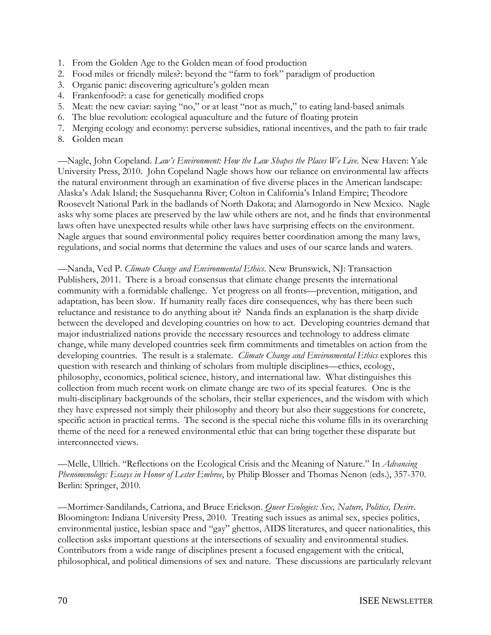- 1. From the Golden Age to the Golden mean of food production
- 2. Food miles or friendly miles?: beyond the "farm to fork" paradigm of production
- 3. Organic panic: discovering agriculture's golden mean
- 4. Frankenfood?: a case for genetically modified crops
- 5. Meat: the new caviar: saying "no," or at least "not as much," to eating land-based animals
- 6. The blue revolution: ecological aquaculture and the future of floating protein
- 7. Merging ecology and economy: perverse subsidies, rational incentives, and the path to fair trade
- 8. Golden mean

—Nagle, John Copeland. *Law's Environment: How the Law Shapes the Places We Live.* New Haven: Yale University Press, 2010. John Copeland Nagle shows how our reliance on environmental law affects the natural environment through an examination of five diverse places in the American landscape: Alaska's Adak Island; the Susquehanna River; Colton in California's Inland Empire; Theodore Roosevelt National Park in the badlands of North Dakota; and Alamogordo in New Mexico. Nagle asks why some places are preserved by the law while others are not, and he finds that environmental laws often have unexpected results while other laws have surprising effects on the environment. Nagle argues that sound environmental policy requires better coordination among the many laws, regulations, and social norms that determine the values and uses of our scarce lands and waters.

—Nanda, Ved P. *Climate Change and Environmental Ethics*. New Brunswick, NJ: Transaction Publishers, 2011. There is a broad consensus that climate change presents the international community with a formidable challenge. Yet progress on all fronts—prevention, mitigation, and adaptation, has been slow. If humanity really faces dire consequences, why has there been such reluctance and resistance to do anything about it? Nanda finds an explanation is the sharp divide between the developed and developing countries on how to act. Developing countries demand that major industrialized nations provide the necessary resources and technology to address climate change, while many developed countries seek firm commitments and timetables on action from the developing countries. The result is a stalemate. *Climate Change and Environmental Ethics* explores this question with research and thinking of scholars from multiple disciplines—ethics, ecology, philosophy, economics, political science, history, and international law. What distinguishes this collection from much recent work on climate change are two of its special features. One is the multi-disciplinary backgrounds of the scholars, their stellar experiences, and the wisdom with which they have expressed not simply their philosophy and theory but also their suggestions for concrete, specific action in practical terms. The second is the special niche this volume fills in its overarching theme of the need for a renewed environmental ethic that can bring together these disparate but interconnected views.

—Melle, Ullrich. "Reflections on the Ecological Crisis and the Meaning of Nature." In *Advancing Phenomenology: Essays in Honor of Lester Embree*, by Philip Blosser and Thomas Nenon (eds.), 357-370. Berlin: Springer, 2010.

—Mortimer-Sandilands, Catriona, and Bruce Erickson. *Queer Ecologies: Sex, Nature, Politics, Desire*. Bloomington: Indiana University Press, 2010. Treating such issues as animal sex, species politics, environmental justice, lesbian space and "gay" ghettos, AIDS literatures, and queer nationalities, this collection asks important questions at the intersections of sexuality and environmental studies. Contributors from a wide range of disciplines present a focused engagement with the critical, philosophical, and political dimensions of sex and nature. These discussions are particularly relevant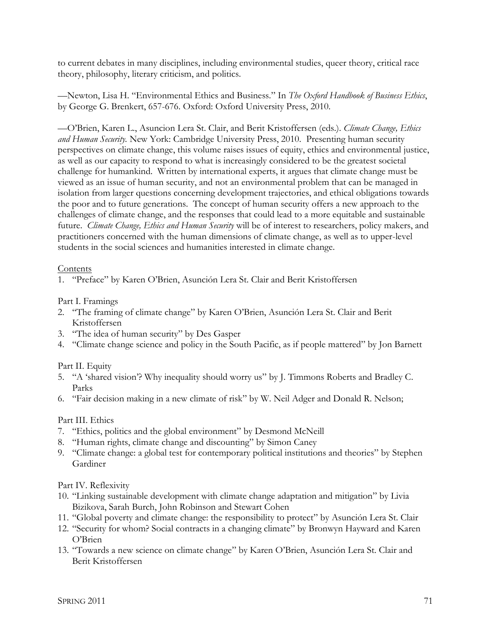to current debates in many disciplines, including environmental studies, queer theory, critical race theory, philosophy, literary criticism, and politics.

—Newton, Lisa H. ―Environmental Ethics and Business.‖ In *The Oxford Handbook of Business Ethics*, by George G. Brenkert, 657-676. Oxford: Oxford University Press, 2010.

—O'Brien, Karen L., Asuncion Lera St. Clair, and Berit Kristoffersen (eds.). *Climate Change, Ethics and Human Security.* New York: Cambridge University Press, 2010. Presenting human security perspectives on climate change, this volume raises issues of equity, ethics and environmental justice, as well as our capacity to respond to what is increasingly considered to be the greatest societal challenge for humankind. Written by international experts, it argues that climate change must be viewed as an issue of human security, and not an environmental problem that can be managed in isolation from larger questions concerning development trajectories, and ethical obligations towards the poor and to future generations. The concept of human security offers a new approach to the challenges of climate change, and the responses that could lead to a more equitable and sustainable future. *Climate Change, Ethics and Human Security* will be of interest to researchers, policy makers, and practitioners concerned with the human dimensions of climate change, as well as to upper-level students in the social sciences and humanities interested in climate change.

#### **Contents**

1. "Preface" by Karen O'Brien, Asunción Lera St. Clair and Berit Kristoffersen

#### Part I. Framings

- 2. "The framing of climate change" by Karen O'Brien, Asunción Lera St. Clair and Berit Kristoffersen
- 3. "The idea of human security" by Des Gasper
- 4. "Climate change science and policy in the South Pacific, as if people mattered" by Jon Barnett

#### Part II. Equity

- 5. "A 'shared vision'? Why inequality should worry us" by J. Timmons Roberts and Bradley C. Parks
- 6. "Fair decision making in a new climate of risk" by W. Neil Adger and Donald R. Nelson;

## Part III. Ethics

- 7. "Ethics, politics and the global environment" by Desmond McNeill
- 8. "Human rights, climate change and discounting" by Simon Caney
- 9. "Climate change: a global test for contemporary political institutions and theories" by Stephen Gardiner

#### Part IV. Reflexivity

- 10. "Linking sustainable development with climate change adaptation and mitigation" by Livia Bizikova, Sarah Burch, John Robinson and Stewart Cohen
- 11. "Global poverty and climate change: the responsibility to protect" by Asunción Lera St. Clair
- 12. "Security for whom? Social contracts in a changing climate" by Bronwyn Hayward and Karen O'Brien
- 13. "Towards a new science on climate change" by Karen O'Brien, Asunción Lera St. Clair and Berit Kristoffersen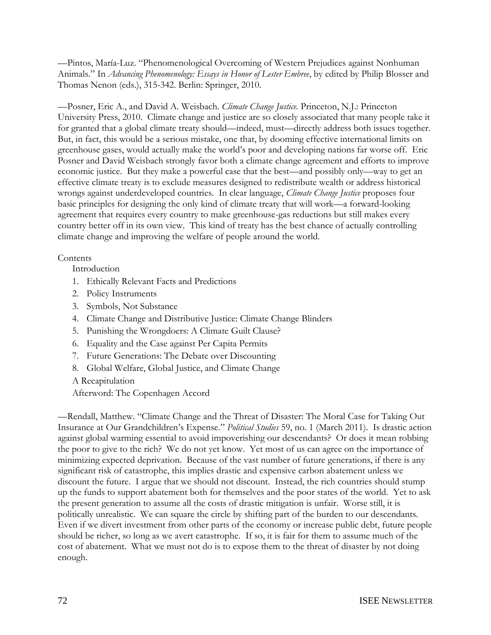—Pintos, María-Luz. "Phenomenological Overcoming of Western Prejudices against Nonhuman Animals." In *Advancing Phenomenology: Essays in Honor of Lester Embree*, by edited by Philip Blosser and Thomas Nenon (eds.), 315-342. Berlin: Springer, 2010.

—Posner, Eric A., and David A. Weisbach. *Climate Change Justice.* Princeton, N.J.: Princeton University Press, 2010. Climate change and justice are so closely associated that many people take it for granted that a global climate treaty should—indeed, must—directly address both issues together. But, in fact, this would be a serious mistake, one that, by dooming effective international limits on greenhouse gases, would actually make the world's poor and developing nations far worse off. Eric Posner and David Weisbach strongly favor both a climate change agreement and efforts to improve economic justice. But they make a powerful case that the best—and possibly only—way to get an effective climate treaty is to exclude measures designed to redistribute wealth or address historical wrongs against underdeveloped countries. In clear language, *Climate Change Justice* proposes four basic principles for designing the only kind of climate treaty that will work—a forward-looking agreement that requires every country to make greenhouse-gas reductions but still makes every country better off in its own view. This kind of treaty has the best chance of actually controlling climate change and improving the welfare of people around the world.

## **Contents**

Introduction

- 1. Ethically Relevant Facts and Predictions
- 2. Policy Instruments
- 3. Symbols, Not Substance
- 4. Climate Change and Distributive Justice: Climate Change Blinders
- 5. Punishing the Wrongdoers: A Climate Guilt Clause?
- 6. Equality and the Case against Per Capita Permits
- 7. Future Generations: The Debate over Discounting
- 8. Global Welfare, Global Justice, and Climate Change

A Recapitulation

Afterword: The Copenhagen Accord

—Rendall, Matthew. ―Climate Change and the Threat of Disaster: The Moral Case for Taking Out Insurance at Our Grandchildren's Expense.‖ *Political Studies* 59, no. 1 (March 2011). Is drastic action against global warming essential to avoid impoverishing our descendants? Or does it mean robbing the poor to give to the rich? We do not yet know. Yet most of us can agree on the importance of minimizing expected deprivation. Because of the vast number of future generations, if there is any significant risk of catastrophe, this implies drastic and expensive carbon abatement unless we discount the future. I argue that we should not discount. Instead, the rich countries should stump up the funds to support abatement both for themselves and the poor states of the world. Yet to ask the present generation to assume all the costs of drastic mitigation is unfair. Worse still, it is politically unrealistic. We can square the circle by shifting part of the burden to our descendants. Even if we divert investment from other parts of the economy or increase public debt, future people should be richer, so long as we avert catastrophe. If so, it is fair for them to assume much of the cost of abatement. What we must not do is to expose them to the threat of disaster by not doing enough.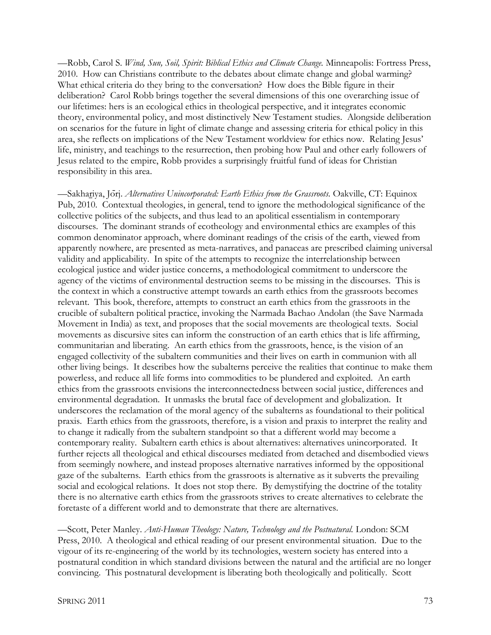—Robb, Carol S. *Wind, Sun, Soil, Spirit: Biblical Ethics and Climate Change.* Minneapolis: Fortress Press, 2010. How can Christians contribute to the debates about climate change and global warming? What ethical criteria do they bring to the conversation? How does the Bible figure in their deliberation? Carol Robb brings together the several dimensions of this one overarching issue of our lifetimes: hers is an ecological ethics in theological perspective, and it integrates economic theory, environmental policy, and most distinctively New Testament studies. Alongside deliberation on scenarios for the future in light of climate change and assessing criteria for ethical policy in this area, she reflects on implications of the New Testament worldview for ethics now. Relating Jesus' life, ministry, and teachings to the resurrection, then probing how Paul and other early followers of Jesus related to the empire, Robb provides a surprisingly fruitful fund of ideas for Christian responsibility in this area.

—Sakhariya, Jorj. *Alternatives Unincorporated: Earth Ethics from the Grassroots.* Oakville, CT: Equinox Pub, 2010. Contextual theologies, in general, tend to ignore the methodological significance of the collective politics of the subjects, and thus lead to an apolitical essentialism in contemporary discourses. The dominant strands of ecotheology and environmental ethics are examples of this common denominator approach, where dominant readings of the crisis of the earth, viewed from apparently nowhere, are presented as meta-narratives, and panaceas are prescribed claiming universal validity and applicability. In spite of the attempts to recognize the interrelationship between ecological justice and wider justice concerns, a methodological commitment to underscore the agency of the victims of environmental destruction seems to be missing in the discourses. This is the context in which a constructive attempt towards an earth ethics from the grassroots becomes relevant. This book, therefore, attempts to construct an earth ethics from the grassroots in the crucible of subaltern political practice, invoking the Narmada Bachao Andolan (the Save Narmada Movement in India) as text, and proposes that the social movements are theological texts. Social movements as discursive sites can inform the construction of an earth ethics that is life affirming, communitarian and liberating. An earth ethics from the grassroots, hence, is the vision of an engaged collectivity of the subaltern communities and their lives on earth in communion with all other living beings. It describes how the subalterns perceive the realities that continue to make them powerless, and reduce all life forms into commodities to be plundered and exploited. An earth ethics from the grassroots envisions the interconnectedness between social justice, differences and environmental degradation. It unmasks the brutal face of development and globalization. It underscores the reclamation of the moral agency of the subalterns as foundational to their political praxis. Earth ethics from the grassroots, therefore, is a vision and praxis to interpret the reality and to change it radically from the subaltern standpoint so that a different world may become a contemporary reality. Subaltern earth ethics is about alternatives: alternatives unincorporated. It further rejects all theological and ethical discourses mediated from detached and disembodied views from seemingly nowhere, and instead proposes alternative narratives informed by the oppositional gaze of the subalterns. Earth ethics from the grassroots is alternative as it subverts the prevailing social and ecological relations. It does not stop there. By demystifying the doctrine of the totality there is no alternative earth ethics from the grassroots strives to create alternatives to celebrate the foretaste of a different world and to demonstrate that there are alternatives.

—Scott, Peter Manley. *Anti-Human Theology: Nature, Technology and the Postnatural.* London: SCM Press, 2010. A theological and ethical reading of our present environmental situation. Due to the vigour of its re-engineering of the world by its technologies, western society has entered into a postnatural condition in which standard divisions between the natural and the artificial are no longer convincing. This postnatural development is liberating both theologically and politically. Scott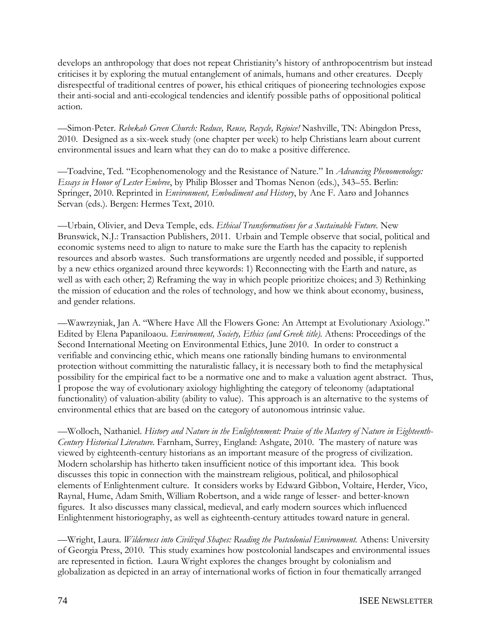develops an anthropology that does not repeat Christianity's history of anthropocentrism but instead criticises it by exploring the mutual entanglement of animals, humans and other creatures. Deeply disrespectful of traditional centres of power, his ethical critiques of pioneering technologies expose their anti-social and anti-ecological tendencies and identify possible paths of oppositional political action.

—Simon-Peter. *Rebekah Green Church: Reduce, Reuse, Recycle, Rejoice!* Nashville, TN: Abingdon Press, 2010. Designed as a six-week study (one chapter per week) to help Christians learn about current environmental issues and learn what they can do to make a positive difference.

—Toadvine, Ted. "Ecophenomenology and the Resistance of Nature." In *Advancing Phenomenology*: *Essays in Honor of Lester Embree*, by Philip Blosser and Thomas Nenon (eds.), 343–55. Berlin: Springer, 2010. Reprinted in *Environment, Embodiment and History*, by Ane F. Aarø and Johannes Servan (eds.). Bergen: Hermes Text, 2010.

—Urbain, Olivier, and Deva Temple, eds. *Ethical Transformations for a Sustainable Future.* New Brunswick, N.J.: Transaction Publishers, 2011. Urbain and Temple observe that social, political and economic systems need to align to nature to make sure the Earth has the capacity to replenish resources and absorb wastes. Such transformations are urgently needed and possible, if supported by a new ethics organized around three keywords: 1) Reconnecting with the Earth and nature, as well as with each other; 2) Reframing the way in which people prioritize choices; and 3) Rethinking the mission of education and the roles of technology, and how we think about economy, business, and gender relations.

—Wawrzyniak, Jan A. "Where Have All the Flowers Gone: An Attempt at Evolutionary Axiology." Edited by Elena Papaniloaou. *Environment, Society, Ethics (and Greek title).* Athens: Proceedings of the Second International Meeting on Environmental Ethics, June 2010. In order to construct a verifiable and convincing ethic, which means one rationally binding humans to environmental protection without committing the naturalistic fallacy, it is necessary both to find the metaphysical possibility for the empirical fact to be a normative one and to make a valuation agent abstract. Thus, I propose the way of evolutionary axiology highlighting the category of teleonomy (adaptational functionality) of valuation-ability (ability to value). This approach is an alternative to the systems of environmental ethics that are based on the category of autonomous intrinsic value.

—Wolloch, Nathaniel. *History and Nature in the Enlightenment: Praise of the Mastery of Nature in Eighteenth-Century Historical Literature.* Farnham, Surrey, England: Ashgate, 2010. The mastery of nature was viewed by eighteenth-century historians as an important measure of the progress of civilization. Modern scholarship has hitherto taken insufficient notice of this important idea. This book discusses this topic in connection with the mainstream religious, political, and philosophical elements of Enlightenment culture. It considers works by Edward Gibbon, Voltaire, Herder, Vico, Raynal, Hume, Adam Smith, William Robertson, and a wide range of lesser- and better-known figures. It also discusses many classical, medieval, and early modern sources which influenced Enlightenment historiography, as well as eighteenth-century attitudes toward nature in general.

—Wright, Laura. *Wilderness into Civilized Shapes: Reading the Postcolonial Environment.* Athens: University of Georgia Press, 2010. This study examines how postcolonial landscapes and environmental issues are represented in fiction. Laura Wright explores the changes brought by colonialism and globalization as depicted in an array of international works of fiction in four thematically arranged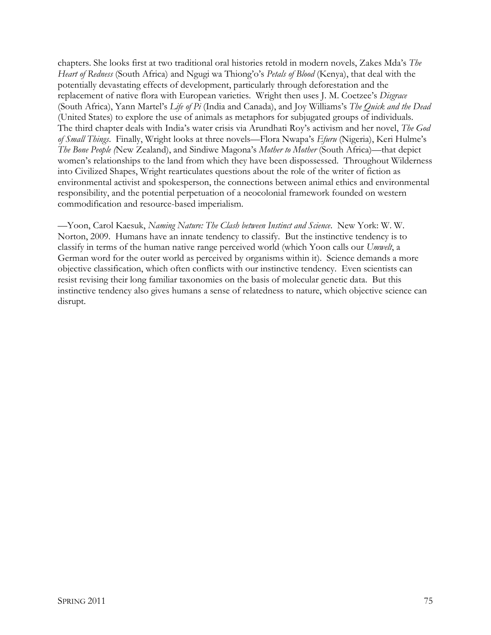chapters. She looks first at two traditional oral histories retold in modern novels, Zakes Mda's *The Heart of Redness* (South Africa) and Ngugi wa Thiong'o's *Petals of Blood* (Kenya), that deal with the potentially devastating effects of development, particularly through deforestation and the replacement of native flora with European varieties. Wright then uses J. M. Coetzee's *Disgrace* (South Africa), Yann Martel's *Life of Pi* (India and Canada), and Joy Williams's *The Quick and the Dead* (United States) to explore the use of animals as metaphors for subjugated groups of individuals. The third chapter deals with India's water crisis via Arundhati Roy's activism and her novel, *The God of Small Things*. Finally, Wright looks at three novels—Flora Nwapa's *Efuru* (Nigeria), Keri Hulme's *The Bone People (*New Zealand), and Sindiwe Magona's *Mother to Mother* (South Africa)—that depict women's relationships to the land from which they have been dispossessed. Throughout Wilderness into Civilized Shapes, Wright rearticulates questions about the role of the writer of fiction as environmental activist and spokesperson, the connections between animal ethics and environmental responsibility, and the potential perpetuation of a neocolonial framework founded on western commodification and resource-based imperialism.

—Yoon, Carol Kaesuk, *Naming Nature: The Clash between Instinct and Science*. New York: W. W. Norton, 2009. Humans have an innate tendency to classify. But the instinctive tendency is to classify in terms of the human native range perceived world (which Yoon calls our *Umwelt*, a German word for the outer world as perceived by organisms within it). Science demands a more objective classification, which often conflicts with our instinctive tendency. Even scientists can resist revising their long familiar taxonomies on the basis of molecular genetic data. But this instinctive tendency also gives humans a sense of relatedness to nature, which objective science can disrupt.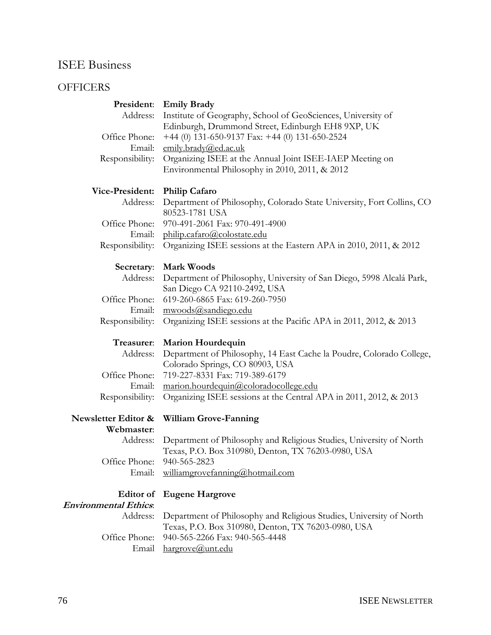# ISEE Business

## **OFFICERS**

| Address:                          | President: Emily Brady<br>Institute of Geography, School of GeoSciences, University of<br>Edinburgh, Drummond Street, Edinburgh EH8 9XP, UK |
|-----------------------------------|---------------------------------------------------------------------------------------------------------------------------------------------|
| Office Phone:                     | +44 (0) 131-650-9137 Fax: +44 (0) 131-650-2524                                                                                              |
| Email:<br>Responsibility:         | emily.brady@ed.ac.uk<br>Organizing ISEE at the Annual Joint ISEE-IAEP Meeting on<br>Environmental Philosophy in 2010, 2011, & 2012          |
| <b>Vice-President:</b>            | <b>Philip Cafaro</b>                                                                                                                        |
| Address:                          | Department of Philosophy, Colorado State University, Fort Collins, CO<br>80523-1781 USA                                                     |
| Office Phone:                     | 970-491-2061 Fax: 970-491-4900                                                                                                              |
| Email:<br>Responsibility:         | philip.cafaro@colostate.edu<br>Organizing ISEE sessions at the Eastern APA in 2010, 2011, & 2012                                            |
| Secretary:                        | <b>Mark Woods</b>                                                                                                                           |
| Address:                          | Department of Philosophy, University of San Diego, 5998 Alcalá Park,<br>San Diego CA 92110-2492, USA                                        |
| Office Phone:                     | 619-260-6865 Fax: 619-260-7950                                                                                                              |
| Email:                            | mwoods@sandiego.edu                                                                                                                         |
| Responsibility:                   | Organizing ISEE sessions at the Pacific APA in 2011, 2012, & 2013                                                                           |
| Treasurer:                        | <b>Marion Hourdequin</b>                                                                                                                    |
| Address:                          | Department of Philosophy, 14 East Cache la Poudre, Colorado College,<br>Colorado Springs, CO 80903, USA                                     |
| Office Phone:                     | 719-227-8331 Fax: 719-389-6179                                                                                                              |
| Email:                            | marion.hourdequin@coloradocollege.edu                                                                                                       |
| Responsibility:                   | Organizing ISEE sessions at the Central APA in 2011, 2012, & 2013                                                                           |
| Newsletter Editor &<br>Webmaster: | <b>William Grove-Fanning</b>                                                                                                                |
| Address:                          | Department of Philosophy and Religious Studies, University of North<br>Texas, P.O. Box 310980, Denton, TX 76203-0980, USA                   |
| Office Phone:                     | 940-565-2823                                                                                                                                |
| Email:                            | williamgrovefanning@hotmail.com                                                                                                             |
| <b>Editor</b> of                  | <b>Eugene Hargrove</b>                                                                                                                      |
| <b>Environmental Ethics.</b>      |                                                                                                                                             |
| Address:                          | Department of Philosophy and Religious Studies, University of North<br>Texas, P.O. Box 310980, Denton, TX 76203-0980, USA                   |
| Office Phone:                     | 940-565-2266 Fax: 940-565-4448                                                                                                              |

Email [hargrove@unt.edu](mailto:hargrove@unt.edu)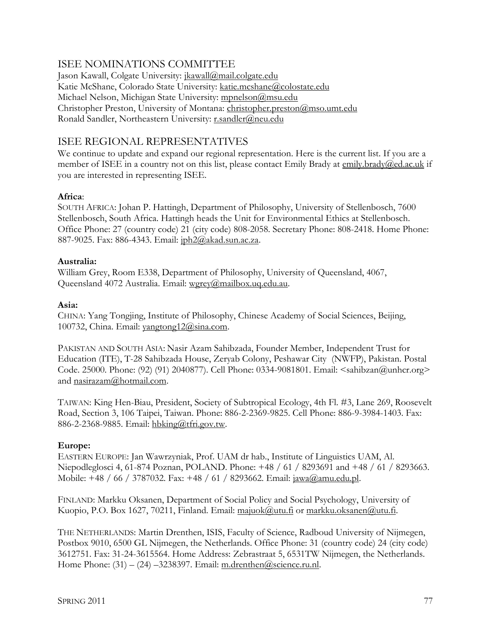## ISEE NOMINATIONS COMMITTEE

Jason Kawall, Colgate University: [jkawall@mail.colgate.edu](mailto:jkawall@mail.colgate.edu) Katie McShane, Colorado State University: [katie.mcshane@colostate.edu](mailto:katie.mcshane@colostate.edu) Michael Nelson, Michigan State University: [mpnelson@msu.edu](mailto:mpnelson@msu.edu) Christopher Preston, University of Montana: [christopher.preston@mso.umt.edu](mailto:christopher.preston@mso.umt.edu) Ronald Sandler, Northeastern University: [r.sandler@neu.edu](mailto:r.sandler@neu.edu)

## ISEE REGIONAL REPRESENTATIVES

We continue to update and expand our regional representation. Here is the current list. If you are a member of ISEE in a country not on this list, please contact Emily Brady at [emily.brady@ed.ac.uk](mailto:emily.brady@ed.ac.uk) if you are interested in representing ISEE.

#### **Africa**:

SOUTH AFRICA: Johan P. Hattingh, Department of Philosophy, University of Stellenbosch, 7600 Stellenbosch, South Africa. Hattingh heads the Unit for Environmental Ethics at Stellenbosch. Office Phone: 27 (country code) 21 (city code) 808-2058. Secretary Phone: 808-2418. Home Phone: 887-9025. Fax: 886-4343. Email: [jph2@akad.sun.ac.za.](mailto:jph2@akad.sun.ac.za)

#### **Australia:**

William Grey, Room E338, Department of Philosophy, University of Queensland, 4067, Queensland 4072 Australia. Email: [wgrey@mailbox.uq.edu.au.](mailto:wgrey@mailbox.uq.edu.au)

#### **Asia:**

CHINA: Yang Tongjing, Institute of Philosophy, Chinese Academy of Social Sciences, Beijing, 100732, China. Email: [yangtong12@sina.com.](mailto:yangtong12@sina.com)

PAKISTAN AND SOUTH ASIA: Nasir Azam Sahibzada, Founder Member, Independent Trust for Education (ITE), T-28 Sahibzada House, Zeryab Colony, Peshawar City (NWFP), Pakistan. Postal Code. 25000. Phone: (92) (91) 2040877). Cell Phone: 0334-9081801. Email: <sahibzan@unhcr.org> and [nasirazam@hotmail.com.](mailto:nasirazam@hotmail.com)

TAIWAN: King Hen-Biau, President, Society of Subtropical Ecology, 4th Fl. #3, Lane 269, Roosevelt Road, Section 3, 106 Taipei, Taiwan. Phone: 886-2-2369-9825. Cell Phone: 886-9-3984-1403. Fax: 886-2-2368-9885. Email: [hbking@tfri.gov.tw.](mailto:hbking@tfri.gov.tw)

#### **Europe:**

EASTERN EUROPE: Jan Wawrzyniak, Prof. UAM dr hab., Institute of Linguistics UAM, Al. Niepodleglosci 4, 61-874 Poznan, POLAND. Phone: +48 / 61 / 8293691 and +48 / 61 / 8293663. Mobile: +48 / 66 / 3787032. Fax: +48 / 61 / 8293662. Email: [jawa@amu.edu.pl.](mailto:jawa@amu.edu.pl)

FINLAND: Markku Oksanen, Department of Social Policy and Social Psychology, University of Kuopio, P.O. Box 1627, 70211, Finland. Email: [majuok@utu.fi](mailto:majuok@utu.fi) or [markku.oksanen@utu.fi.](mailto:markku.oksanen@utu.fi)

THE NETHERLANDS: Martin Drenthen, ISIS, Faculty of Science, Radboud University of Nijmegen, Postbox 9010, 6500 GL Nijmegen, the Netherlands. Office Phone: 31 (country code) 24 (city code) 3612751. Fax: 31-24-3615564. Home Address: Zebrastraat 5, 6531TW Nijmegen, the Netherlands. Home Phone: (31) – (24) –3238397. Email: [m.drenthen@science.ru.nl.](mailto:m.drenthen@science.ru.nl)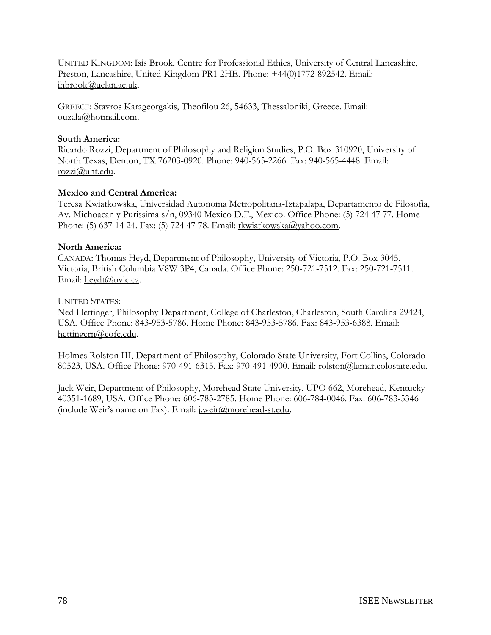UNITED KINGDOM: Isis Brook, Centre for Professional Ethics, University of Central Lancashire, Preston, Lancashire, United Kingdom PR1 2HE. Phone: +44(0)1772 892542. Email: [ihbrook@uclan.ac.uk.](mailto:ihbrook@uclan.ac.uk)

GREECE: Stavros Karageorgakis, Theofilou 26, 54633, Thessaloniki, Greece. Email: [ouzala@hotmail.com.](mailto:ouzala@hotmail.com)

#### **South America:**

Ricardo Rozzi, Department of Philosophy and Religion Studies, P.O. Box 310920, University of North Texas, Denton, TX 76203-0920. Phone: 940-565-2266. Fax: 940-565-4448. Email: [rozzi@unt.edu.](mailto:rozzi@unt.edu)

#### **Mexico and Central America:**

Teresa Kwiatkowska, Universidad Autonoma Metropolitana-Iztapalapa, Departamento de Filosofia, Av. Michoacan y Purissima s/n, 09340 Mexico D.F., Mexico. Office Phone: (5) 724 47 77. Home Phone: (5) 637 14 24. Fax: (5) 724 47 78. Email: [tkwiatkowska@yahoo.com.](mailto:tkwiatkowska@yahoo.com)

#### **North America:**

CANADA: Thomas Heyd, Department of Philosophy, University of Victoria, P.O. Box 3045, Victoria, British Columbia V8W 3P4, Canada. Office Phone: 250-721-7512. Fax: 250-721-7511. Email: [heydt@uvic.ca.](mailto:heydt@uvic.ca)

#### UNITED STATES:

Ned Hettinger, Philosophy Department, College of Charleston, Charleston, South Carolina 29424, USA. Office Phone: 843-953-5786. Home Phone: 843-953-5786. Fax: 843-953-6388. Email: [hettingern@cofc.edu.](mailto:hettingern@cofc.edu)

Holmes Rolston III, Department of Philosophy, Colorado State University, Fort Collins, Colorado 80523, USA. Office Phone: 970-491-6315. Fax: 970-491-4900. Email: [rolston@lamar.colostate.edu.](mailto:rolston@lamar.colostate.edu)

Jack Weir, Department of Philosophy, Morehead State University, UPO 662, Morehead, Kentucky 40351-1689, USA. Office Phone: 606-783-2785. Home Phone: 606-784-0046. Fax: 606-783-5346 (include Weir's name on Fax). Email: [j.weir@morehead-st.edu.](mailto:j.weir@morehead-st.edu)